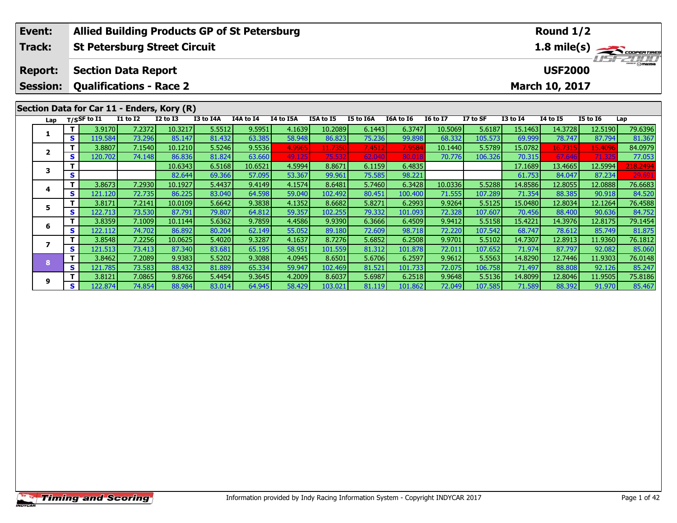| Event:          |                                                              | <b>Allied Building Products GP of St Petersburg</b> |                 |                 |           |           |           |           |           |           |                 |          | Round $1/2$     |                 |                 |             |  |  |
|-----------------|--------------------------------------------------------------|-----------------------------------------------------|-----------------|-----------------|-----------|-----------|-----------|-----------|-----------|-----------|-----------------|----------|-----------------|-----------------|-----------------|-------------|--|--|
| Track:          |                                                              | <b>St Petersburg Street Circuit</b>                 |                 |                 |           |           |           |           |           |           |                 |          |                 |                 |                 | 1.8 mile(s) |  |  |
| <b>Report:</b>  |                                                              | <b>Section Data Report</b>                          |                 |                 |           |           |           |           |           |           |                 |          |                 | <b>USF2000</b>  |                 |             |  |  |
| <b>Session:</b> |                                                              | <b>Qualifications - Race 2</b>                      |                 |                 |           |           |           |           |           |           |                 |          |                 | March 10, 2017  |                 |             |  |  |
|                 | Section Data for Car 11 - Enders, Kory (R)<br>$T/S$ SF to I1 |                                                     |                 |                 |           |           |           |           |           |           |                 |          |                 |                 |                 |             |  |  |
| Lap             |                                                              |                                                     | <b>I1 to I2</b> | <b>I2 to I3</b> | I3 to I4A | I4A to I4 | I4 to I5A | I5A to I5 | I5 to I6A | I6A to I6 | <b>16 to 17</b> | I7 to SF | <b>I3 to I4</b> | <b>I4 to I5</b> | <b>I5 to 16</b> | Lap         |  |  |
| 1               |                                                              | 3.9170                                              | 7.2372          | 10.3217         | 5.5512    | 9.5951    | 4.1639    | 10.2089   | 6.1443    | 6.3747    | 10.5069         | 5.6187   | 15.1463         | 14.3728         | 12.5190         | 79.6396     |  |  |
|                 | S.                                                           | 119.584                                             | 73.296          | 85.147          | 81.432    | 63.385    | 58.948    | 86.823    | 75.236    | 99.898    | 68.332          | 105.573  | 69.999          | 78.747          | 87.794          | 81.367      |  |  |
| $\mathbf{2}$    |                                                              | 3.8807                                              | 7.1540          | 10.1210         | 5.5246    | 9.5536    | 4.9965    | 11.7350   | 7.4512    | 7.9584    | 10.1440         | 5.5789   | 15.0782         | 16.7315         | 15.4096         | 84.0979     |  |  |
|                 | S                                                            | 120.702                                             | 74.148          | 86.836          | 81.824    | 63.660    | 49.125    | 75.53     | 62.040    | 80.01     | 70.776          | 106.326  | 70.315          | 67.646          | 71.32           | 77.053      |  |  |
| 3               |                                                              |                                                     |                 | 10.6343         | 6.5168    | 10.6521   | 4.5994    | 8.8671    | 6.1159    | 6.4835    |                 |          | 17.1689         | 13.4665         | 12.5994         | 218.2494    |  |  |
|                 | S                                                            |                                                     |                 | 82.644          | 69.366    | 57.095    | 53.367    | 99.961    | 75.585    | 98.221    |                 |          | 61.753          | 84.047          | 87.234          | 29.691      |  |  |
| 4               | т                                                            | 3.8673                                              | 7.2930          | 10.1927         | 5.4437    | 9.4149    | 4.1574    | 8.6481    | 5.7460    | 6.3428    | 10.0336         | 5.5288   | 14.8586         | 12.8055         | 12.0888         | 76.6683     |  |  |
|                 | S                                                            | 121.120                                             | 72.735          | 86.225          | 83.040    | 64.598    | 59.040    | 102.492   | 80.451    | 100.400   | 71.555          | 107.289  | 71.354          | 88.385          | 90.918          | 84.520      |  |  |
| 5               | T.                                                           | 3.8171                                              | 7.2141          | 10.0109         | 5.6642    | 9.3838    | 4.1352    | 8.6682    | 5.8271    | 6.2993    | 9.9264          | 5.5125   | 15.0480         | 12.8034         | 12.1264         | 76.4588     |  |  |
|                 | S                                                            | 122.713                                             | 73.530          | 87.791          | 79.807    | 64.812    | 59.357    | 102.255   | 79.332    | 101.093   | 72.328          | 107.607  | 70.456          | 88.400          | 90.636          | 84.752      |  |  |
| 6               |                                                              | 3.8359                                              | 7.1009          | 10.1144         | 5.6362    | 9.7859    | 4.4586    | 9.9390    | 6.3666    | 6.4509    | 9.9412          | 5.5158   | 15.4221         | 14.3976         | 12.8175         | 79.1454     |  |  |
|                 | S                                                            | 122.112                                             | 74.702          | 86.892          | 80.204    | 62.149    | 55.052    | 89.180    | 72.609    | 98.718    | 72.220          | 107.542  | 68.747          | 78.612          | 85.749          | 81.875      |  |  |
| 7               | т                                                            | 3.8548                                              | 7.2256          | 10.0625         | 5.4020    | 9.3287    | 4.1637    | 8.7276    | 5.6852    | 6.2508    | 9.9701          | 5.5102   | 14.7307         | 12.8913         | 11.9360         | 76.1812     |  |  |
|                 | S.                                                           | 121.513                                             | 73.413          | 87.340          | 83.681    | 65.195    | 58.951    | 101.559   | 81.312    | 101.878   | 72.011          | 107.652  | 71.974          | 87.797          | 92.082          | 85.060      |  |  |
| 8               | т                                                            | 3.8462                                              | 7.2089          | 9.9383          | 5.5202    | 9.3088    | 4.0945    | 8.6501    | 5.6706    | 6.2597    | 9.9612          | 5.5563   | 14.8290         | 12.7446         | 11.9303         | 76.0148     |  |  |
|                 | S.                                                           | 121.785                                             | 73.583          | 88.432          | 81.889    | 65.334    | 59.947    | 102.469   | 81.521    | 101.733   | 72.075          | 106.758  | 71.497          | 88.808          | 92.126          | 85.247      |  |  |
| 9               |                                                              | 3.8121                                              | 7.0865          | 9.8766          | 5.4454    | 9.3645    | 4.2009    | 8.6037    | 5.6987    | 6.2518    | 9.9648          | 5.5136   | 14.8099         | 12.8046         | 11.9505         | 75.8186     |  |  |
|                 | S.                                                           | 122.874                                             | 74.854          | 88.984          | 83.014    | 64.945    | 58.429    | 103.021   | 81.119    | 101.862   | 72.049          | 107.585  | 71.589          | 88.392          | 91.970          | 85.467      |  |  |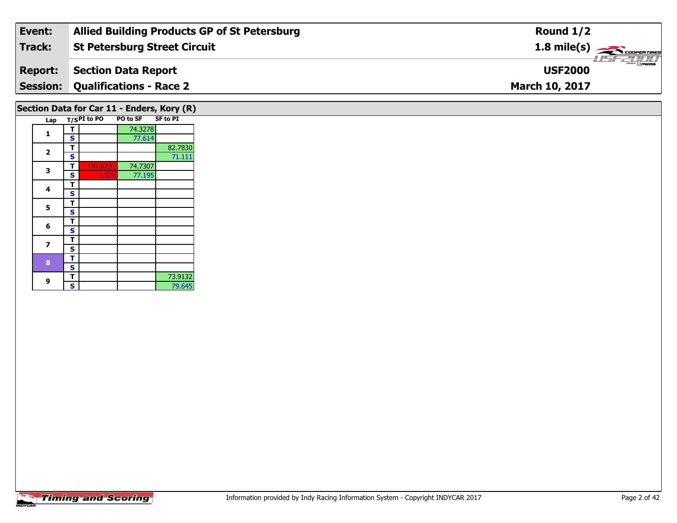| Event:         | <b>Allied Building Products GP of St Petersburg</b> | Round $1/2$                             |
|----------------|-----------------------------------------------------|-----------------------------------------|
| Track:         | <b>St Petersburg Street Circuit</b>                 | $1.8$ mile(s) $\rightarrow$ COOPERTIRES |
| <b>Report:</b> | Section Data Report                                 | <b>Omazoa</b><br><b>USF2000</b>         |
|                | <b>Session: Qualifications - Race 2</b>             | <b>March 10, 2017</b>                   |
|                |                                                     |                                         |

# **Section Data for Car 11 - Enders, Kory (R)**

|  | Lap    |   | $T/SPI$ to PO | <b>PO to SF</b> | SF to PI |
|--|--------|---|---------------|-----------------|----------|
|  | 1      | т |               | 74.3278         |          |
|  |        | S |               | 77.614          |          |
|  | 2      | т |               |                 | 82.7830  |
|  |        | S |               |                 | 71.111   |
|  | 3      | т | 144.6731      | 74.7307         |          |
|  |        | S | 7.378         | 77.195          |          |
|  | 4      | т |               |                 |          |
|  |        | S |               |                 |          |
|  | 5      | т |               |                 |          |
|  |        | S |               |                 |          |
|  | 6      | т |               |                 |          |
|  |        | S |               |                 |          |
|  |        | т |               |                 |          |
|  | 7<br>8 | S |               |                 |          |
|  |        | т |               |                 |          |
|  |        | S |               |                 |          |
|  |        | т |               |                 | 73.9132  |
|  | 9      | S |               |                 | 79.645   |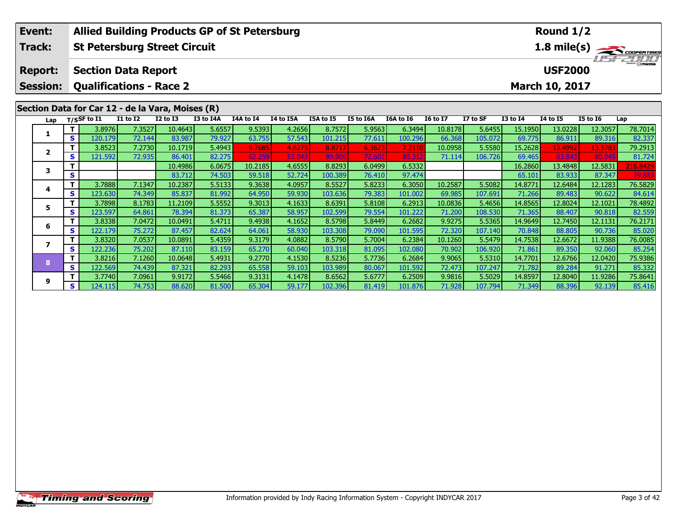| Event:          |    | <b>Allied Building Products GP of St Petersburg</b> |                                                                                                                        |         |           |           |           |         |           |           |                 |          | Round $1/2$     |                |                 |             |  |  |
|-----------------|----|-----------------------------------------------------|------------------------------------------------------------------------------------------------------------------------|---------|-----------|-----------|-----------|---------|-----------|-----------|-----------------|----------|-----------------|----------------|-----------------|-------------|--|--|
| Track:          |    | <b>St Petersburg Street Circuit</b>                 |                                                                                                                        |         |           |           |           |         |           |           |                 |          |                 |                |                 | 1.8 mile(s) |  |  |
| <b>Report:</b>  |    | <b>Section Data Report</b>                          |                                                                                                                        |         |           |           |           |         |           |           |                 |          |                 | <b>USF2000</b> |                 | 1157 2017   |  |  |
| <b>Session:</b> |    | <b>Qualifications - Race 2</b>                      |                                                                                                                        |         |           |           |           |         |           |           |                 |          |                 | March 10, 2017 |                 |             |  |  |
|                 |    |                                                     | Section Data for Car 12 - de la Vara, Moises (R)<br><b>I1 to I2</b><br><b>I2 to I3</b><br>I5A to I5<br><b>I4 to I5</b> |         |           |           |           |         |           |           |                 |          |                 |                |                 |             |  |  |
| Lap             |    | $T/S$ SF to $\overline{11}$                         |                                                                                                                        |         | I3 to I4A | I4A to I4 | I4 to I5A |         | I5 to I6A | I6A to I6 | <b>I6 to I7</b> | I7 to SF | <b>I3 to I4</b> |                | <b>I5 to 16</b> | Lap         |  |  |
| 1               |    | 3.8976                                              | 7.3527                                                                                                                 | 10.4643 | 5.6557    | 9.5393    | 4.2656    | 8.7572  | 5.9563    | 6.3494    | 10.8178         | 5.6455   | 15.1950         | 13.0228        | 12.3057         | 78.7014     |  |  |
|                 | S  | 120.179                                             | 72.144                                                                                                                 | 83.987  | 79.927    | 63.755    | 57.543    | 101.215 | 77.611    | 100.296   | 66.368          | 105.072  | 69.775          | 86.911         | 89.316          | 82.337      |  |  |
| $\mathbf{2}$    |    | 3.8523                                              | 7.2730                                                                                                                 | 10.1719 | 5.4943    | 9.7685    | 4.6275    | 8.8717  | 6.3673    | 7.2110    | 10.0958         | 5.5580   | 15.2628         | 13.4992        | 13.578          | 79.2913     |  |  |
|                 | S  | 121.592                                             | 72.935                                                                                                                 | 86.401  | 82.275    | 62.259    | 53.043    | 99.90   | 72.601    | 88.31     | 71.114          | 106.726  | 69.465          | 83,843         | 80.94           | 81.724      |  |  |
| 3               |    |                                                     |                                                                                                                        | 10.4986 | 6.0675    | 10.2185   | 4.6555    | 8.8293  | 6.0499    | 6.5332    |                 |          | 16.2860         | 13.4848        | 12.5831         | 216.8429    |  |  |
|                 | S. |                                                     |                                                                                                                        | 83.712  | 74.503    | 59.518    | 52.724    | 100.389 | 76.410    | 97.474    |                 |          | 65.101          | 83.933         | 87.347          | 29.883      |  |  |
| 4               | т  | 3.7888                                              | 7.1347                                                                                                                 | 10.2387 | 5.5133    | 9.3638    | 4.0957    | 8.5527  | 5.8233    | 6.3050    | 10.2587         | 5.5082   | 14.8771         | 12.6484        | 12.1283         | 76.5829     |  |  |
|                 | S  | 123.630                                             | 74.349                                                                                                                 | 85.837  | 81.992    | 64.950    | 59.930    | 103.636 | 79.383    | 101.002   | 69.985          | 107.691  | 71.266          | 89.483         | 90.622          | 84.614      |  |  |
| 5               | т  | 3.7898                                              | 8.1783                                                                                                                 | 11.2109 | 5.5552    | 9.3013    | 4.1633    | 8.6391  | 5.8108    | 6.2913    | 10.0836         | 5.4656   | 14.8565         | 12.8024        | 12.1021         | 78.4892     |  |  |
|                 | S  | 123.597                                             | 64.861                                                                                                                 | 78.394  | 81.373    | 65.387    | 58.957    | 102.599 | 79.554    | 101.222   | 71.200          | 108.530  | 71.365          | 88.407         | 90.818          | 82.559      |  |  |
| 6               | т  | 3.8338                                              | 7.0472                                                                                                                 | 10.0491 | 5.4711    | 9.4938    | 4.1652    | 8.5798  | 5.8449    | 6.2682    | 9.9275          | 5.5365   | 14.9649         | 12.7450        | 12.1131         | 76.2171     |  |  |
|                 | S  | 122.179                                             | 75.272                                                                                                                 | 87.457  | 82.624    | 64.061    | 58.930    | 103.308 | 79.090    | 101.595   | 72.320          | 107.140  | 70.848          | 88.805         | 90.736          | 85.020      |  |  |
| $\overline{ }$  | т  | 3.8320                                              | 7.0537                                                                                                                 | 10.0891 | 5.4359    | 9.3179    | 4.0882    | 8.5790  | 5.7004    | 6.2384    | 10.1260         | 5.5479   | 14.7538         | 12.6672        | 11.9388         | 76.0085     |  |  |
|                 | S. | 122.236                                             | 75.202                                                                                                                 | 87.110  | 83.159    | 65.270    | 60.040    | 103.318 | 81.095    | 102.080   | 70.902          | 106.920  | 71.861          | 89.350         | 92.060          | 85.254      |  |  |
| 8               | T  | 3.8216                                              | 7.1260                                                                                                                 | 10.0648 | 5.4931    | 9.2770    | 4.1530    | 8.5236  | 5.7736    | 6.2684    | 9.9065          | 5.5310   | 14.7701         | 12.6766        | 12.0420         | 75.9386     |  |  |
|                 | S  | 122.569                                             | 74.439                                                                                                                 | 87.321  | 82.293    | 65.558    | 59.103    | 103.989 | 80.067    | 101.592   | 72.473          | 107.247  | 71.782          | 89.284         | 91.271          | 85.332      |  |  |
| 9               |    | 3.7740                                              | 7.0961                                                                                                                 | 9.9172  | 5.5466    | 9.3131    | 4.1478    | 8.6562  | 5.6777    | 6.2509    | 9.9816          | 5.5029   | 14.8597         | 12.8040        | 11.9286         | 75.8641     |  |  |
|                 | S. | 124.115                                             | 74.753                                                                                                                 | 88.620  | 81.500    | 65.304    | 59.177    | 102.396 | 81.419    | 101.876   | 71.928          | 107.794  | 71.349          | 88.396         | 92.139          | 85.416      |  |  |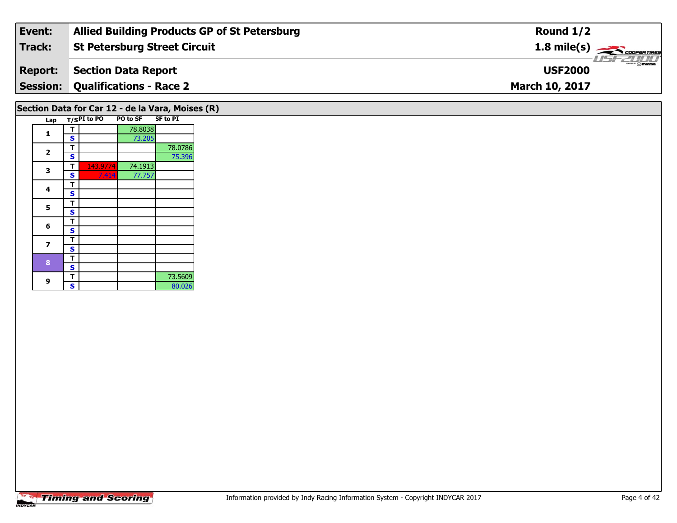| Event:         | <b>Allied Building Products GP of St Petersburg</b> | Round $1/2$                             |
|----------------|-----------------------------------------------------|-----------------------------------------|
| Track:         | <b>St Petersburg Street Circuit</b>                 | $1.8$ mile(s) $\rightarrow$ COOPERTIRES |
| <b>Report:</b> | Section Data Report                                 | <b>LISF 2000</b><br><b>USF2000</b>      |
|                | <b>Session: Qualifications - Race 2</b>             | <b>March 10, 2017</b>                   |
|                |                                                     |                                         |

# **Section Data for Car 12 - de la Vara, Moises (R)**

|  | Lap                     |   | $T/SPI$ to PO | <b>PO to SF</b> | <b>SF to PI</b> |
|--|-------------------------|---|---------------|-----------------|-----------------|
|  | 1                       | т |               | 78.8038         |                 |
|  |                         | S |               | 73.205          |                 |
|  | $\overline{\mathbf{2}}$ | т |               |                 | 78.0786         |
|  |                         | S |               |                 | 75.396          |
|  | 3                       | т | 143.9774      | 74.1913         |                 |
|  |                         | S | 7.414         | 77.757          |                 |
|  | 4                       | т |               |                 |                 |
|  |                         | S |               |                 |                 |
|  | 5                       | т |               |                 |                 |
|  |                         | S |               |                 |                 |
|  | 6                       | т |               |                 |                 |
|  |                         | S |               |                 |                 |
|  |                         | т |               |                 |                 |
|  | 7<br>8<br>9             | S |               |                 |                 |
|  |                         | т |               |                 |                 |
|  |                         | S |               |                 |                 |
|  |                         | т |               |                 | 73.5609         |
|  |                         | S |               |                 | 80.026          |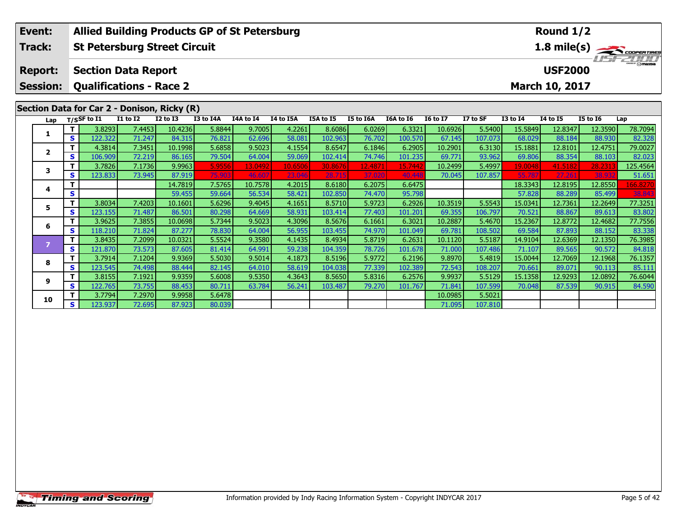| Event:                            |              | <b>Allied Building Products GP of St Petersburg</b>          |                  |                   |                  |                  |                  |                   |                  |                   |                   | Round 1/2         |                   |                                  |                   |                                            |  |
|-----------------------------------|--------------|--------------------------------------------------------------|------------------|-------------------|------------------|------------------|------------------|-------------------|------------------|-------------------|-------------------|-------------------|-------------------|----------------------------------|-------------------|--------------------------------------------|--|
| <b>Track:</b>                     |              | <b>St Petersburg Street Circuit</b>                          |                  |                   |                  |                  |                  |                   |                  |                   |                   |                   |                   |                                  |                   | $\frac{1.8 \text{ mile(s)}}{1.57 - 21.00}$ |  |
| <b>Report:</b><br><b>Session:</b> |              | <b>Section Data Report</b><br><b>Qualifications - Race 2</b> |                  |                   |                  |                  |                  |                   |                  |                   |                   |                   |                   | <b>USF2000</b><br>March 10, 2017 |                   |                                            |  |
|                                   |              | Section Data for Car 2 - Donison, Ricky (R)                  |                  |                   |                  |                  |                  |                   |                  |                   |                   |                   |                   |                                  |                   |                                            |  |
| Lap                               |              | T/SSF to I1                                                  | <b>I1 to I2</b>  | <b>I2 to I3</b>   | I3 to I4A        | I4A to I4        | I4 to I5A        | I5A to I5         | I5 to I6A        | I6A to I6         | <b>I6 to I7</b>   | I7 to SF          | <b>I3 to I4</b>   | <b>14 to 15</b>                  | <b>I5 to 16</b>   | Lap                                        |  |
| 1                                 | т            | 3.8293                                                       | 7.4453           | 10.4236           | 5.8844           | 9.7005           | 4.2261           | 8.6086            | 6.0269           | 6.3321            | 10.6926           | 5.5400            | 15.5849           | 12.8347                          | 12.3590           | 78.7094                                    |  |
|                                   | $\mathbf{s}$ | 122.322                                                      | 71.247           | 84.315            | 76.821           | 62.696           | 58.081           | 102.963           | 76.702           | 100.570           | 67.145            | 107.073           | 68.029            | 88.184                           | 88.930            | 82.328                                     |  |
| 2                                 | Т            | 4.3814                                                       | 7.3451           | 10.1998           | 5.6858           | 9.5023           | 4.1554           | 8.6547            | 6.1846           | 6.2905            | 10.2901           | 6.3130            | 15.1881           | 12.8101                          | 12.4751           | 79.0027                                    |  |
|                                   | S            | 106.909                                                      | 72.219           | 86.165            | 79.504           | 64.004           | 59.069           | 102.414           | 74.746           | 101.235           | 69.771            | 93.962            | 69.806            | 88.354                           | 88.103            | 82.023                                     |  |
| 3                                 | т            | 3.7826                                                       | 7.1736           | 9.9963            | 5.9556           | 13.0492          | 10.6506          | 30.8676           | 12.487           | 15.7442           | 10.2499           | 5.4997            | 19.0048           | 41.5182                          | 28.231            | 125.4564                                   |  |
|                                   | S            | 123.833                                                      | 73.945           | 87.919            | 75.903           | 46.60            | 23.046           | 28.715            | 37.020           | 40.44             | 70.045            | 107.857           | 55.787            | 27.261                           | 38.93             | 51.651                                     |  |
| 4                                 | т            |                                                              |                  | 14.7819           | 7.5765           | 10.7578          | 4.2015           | 8.6180            | 6.2075           | 6.6475            |                   |                   | 18.3343           | 12.8195                          | 12.8550           | 166.8270                                   |  |
|                                   | S            |                                                              |                  | 59.455            | 59.664           | 56.534           | 58.421           | 102.850           | 74.470           | 95.798            |                   |                   | 57.828            | 88.289                           | 85.499            | 38.843                                     |  |
| 5                                 | $\mathbf T$  | 3.8034                                                       | 7.4203           | 10.1601           | 5.6296           | 9.4045           | 4.1651           | 8.5710            | 5.9723           | 6.2926            | 10.3519           | 5.5543            | 15.0341           | 12.7361                          | 12.2649           | 77.3251                                    |  |
|                                   | S            | 123.155                                                      | 71.487           | 86.501            | 80.298           | 64.669           | 58.931           | 103.414           | 77.403           | 101.201           | 69.355            | 106.797           | 70.521            | 88.867                           | 89.613            | 83.802                                     |  |
| 6                                 | т<br>S       | 3.9625                                                       | 7.3855           | 10.0698<br>87.277 | 5.7344           | 9.5023           | 4.3096           | 8.5676            | 6.1661<br>74.970 | 6.3021            | 10.2887           | 5.4670            | 15.2367           | 12.8772                          | 12.4682           | 77.7556                                    |  |
|                                   | т            | 118.210<br>3.8435                                            | 71.824<br>7.2099 | 10.0321           | 78.830<br>5.5524 | 64.004<br>9.3580 | 56.955<br>4.1435 | 103.455<br>8.4934 | 5.8719           | 101.049<br>6.2631 | 69.781<br>10.1120 | 108.502<br>5.5187 | 69.584<br>14.9104 | 87.893<br>12.6369                | 88.152<br>12.1350 | 83.338<br>76.3985                          |  |
| $\overline{ }$                    | S            | 121.870                                                      | 73.573           | 87.605            | 81.414           | 64.991           | 59.238           | 104.359           | 78.726           | 101.678           | 71.000            | 107.486           | 71.107            | 89.565                           | 90.572            | 84.818                                     |  |
|                                   | т            | 3.7914                                                       | 7.1204           | 9.9369            | 5.5030           | 9.5014           | 4.1873           | 8.5196            | 5.9772           | 6.2196            | 9.8970            | 5.4819            | 15.0044           | 12.7069                          | 12.1968           | 76.1357                                    |  |
| 8                                 | S            | 123.545                                                      | 74.498           | 88.444            | 82.145           | 64.010           | 58.619           | 104.038           | 77.339           | 102.389           | 72.543            | 108.207           | 70.661            | 89.071                           | 90.113            | 85.111                                     |  |
|                                   | Т            | 3.8155                                                       | 7.1921           | 9.9359            | 5.6008           | 9.5350           | 4.3643           | 8.5650            | 5.8316           | 6.2576            | 9.9937            | 5.5129            | 15.1358           | 12.9293                          | 12.0892           | 76.6044                                    |  |
| 9                                 | S            | 122.765                                                      | 73.755           | 88.453            | 80.711           | 63.784           | 56.241           | 103.487           | 79.270           | 101.767           | 71.841            | 107.599           | 70.048            | 87.539                           | 90.915            | 84.590                                     |  |
|                                   | Т            | 3.7794                                                       | 7.2970           | 9.9958            | 5.6478           |                  |                  |                   |                  |                   | 10.0985           | 5.5021            |                   |                                  |                   |                                            |  |
| 10                                | $\mathbf{s}$ | 123.937                                                      | 72.695           | 87.923            | 80.039           |                  |                  |                   |                  |                   | 71.095            | 107.810           |                   |                                  |                   |                                            |  |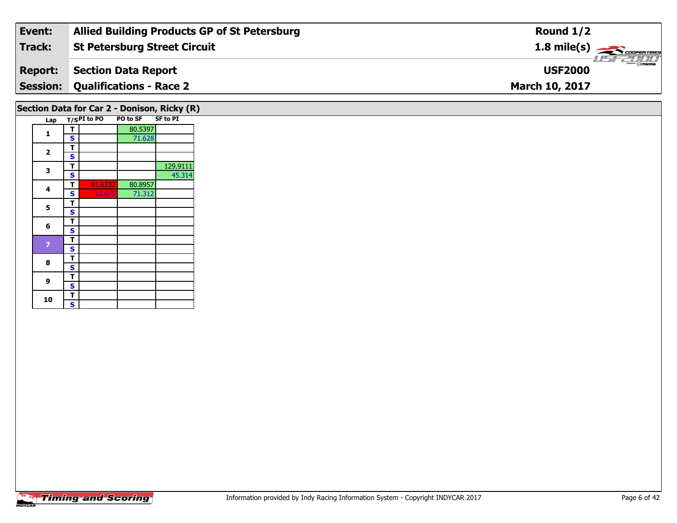| Event:         | <b>Allied Building Products GP of St Petersburg</b> | Round $1/2$                     |
|----------------|-----------------------------------------------------|---------------------------------|
| Track:         | St Petersburg Street Circuit                        | 1.8 mile(s)                     |
| <b>Report:</b> | Section Data Report                                 | <b>Omazna</b><br><b>USF2000</b> |
|                | <b>Session: Qualifications - Race 2</b>             | <b>March 10, 2017</b>           |
|                |                                                     |                                 |

#### Lap T/S<sup>PI</sup> to PO PO to SF SF to PI **1d T S** 80.5397<br>**S** 71.628 2  $\frac{1}{s}$  $rac{s}{T}$ **3T** 129.9111 **S** 45.314 45.314 **4 <sup>T</sup>** 81.6332 80.8957 **<sup>S</sup>** 13.075 71.31271.312 5  $\frac{1}{s}$  $rac{s}{t}$ 6  $\frac{1}{s}$  $\overline{\mathbf{T}}$ 7  $\frac{1}{s}$ 8  $\frac{1}{s}$  $\overline{\mathbf{s}}$ **9**9 <mark>「S</mark>  $\frac{10}{\text{S}}$ **Section Data for Car 2 - Donison, Ricky (R)**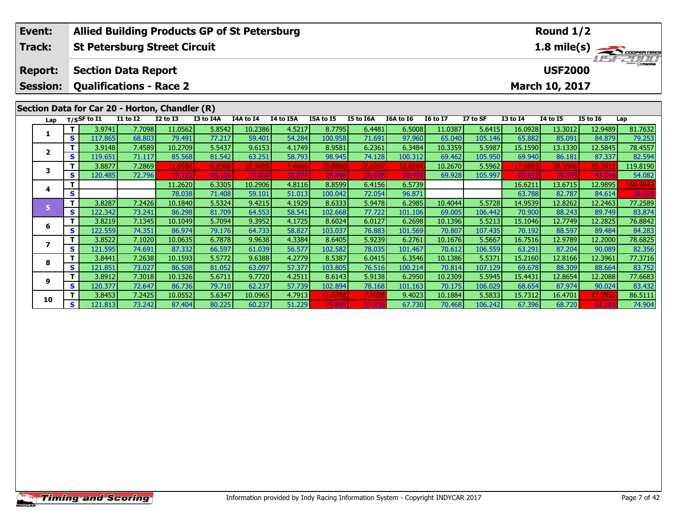| Event:          |              |                                                |                 |                   | <b>Allied Building Products GP of St Petersburg</b> |                   |                  |                   |                  |                  |                 | Round 1/2      |                   |                                                                                       |                   |                    |  |  |
|-----------------|--------------|------------------------------------------------|-----------------|-------------------|-----------------------------------------------------|-------------------|------------------|-------------------|------------------|------------------|-----------------|----------------|-------------------|---------------------------------------------------------------------------------------|-------------------|--------------------|--|--|
| Track:          |              | <b>St Petersburg Street Circuit</b>            |                 |                   |                                                     |                   |                  |                   |                  |                  |                 |                |                   | 1.8 mile(s) $\frac{1}{\sqrt{1-\frac{1}{2}}\sqrt{1-\frac{1}{2}}\sqrt{1-\frac{1}{2}}}}$ |                   |                    |  |  |
|                 |              |                                                |                 |                   |                                                     |                   |                  |                   |                  |                  |                 |                |                   |                                                                                       |                   |                    |  |  |
| <b>Report:</b>  |              | <b>Section Data Report</b>                     |                 |                   |                                                     |                   |                  |                   |                  |                  |                 | <b>USF2000</b> |                   |                                                                                       |                   |                    |  |  |
| <b>Session:</b> |              | <b>Qualifications - Race 2</b>                 |                 |                   |                                                     |                   |                  |                   |                  |                  |                 |                |                   | March 10, 2017                                                                        |                   |                    |  |  |
|                 |              |                                                |                 |                   |                                                     |                   |                  |                   |                  |                  |                 |                |                   |                                                                                       |                   |                    |  |  |
|                 |              | Section Data for Car 20 - Horton, Chandler (R) |                 |                   |                                                     |                   |                  |                   |                  |                  |                 |                |                   |                                                                                       |                   |                    |  |  |
| Lap             |              | T/SSF to I1                                    | <b>I1 to I2</b> | <b>I2 to I3</b>   | I3 to I4A                                           | I4A to I4         | I4 to I5A        | I5A to I5         | I5 to I6A        | I6A to I6        | <b>16 to 17</b> | I7 to SF       | <b>I3 to I4</b>   | <b>I4 to I5</b>                                                                       | <b>I5 to 16</b>   | Lap                |  |  |
| 1               | т            | 3.9741                                         | 7.7098          | 11.0562           | 5.8542                                              | 10.2386           | 4.5217           | 8.7795            | 6.4481           | 6.5008           | 11.0387         | 5.6415         | 16.0928           | 13.3012                                                                               | 12.9489           | 81.7632            |  |  |
|                 | $\mathbf{s}$ | 117.865                                        | 68.803          | 79.491            | 77.217                                              | 59.401            | 54.284           | 100.958           | 71.691           | 97.960           | 65.040          | 105.146        | 65.882            | 85.091                                                                                | 84.879            | 79.253             |  |  |
| $\mathbf{2}$    | т            | 3.9148                                         | 7.4589          | 10.2709           | 5.5437                                              | 9.6153            | 4.1749           | 8.9581            | 6.2361           | 6.3484           | 10.3359         | 5.5987         | 15.1590           | 13.1330                                                                               | 12.5845           | 78.4557            |  |  |
|                 | S            | 119.651                                        | 71.117          | 85.568            | 81.542                                              | 63.251            | 58.793           | 98.945            | 74.128           | 100.312          | 69.462          | 105.950        | 69.940            | 86.181                                                                                | 87.337            | 82.594             |  |  |
| 3               | т            | 3.8877                                         | 7.2869          | 11.6992           | 6.9368                                              | 10.5495           | 7.4666           | 30.8880           | 12.6207          | 12.6204          | 10.2670         | 5.5962         | 17.4863           | 38.3546                                                                               | 25.241            | 119.8190           |  |  |
|                 | S            | 120.485                                        | 72.796          | 75.122<br>11.2620 | 65.166                                              | 57.65             | 32.874           | 28.696            | 36.628           | 50.45            | 69.928          | 105.997        | 60.632            | 29.509                                                                                | 43.54             | 54.082             |  |  |
| 4               | S            |                                                |                 | 78.038            | 6.3305<br>71.408                                    | 10.2906<br>59.101 | 4.8116<br>51.013 | 8.8599<br>100.042 | 6.4156<br>72.054 | 6.5739<br>96.871 |                 |                | 16.6211<br>63.788 | 13.6715<br>82.787                                                                     | 12.9895<br>84.614 | 168.9043<br>38.365 |  |  |
|                 | т            | 3.8287                                         | 7.2426          | 10.1840           | 5.5324                                              | 9.4215            | 4.1929           | 8.6333            | 5.9478           | 6.2985           | 10.4044         | 5.5728         | 14.9539           | 12.8262                                                                               | 12.2463           | 77.2589            |  |  |
| 5 <sup>1</sup>  | S            | 122.342                                        | 73.241          | 86.298            | 81.709                                              | 64.553            | 58.541           | 102.668           | 77.722           | 101.106          | 69.005          | 106.442        | 70.900            | 88.243                                                                                | 89.749            | 83.874             |  |  |
|                 | т            | 3.8219                                         | 7.1345          | 10.1049           | 5.7094                                              | 9.3952            | 4.1725           | 8.6024            | 6.0127           | 6.2698           | 10.1396         | 5.5213         | 15.1046           | 12.7749                                                                               | 12.2825           | 76.8842            |  |  |
| 6               | $\mathbf{s}$ | 122.559                                        | 74.351          | 86.974            | 79.176                                              | 64.733            | 58.827           | 103.037           | 76.883           | 101.569          | 70.807          | 107.435        | 70.192            | 88.597                                                                                | 89.484            | 84.283             |  |  |
|                 | т            | 3.8522                                         | 7.1020          | 10.0635           | 6.7878                                              | 9.9638            | 4.3384           | 8.6405            | 5.9239           | 6.2761           | 10.1676         | 5.5667         | 16.7516           | 12.9789                                                                               | 12.2000           | 78.6825            |  |  |
| 7               | S            | 121.595                                        | 74.691          | 87.332            | 66.597                                              | 61.039            | 56.577           | 102.582           | 78.035           | 101.467          | 70.612          | 106.559        | 63.291            | 87.204                                                                                | 90.089            | 82.356             |  |  |
|                 |              | 3.8441                                         | 7.2638          | 10.1593           | 5.5772                                              | 9.6388            | 4.2779           | 8.5387            | 6.0415           | 6.3546           | 10.1386         | 5.5371         | 15.2160           | 12.8166                                                                               | 12.3961           | 77.3716            |  |  |
| 8               | S            | 121.851                                        | 73.027          | 86.508            | 81.052                                              | 63.097            | 57.377           | 103.805           | 76.516           | 100.214          | 70.814          | 107.129        | 69.678            | 88.309                                                                                | 88.664            | 83.752             |  |  |
|                 | т            | 3.8912                                         | 7.3018          | 10.1326           | 5.6711                                              | 9.7720            | 4.2511           | 8.6143            | 5.9138           | 6.2950           | 10.2309         | 5.5945         | 15.4431           | 12.8654                                                                               | 12.2088           | 77.6683            |  |  |
| 9               | S            | 120.377                                        | 72.647          | 86.736            | 79.710                                              | 62.237            | 57.739           | 102.894           | 78.168           | 101.163          | 70.175          | 106.029        | 68.654            | 87.974                                                                                | 90.024            | 83.432             |  |  |
| 10              |              | 3.8453                                         | 7.2425          | 10.0552           | 5.6347                                              | 10.0965           | 4.7913           | 11.6788           | 7.9928           | 9.4023           | 10.1884         | 5.5833         | 15.7312           | 16.4701                                                                               | 17.395            | 86.5111            |  |  |
|                 | S            | 121.813                                        | 73.242          | 87.404            | 80.225                                              | 60.237            | 51.229           | 75.895            | 57.836           | 67.730           | 70.468          | 106.242        | 67.396            | 68.720                                                                                | 63.18             | 74.904             |  |  |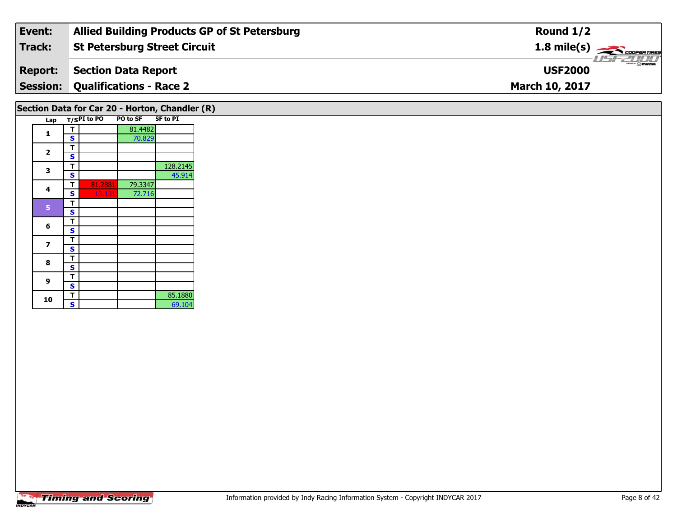| Event:         | <b>Allied Building Products GP of St Petersburg</b> | Round $1/2$                               |
|----------------|-----------------------------------------------------|-------------------------------------------|
| Track:         | St Petersburg Street Circuit                        | $1.8$ mile(s) $\rightarrow$ COOPERTIRES   |
| <b>Report:</b> | Section Data Report                                 | $\frac{2\pi}{2}$ omazoa<br><b>USF2000</b> |
|                | <b>Session: Qualifications - Race 2</b>             | <b>March 10, 2017</b>                     |
|                |                                                     |                                           |

## **Section Data for Car 20 - Horton, Chandler (R)**

| Lap                     |   | $T/SPI$ to PO | <b>PO to SF</b> | <b>SF to PI</b> |
|-------------------------|---|---------------|-----------------|-----------------|
|                         | т |               | 81.4482         |                 |
| 1                       | S |               | 70.829          |                 |
|                         | т |               |                 |                 |
| 2                       | S |               |                 |                 |
| 3                       | т |               |                 | 128.2145        |
|                         | S |               |                 | 45.914          |
| 4                       | т | 81.2881       | 79.3347         |                 |
|                         | S | 13.131        | 72.716          |                 |
| 5                       | т |               |                 |                 |
|                         | S |               |                 |                 |
| 6                       | т |               |                 |                 |
|                         | S |               |                 |                 |
| $\overline{\mathbf{z}}$ | т |               |                 |                 |
|                         | S |               |                 |                 |
| 8                       | т |               |                 |                 |
|                         | S |               |                 |                 |
| 9                       | т |               |                 |                 |
|                         | S |               |                 |                 |
|                         | т |               |                 | 85.1880         |
| 10                      | S |               |                 | 69.104          |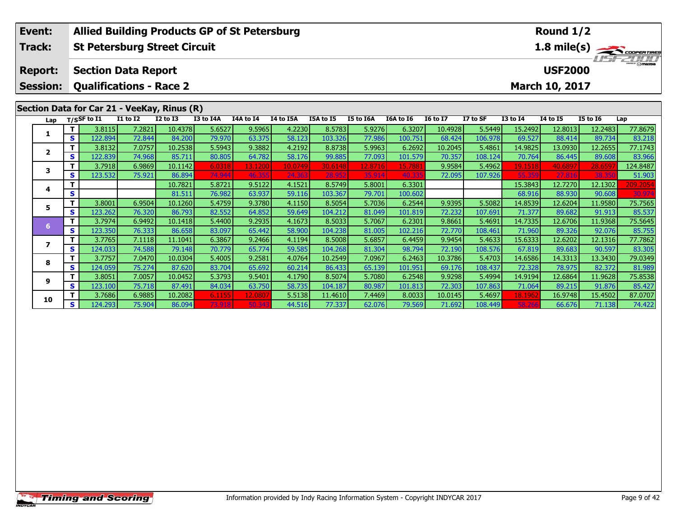| Event:                   |              | <b>Allied Building Products GP of St Petersburg</b> |                  |                   |                  |                  |                  |                   |                  |                  | Round 1/2        |                   |                   |                   |                   |                                             |
|--------------------------|--------------|-----------------------------------------------------|------------------|-------------------|------------------|------------------|------------------|-------------------|------------------|------------------|------------------|-------------------|-------------------|-------------------|-------------------|---------------------------------------------|
| Track:                   |              | <b>St Petersburg Street Circuit</b>                 |                  |                   |                  |                  |                  |                   |                  |                  |                  |                   |                   |                   |                   | $\frac{1.8 \text{ mile(s)}}{1157 - 211111}$ |
|                          |              |                                                     |                  |                   |                  |                  |                  |                   |                  |                  |                  |                   |                   |                   |                   |                                             |
| <b>Report:</b>           |              | <b>Section Data Report</b>                          |                  |                   |                  |                  |                  |                   |                  |                  |                  |                   |                   | <b>USF2000</b>    |                   |                                             |
| <b>Session:</b>          |              | <b>Qualifications - Race 2</b>                      |                  |                   |                  |                  |                  |                   |                  |                  |                  |                   |                   | March 10, 2017    |                   |                                             |
|                          |              |                                                     |                  |                   |                  |                  |                  |                   |                  |                  |                  |                   |                   |                   |                   |                                             |
|                          |              | Section Data for Car 21 - VeeKay, Rinus (R)         |                  |                   |                  |                  |                  |                   |                  |                  |                  |                   |                   |                   |                   |                                             |
| Lap                      |              | $T/S$ SF to $I1$                                    | <b>I1 to I2</b>  | <b>I2 to I3</b>   | <b>I3 to I4A</b> | I4A to I4        | I4 to I5A        | I5A to I5         | I5 to I6A        | I6A to I6        | <b>I6 to I7</b>  | I7 to SF          | <b>I3 to I4</b>   | <b>I4 to I5</b>   | <b>I5 to 16</b>   | Lap                                         |
| 1                        |              | 3.8115                                              | 7.2821           | 10.4378           | 5.6527           | 9.5965           | 4.2230           | 8.5783            | 5.9276           | 6.3207           | 10.4928          | 5.5449            | 15.2492           | 12.8013           | 12.2483           | 77.8679                                     |
|                          | $\mathbf{s}$ | 122.894                                             | 72.844           | 84.200            | 79.970           | 63.375           | 58.123           | 103.326           | 77.986           | 100.751          | 68.424           | 106.978           | 69.527            | 88.414            | 89.734            | 83.218                                      |
| $\overline{2}$           | т            | 3.8132                                              | 7.0757           | 10.2538           | 5.5943           | 9.3882           | 4.2192           | 8.8738            | 5.9963           | 6.2692           | 10.2045          | 5.4861            | 14.9825           | 13.0930           | 12.2655           | 77.1743                                     |
|                          | S            | 122.839                                             | 74.968           | 85.711            | 80.805           | 64.782           | 58.176           | 99.885            | 77.093           | 101.579          | 70.357           | 108.124           | 70.764            | 86.445            | 89.608            | 83.966                                      |
| 3                        | т            | 3.7918                                              | 6.9869           | 10.1142           | 6.0318           | 13.1200          | 10.0749          | 30.6148           | 12.8716          | 15.788           | 9.9584           | 5.4962            | 19.1518           | 40.689            | 28.659            | 124.8487                                    |
|                          | S            | 123.532                                             | 75.921           | 86.894            | 74.944           | 46.35            | 24.363           | 28.95             | 35.914           | 40.33            | 72.095           | 107.926           | 55.359            | 27.816            | 38.35             | 51.903                                      |
| 4                        | т            |                                                     |                  | 10.7821           | 5.8721           | 9.5122           | 4.1521           | 8.5749            | 5.8001           | 6.3301           |                  |                   | 15.3843           | 12.7270           | 12.1302           | 209.2054                                    |
|                          | S            |                                                     |                  | 81.511            | 76.982           | 63.937           | 59.116           | 103.367           | 79.701           | 100.602          |                  |                   | 68.916            | 88.930            | 90.608            | 30.974                                      |
| 5                        | т            | 3.8001                                              | 6.9504           | 10.1260           | 5.4759           | 9.3780           | 4.1150           | 8.5054            | 5.7036           | 6.2544           | 9.9395           | 5.5082            | 14.8539           | 12.6204           | 11.9580           | 75.7565                                     |
|                          | S            | 123.262                                             | 76.320           | 86.793            | 82.552           | 64.852           | 59.649           | 104.212           | 81.049           | 101.819          | 72.232           | 107.691           | 71.377            | 89.682            | 91.913            | 85.537                                      |
| 6                        | т            | 3.7974                                              | 6.9492           | 10.1418           | 5.4400           | 9.2935           | 4.1673           | 8.5033            | 5.7067           | 6.2301           | 9.8661           | 5.4691            | 14.7335           | 12.6706           | 11.9368           | 75.5645                                     |
|                          | S<br>т       | 123.350                                             | 76.333           | 86.658            | 83.097           | 65.442           | 58.900           | 104.238           | 81.005           | 102.216          | 72.770           | 108.461           | 71.960            | 89.326            | 92.076            | 85.755                                      |
| $\overline{\phantom{a}}$ | $\mathbf{s}$ | 3.7765<br>124.033                                   | 7.1118<br>74.588 | 11.1041<br>79.148 | 6.3867<br>70.779 | 9.2466<br>65.774 | 4.1194<br>59.585 | 8.5008<br>104.268 | 5.6857<br>81.304 | 6.4459<br>98.794 | 9.9454<br>72.190 | 5.4633<br>108.576 | 15.6333<br>67.819 | 12.6202<br>89.683 | 12.1316<br>90.597 | 77.7862<br>83.305                           |
|                          | т            | 3.7757                                              | 7.0470           | 10.0304           | 5.4005           | 9.2581           | 4.0764           | 10.2549           | 7.0967           | 6.2463           | 10.3786          | 5.4703            | 14.6586           | 14.3313           | 13.3430           | 79.0349                                     |
| 8                        | $\mathbf{s}$ | 124.059                                             | 75.274           | 87.620            | 83.704           | 65.692           | 60.214           | 86.433            | 65.139           | 101.951          | 69.176           | 108.437           | 72.328            | 78.975            | 82.372            | 81.989                                      |
|                          | т            | 3.8051                                              | 7.0057           | 10.0452           | 5.3793           | 9.5401           | 4.1790           | 8.5074            | 5.7080           | 6.2548           | 9.9298           | 5.4994            | 14.9194           | 12.6864           | 11.9628           | 75.8538                                     |
| 9                        | S            | 123.100                                             | 75.718           | 87.491            | 84.034           | 63.750           | 58.735           | 104.187           | 80.987           | 101.813          | 72.303           | 107.863           | 71.064            | 89.215            | 91.876            | 85.427                                      |
|                          |              | 3.7686                                              | 6.9885           | 10.2082           | 6.1155           | 12.080           | 5.5138           | 11.4610           | 7.4469           | 8.0033           | 10.0145          | 5.4697            | 18.1962           | 16.9748           | 15.4502           | 87.0707                                     |
| 10                       | S            |                                                     |                  |                   |                  |                  |                  |                   |                  |                  |                  |                   |                   |                   |                   |                                             |
|                          |              | 124.293                                             | 75.904           | 86.094            | 73.918           | 50.34            | 44.516           | 77.337            | 62.076           | 79.569           | 71.692           | 108.449           | 58.26             | 66.676            | 71.138            | 74.422                                      |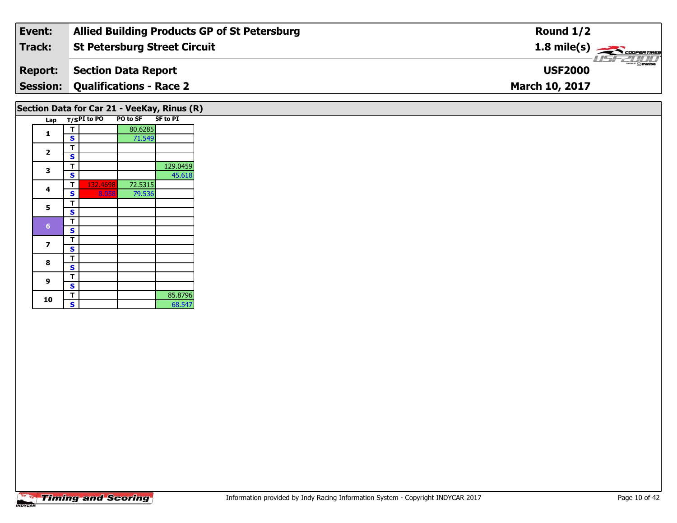| Event:         | <b>Allied Building Products GP of St Petersburg</b> | Round $1/2$                               |
|----------------|-----------------------------------------------------|-------------------------------------------|
| Track:         | <b>St Petersburg Street Circuit</b>                 | $1.8 \text{ mile(s)}$                     |
| <b>Report:</b> | Section Data Report                                 | $\frac{2\pi}{2}$ omazoa<br><b>USF2000</b> |
|                | <b>Session: Qualifications - Race 2</b>             | <b>March 10, 2017</b>                     |
|                |                                                     |                                           |

#### Lap T/S<sup>PI</sup> to PO PO to SF SF to PI **1d T S** 80.6285 2  $\frac{1}{s}$  $rac{s}{T}$ **3 <sup>T</sup>** 129.0459 **<sup>S</sup>** 45.61845.618 **4 <sup>T</sup>** 132.4698 72.5315 **<sup>S</sup>** 8.058 79.53679.536 5  $\frac{1}{s}$  $rac{s}{t}$  $\frac{1}{s}$  $\overline{\mathbf{T}}$ 7  $\frac{1}{s}$  $rac{s}{T}$ 8  $\frac{1}{s}$  $\overline{\mathbf{s}}$ **9**9 <mark>「S</mark> **10d T** 85.8796<br>**S** 68.547 68.547 **Section Data for Car 21 - VeeKay, Rinus (R)**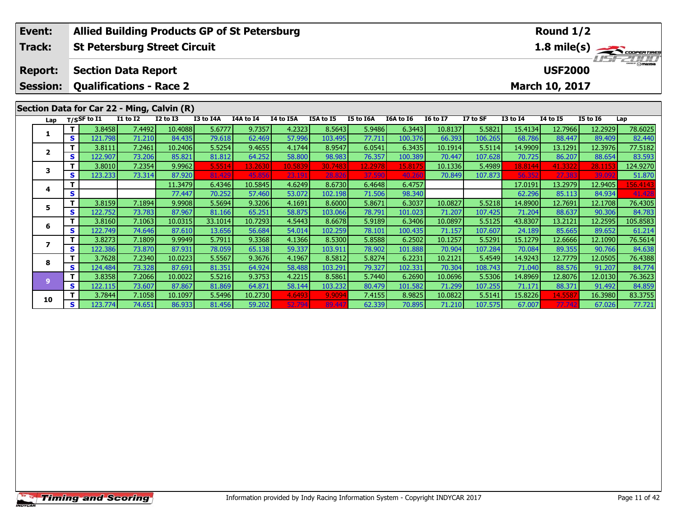|                                                                     | Event:         |              | <b>Allied Building Products GP of St Petersburg</b> |                  |                  |                  |                  |                   |                  |                   |                  |                   |                   |                   | Round 1/2        |                  |                                             |
|---------------------------------------------------------------------|----------------|--------------|-----------------------------------------------------|------------------|------------------|------------------|------------------|-------------------|------------------|-------------------|------------------|-------------------|-------------------|-------------------|------------------|------------------|---------------------------------------------|
|                                                                     | Track:         |              | <b>St Petersburg Street Circuit</b>                 |                  |                  |                  |                  |                   |                  |                   |                  |                   |                   |                   |                  |                  | $\frac{1.8 \text{ mile(s)}}{1157 - 211111}$ |
|                                                                     |                |              |                                                     |                  |                  |                  |                  |                   |                  |                   |                  |                   |                   |                   |                  |                  |                                             |
|                                                                     | <b>Report:</b> |              | <b>Section Data Report</b>                          |                  |                  |                  |                  |                   |                  |                   |                  |                   |                   |                   | <b>USF2000</b>   |                  |                                             |
| <b>Qualifications - Race 2</b><br>March 10, 2017<br><b>Session:</b> |                |              |                                                     |                  |                  |                  |                  |                   |                  |                   |                  |                   |                   |                   |                  |                  |                                             |
|                                                                     |                |              |                                                     |                  |                  |                  |                  |                   |                  |                   |                  |                   |                   |                   |                  |                  |                                             |
| Section Data for Car 22 - Ming, Calvin (R)                          |                |              |                                                     |                  |                  |                  |                  |                   |                  |                   |                  |                   |                   |                   |                  |                  |                                             |
|                                                                     | Lap            |              | $T/S$ SF to $I1$                                    | <b>I1 to I2</b>  | <b>I2 to I3</b>  | I3 to I4A        | I4A to I4        | I4 to I5A         | I5A to I5        | I5 to I6A         | I6A to I6        | <b>I6 to I7</b>   | I7 to SF          | <b>I3 to I4</b>   | <b>14 to 15</b>  | <b>I5 to 16</b>  | Lap                                         |
|                                                                     | 1              | Т            | 3.8458                                              | 7.4492           | 10.4088          | 5.6777           | 9.7357           | 4.2323            | 8.5643           | 5.9486            | 6.3443           | 10.8137           | 5.5821            | 15.4134           | 12.7966          | 12.2929          | 78.6025                                     |
|                                                                     |                | S            | 121.798                                             | 71.210           | 84.435           | 79.618           | 62.469           | 57.996            | 103.495          | 77.711            | 100.376          | 66.393            | 106.265           | 68.786            | 88.447           | 89.409           | 82.440                                      |
|                                                                     | $\overline{2}$ | т            | 3.8111                                              | 7.2461           | 10.2406          | 5.5254           | 9.4655           | 4.1744            | 8.9547           | 6.0541            | 6.3435           | 10.1914           | 5.5114            | 14.9909           | 13.1291          | 12.3976          | 77.5182                                     |
|                                                                     |                | S            | 122.907                                             | 73.206           | 85.821           | 81.812           | 64.252           | 58.800            | 98.983           | 76.357            | 100.389          | 70.447            | 107.628           | 70.725            | 86.207           | 88.654           | 83.593                                      |
|                                                                     | 3              | S            | 3.8010<br>123.233                                   | 7.2354<br>73.314 | 9.9962<br>87.920 | 5.5514<br>81.429 | 13.2630<br>45.85 | 10.5839<br>23.191 | 30.7483<br>28.82 | 12.2978<br>37.590 | 15.8175<br>40.26 | 10.1336<br>70.849 | 5.4989<br>107.873 | 18.8144<br>56.352 | 41.3322<br>27.38 | 28.1153<br>39.09 | 124.9270<br>51.870                          |
|                                                                     |                | т            |                                                     |                  | 11.3479          | 6.4346           | 10.5845          | 4.6249            | 8.6730           | 6.4648            | 6.4757           |                   |                   | 17.0191           | 13.2979          | 12.9405          | 156.4143                                    |
|                                                                     | 4              | S            |                                                     |                  | 77.447           | 70.252           | 57.460           | 53.072            | 102.198          | 71.506            | 98.340           |                   |                   | 62.296            | 85.113           | 84.934           | 41.428                                      |
|                                                                     |                | т            | 3.8159                                              | 7.1894           | 9.9908           | 5.5694           | 9.3206           | 4.1691            | 8.6000           | 5.8671            | 6.3037           | 10.0827           | 5.5218            | 14.8900           | 12.7691          | 12.1708          | 76.4305                                     |
|                                                                     | 5              | S            | 122.752                                             | 73.783           | 87.967           | 81.166           | 65.251           | 58.875            | 103.066          | 78.791            | 101.023          | 71.207            | 107.425           | 71.204            | 88.637           | 90.306           | 84.783                                      |
|                                                                     |                | т            | 3.8160                                              | 7.1063           | 10.0315          | 33.1014          | 10.7293          | 4.5443            | 8.6678           | 5.9189            | 6.3406           | 10.0897           | 5.5125            | 43.8307           | 13.2121          | 12.2595          | 105.8583                                    |
|                                                                     | 6              | S            | 122.749                                             | 74.646           | 87.610           | 13.656           | 56.684           | 54.014            | 102.259          | 78.101            | 100.435          | 71.157            | 107.607           | 24.189            | 85.665           | 89.652           | 61.214                                      |
|                                                                     |                | т            | 3.8273                                              | 7.1809           | 9.9949           | 5.7911           | 9.3368           | 4.1366            | 8.5300           | 5.8588            | 6.2502           | 10.1257           | 5.5291            | 15.1279           | 12.6666          | 12.1090          | 76.5614                                     |
|                                                                     | 7              | S            | 122.386                                             | 73.870           | 87.931           | 78.059           | 65.138           | 59.337            | 103.911          | 78.902            | 101.888          | 70.904            | 107.284           | 70.084            | 89.355           | 90.766           | 84.638                                      |
|                                                                     | 8              | т            | 3.7628                                              | 7.2340           | 10.0223          | 5.5567           | 9.3676           | 4.1967            | 8.5812           | 5.8274            | 6.2231           | 10.2121           | 5.4549            | 14.9243           | 12.7779          | 12.0505          | 76.4388                                     |
|                                                                     |                | $\mathbf{s}$ | 124.484                                             | 73.328           | 87.691           | 81.351           | 64.924           | 58.488            | 103.291          | 79.327            | 102.331          | 70.304            | 108.743           | 71.040            | 88.576           | 91.207           | 84.774                                      |
|                                                                     | 9              | $\mathbf T$  | 3.8358                                              | 7.2066           | 10.0022          | 5.5216           | 9.3753           | 4.2215            | 8.5861           | 5.7440            | 6.2690           | 10.0696           | 5.5306            | 14.8969           | 12.8076          | 12.0130          | 76.3623                                     |
|                                                                     |                | S            | 122.115                                             | 73.607           | 87.867           | 81.869           | 64.871           | 58.144            | 103.232          | 80.479            | 101.582          | 71.299            | 107.255           | 71.171            | 88.371           | 91.492           | 84.859                                      |
|                                                                     | 10             |              | 3.7844                                              | 7.1058           | 10.1097          | 5.5496           | 10.2730          | 4.6493            | 9.9094           | 7.4155            | 8.9825           | 10.0822           | 5.5141            | 15.8226           | 14.5587          | 16.3980          | 83.3755                                     |
|                                                                     |                | S            | 123.774                                             | 74.651           | 86.933           | 81.456           | 59.202           | 52.794            | 89.44            | 62.339            | 70.895           | 71.210            | 107.575           | 67.007            | 77.742           | 67.026           | 77.721                                      |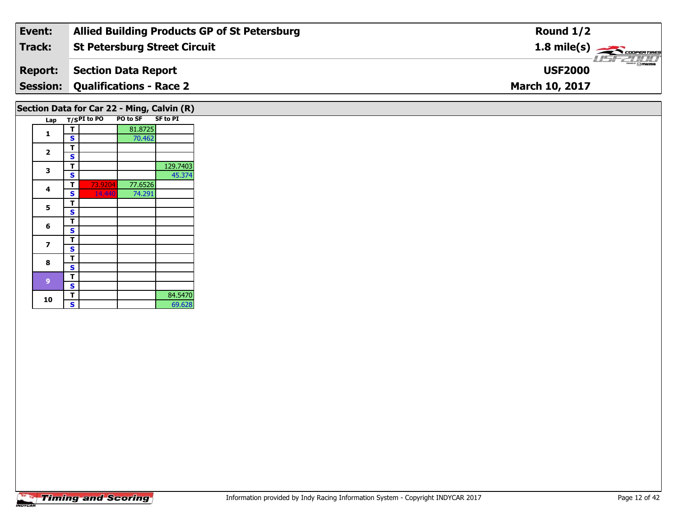| Event:         | <b>Allied Building Products GP of St Petersburg</b> | Round $1/2$                            |
|----------------|-----------------------------------------------------|----------------------------------------|
| Track:         | <b>St Petersburg Street Circuit</b>                 | $1.8 \text{ mile(s)}$                  |
| <b>Report:</b> | Section Data Report                                 | $\frac{2}{\sqrt{2}}$<br><b>USF2000</b> |
|                | <b>Session: Qualifications - Race 2</b>             | <b>March 10, 2017</b>                  |
|                |                                                     |                                        |

# **Section Data for Car 22 - Ming, Calvin (R)**

| Lap |   | $T/S$ PI to PO | PO to SF | <b>SF to PI</b> |
|-----|---|----------------|----------|-----------------|
| 1   | т |                | 81.8725  |                 |
|     | S |                | 70.462   |                 |
|     | т |                |          |                 |
| 2   | S |                |          |                 |
| 3   | т |                |          | 129.7403        |
|     | S |                |          | 45.374          |
| 4   | т | 73.9204        | 77.6526  |                 |
|     | S | 14.440         | 74.291   |                 |
|     | т |                |          |                 |
| 5   | S |                |          |                 |
| 6   | т |                |          |                 |
|     | S |                |          |                 |
| 7   | т |                |          |                 |
|     | S |                |          |                 |
| 8   | т |                |          |                 |
|     | S |                |          |                 |
| 9   | т |                |          |                 |
|     | S |                |          |                 |
|     | т |                |          | 84.5470         |
| 10  | S |                |          | 69.628          |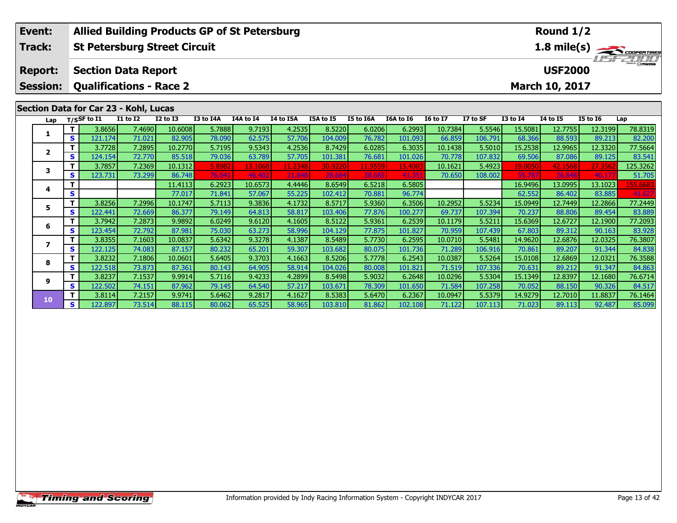|                                       | <b>Allied Building Products GP of St Petersburg</b><br>Event: |                                                  |                                     |                 |                 |           |           |                |           |                   |           |                 | Round 1/2 |                 |                 |                 |             |
|---------------------------------------|---------------------------------------------------------------|--------------------------------------------------|-------------------------------------|-----------------|-----------------|-----------|-----------|----------------|-----------|-------------------|-----------|-----------------|-----------|-----------------|-----------------|-----------------|-------------|
|                                       | Track:                                                        |                                                  | <b>St Petersburg Street Circuit</b> |                 |                 |           |           |                |           |                   |           |                 |           |                 |                 |                 | 1.8 mile(s) |
|                                       | <b>Report:</b>                                                |                                                  | <b>Section Data Report</b>          |                 |                 |           |           | <b>USF2000</b> |           | <b>The Common</b> |           |                 |           |                 |                 |                 |             |
|                                       | <b>Session:</b>                                               | <b>Qualifications - Race 2</b><br>March 10, 2017 |                                     |                 |                 |           |           |                |           |                   |           |                 |           |                 |                 |                 |             |
| Section Data for Car 23 - Kohl, Lucas |                                                               |                                                  |                                     |                 |                 |           |           |                |           |                   |           |                 |           |                 |                 |                 |             |
|                                       | Lap                                                           |                                                  | $T/S$ SF to $I1$                    | <b>I1 to I2</b> | <b>I2 to I3</b> | I3 to I4A | I4A to I4 | I4 to I5A      | I5A to I5 | I5 to I6A         | I6A to I6 | <b>16 to 17</b> | I7 to SF  | <b>I3 to 14</b> | <b>I4 to I5</b> | <b>I5 to 16</b> | Lap         |
|                                       | 1                                                             | т                                                | 3.8656                              | 7.4690          | 10.6008         | 5.7888    | 9.7193    | 4.2535         | 8.5220    | 6.0206            | 6.2993    | 10.7384         | 5.5546    | 15.5081         | 12.7755         | 12.3199         | 78.8319     |
|                                       |                                                               | S                                                | 121.174                             | 71.021          | 82.905          | 78.090    | 62.575    | 57.706         | 104.009   | 76.782            | 101.093   | 66.859          | 106.791   | 68.366          | 88.593          | 89.213          | 82.200      |
|                                       | $\mathbf{2}$                                                  |                                                  | 3.7728                              | 7.2895          | 10.2770         | 5.7195    | 9.5343    | 4.2536         | 8.7429    | 6.0285            | 6.3035    | 10.1438         | 5.5010    | 15.2538         | 12.9965         | 12.3320         | 77.5664     |
|                                       |                                                               | S                                                | 124.154                             | 72.770          | 85.518          | 79.036    | 63.789    | 57.705         | 101.381   | 76.681            | 101.026   | 70.778          | 107.832   | 69.506          | 87.086          | 89.125          | 83.541      |
|                                       | 3                                                             | т                                                | 3.7857                              | 7.2369          | 10.1312         | 5.8982    | 13.1068   | 11.2348        | 30.9220   | 11.9559           | 15.4003   | 10.1621         | 5.4923    | 19.0050         | 42.1568         | 27.356          | 125.3262    |
|                                       |                                                               | S                                                | 123.731                             | 73.299          | 86.748          | 76.641    | 46.402    | 21.848         | 28.664    | 38.665            | 41.35     | 70.650          | 108.002   | 55.78           | 26.848          | 40.17           | 51.705      |
|                                       | 4                                                             |                                                  |                                     |                 | 11.4113         | 6.2923    | 10.6573   | 4.4446         | 8.6549    | 6.5218            | 6.5805    |                 |           | 16.9496         | 13.0995         | 13.1023         | 155.6683    |
|                                       |                                                               | S                                                |                                     |                 | 77.017          | 71.841    | 57.067    | 55.225         | 102.412   | 70.881            | 96.774    |                 |           | 62.552          | 86.402          | 83.885          | 41.627      |
|                                       | 5.                                                            | т                                                | 3.8256                              | 7.2996          | 10.1747         | 5.7113    | 9.3836    | 4.1732         | 8.5717    | 5.9360            | 6.3506    | 10.2952         | 5.5234    | 15.0949         | 12.7449         | 12.2866         | 77.2449     |
|                                       |                                                               | s                                                | 122.441                             | 72.669          | 86.377          | 79.149    | 64.813    | 58.817         | 103.406   | 77.876            | 100.277   | 69.737          | 107.394   | 70.237          | 88.806          | 89.454          | 83.889      |
|                                       | 6                                                             | т                                                | 3.7942                              | 7.2873          | 9.9892          | 6.0249    | 9.6120    | 4.1605         | 8.5122    | 5.9361            | 6.2539    | 10.1179         | 5.5211    | 15.6369         | 12.6727         | 12.1900         | 77.2093     |
|                                       |                                                               | S                                                | 123.454                             | 72.792          | 87.981          | 75.030    | 63.273    | 58.996         | 104.129   | 77.875            | 101.827   | 70.959          | 107.439   | 67.803          | 89.312          | 90.163          | 83.928      |
|                                       | 7                                                             |                                                  | 3.8355                              | 7.1603          | 10.0837         | 5.6342    | 9.3278    | 4.1387         | 8.5489    | 5.7730            | 6.2595    | 10.0710         | 5.5481    | 14.9620         | 12.6876         | 12.0325         | 76.3807     |
|                                       |                                                               | S                                                | 122.125                             | 74.083          | 87.157          | 80.232    | 65.201    | 59.307         | 103.682   | 80.075            | 101.736   | 71.289          | 106.916   | 70.861          | 89.207          | 91.344          | 84.838      |
|                                       | 8                                                             |                                                  | 3.8232                              | 7.1806          | 10.0601         | 5.6405    | 9.3703    | 4.1663         | 8.5206    | 5.7778            | 6.2543    | 10.0387         | 5.5264    | 15.0108         | 12.6869         | 12.0321         | 76.3588     |
|                                       |                                                               | S                                                | 122.518                             | 73.873          | 87.361          | 80.143    | 64.905    | 58.914         | 104.026   | 80.008            | 101.821   | 71.519          | 107.336   | 70.631          | 89.212          | 91.347          | 84.863      |
|                                       | 9                                                             |                                                  | 3.8237                              | 7.1537          | 9.9914          | 5.7116    | 9.4233    | 4.2899         | 8.5498    | 5.9032            | 6.2648    | 10.0296         | 5.5304    | 15.1349         | 12.8397         | 12.1680         | 76.6714     |
|                                       |                                                               | S                                                | 122.502                             | 74.151          | 87.962          | 79.145    | 64.540    | 57.217         | 103.671   | 78.309            | 101.650   | 71.584          | 107.258   | 70.052          | 88.150          | 90.326          | 84.517      |

0 T 3.8114| 7.2157| 9.9741| 5.6462| 9.2817| 4.1627| 8.5383| 5.6470| 6.2367| 10.0947| 5.5379| 14.9279| 12.7010| 11.8837| 76.1464<br>| S 122.897| 73.514| 88.115| 80.062| 65.525| 58.965| 103.810| 81.862| 102.108| 71.122| 107.113

**10**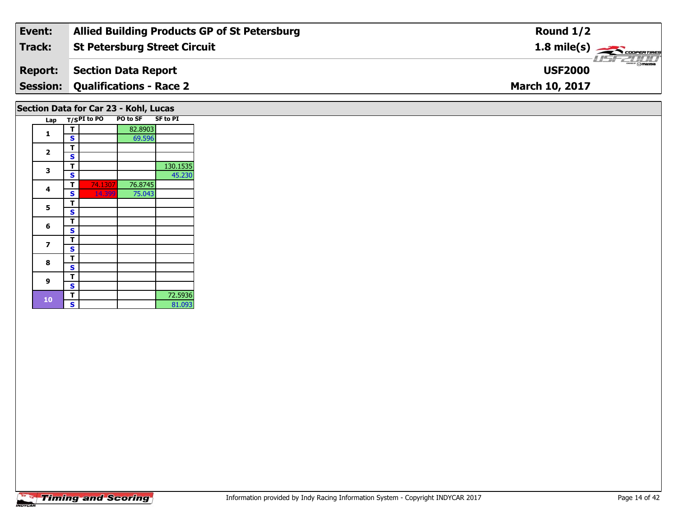| Event:         | <b>Allied Building Products GP of St Petersburg</b> | Round $1/2$                             |
|----------------|-----------------------------------------------------|-----------------------------------------|
| Track:         | <b>St Petersburg Street Circuit</b>                 | $1.8$ mile(s) $\rightarrow$ COOPERTIRES |
| <b>Report:</b> | Section Data Report                                 | <b>Omazpa</b><br><b>USF2000</b>         |
|                | <b>Session: Qualifications - Race 2</b>             | <b>March 10, 2017</b>                   |
|                |                                                     |                                         |

## **Section Data for Car 23 - Kohl, Lucas**

|  | Lap                     |   | $T/SPI$ to PO | <b>PO to SF</b> | <b>SF to PI</b> |
|--|-------------------------|---|---------------|-----------------|-----------------|
|  | 1                       | т |               | 82.8903         |                 |
|  |                         | S |               | 69.596          |                 |
|  |                         | т |               |                 |                 |
|  | $\overline{\mathbf{2}}$ | S |               |                 |                 |
|  |                         | т |               |                 | 130.1535        |
|  | 3                       | S |               |                 | 45.230          |
|  |                         | т | 74.1307       | 76.8745         |                 |
|  | 4                       | S | 14.399        | 75.043          |                 |
|  |                         | т |               |                 |                 |
|  | 5                       | S |               |                 |                 |
|  |                         | т |               |                 |                 |
|  | 6                       | S |               |                 |                 |
|  |                         | т |               |                 |                 |
|  | 7                       | S |               |                 |                 |
|  | 8                       | т |               |                 |                 |
|  |                         | S |               |                 |                 |
|  |                         | т |               |                 |                 |
|  | 9                       | S |               |                 |                 |
|  |                         | т |               |                 | 72.5936         |
|  | 10                      | S |               |                 | 81.093          |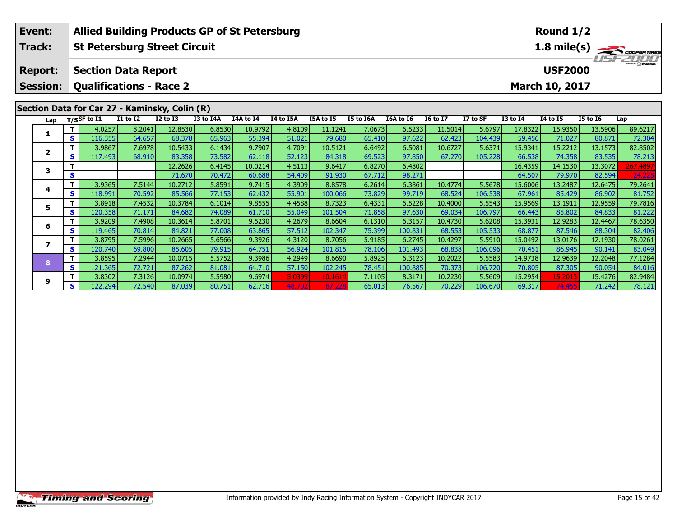|                                               | Event:          |    | <b>Allied Building Products GP of St Petersburg</b> |                 |                 |           |           |                |           |           |           |                 |          |                 | Round 1/2       |                 |             |
|-----------------------------------------------|-----------------|----|-----------------------------------------------------|-----------------|-----------------|-----------|-----------|----------------|-----------|-----------|-----------|-----------------|----------|-----------------|-----------------|-----------------|-------------|
|                                               | Track:          |    | <b>St Petersburg Street Circuit</b>                 |                 |                 |           |           |                |           |           |           |                 |          |                 |                 |                 | 1.8 mile(s) |
|                                               | <b>Report:</b>  |    | <b>Section Data Report</b>                          |                 |                 |           |           | <b>USF2000</b> |           | 157721111 |           |                 |          |                 |                 |                 |             |
|                                               | <b>Session:</b> |    | <b>Qualifications - Race 2</b>                      |                 |                 |           |           |                |           |           |           |                 |          |                 | March 10, 2017  |                 |             |
| Section Data for Car 27 - Kaminsky, Colin (R) |                 |    |                                                     |                 |                 |           |           |                |           |           |           |                 |          |                 |                 |                 |             |
|                                               | Lap             |    | $T/S$ SF to $\overline{11}$                         | <b>I1 to I2</b> | <b>I2 to I3</b> | I3 to I4A | I4A to I4 | I4 to I5A      | I5A to I5 | I5 to I6A | I6A to I6 | <b>16 to 17</b> | I7 to SF | <b>I3 to I4</b> | <b>14 to 15</b> | <b>I5 to 16</b> | Lap         |
|                                               |                 |    | 4.0257                                              | 8.2041          | 12.8530         | 6.8530    | 10.9792   | 4.8109         | 11.1241   | 7.0673    | 6.5233    | 11.5014         | 5.6797   | 17.8322         | 15.9350         | 13.5906         | 89.6217     |
|                                               | 1               | S. | 116.355                                             | 64.657          | 68.378          | 65.963    | 55.394    | 51.021         | 79.680    | 65.410    | 97.622    | 62.423          | 104.439  | 59.456          | 71.027          | 80.871          | 72.304      |
|                                               |                 |    | 3.9867                                              | 7.6978          | 10.5433         | 6.1434    | 9.7907    | 4.7091         | 10.5121   | 6.6492    | 6.5081    | 10.6727         | 5.6371   | 15.9341         | 15.2212         | 13.1573         | 82.8502     |
|                                               | $\mathbf{2}$    | S  | 117.493                                             | 68.910          | 83.358          | 73.582    | 62.118    | 52.123         | 84.318    | 69.523    | 97.850    | 67.270          | 105.228  | 66.538          | 74.358          | 83.535          | 78.213      |
|                                               | 3               |    |                                                     |                 | 12.2626         | 6.4145    | 10.0214   | 4.5113         | 9.6417    | 6.8270    | 6.4802    |                 |          | 16.4359         | 14.1530         | 13.3072         | 267.4897    |
|                                               |                 | S  |                                                     |                 | 71.670          | 70.472    | 60.688    | 54.409         | 91.930    | 67.712    | 98.271    |                 |          | 64.507          | 79.970          | 82.594          | 24.225      |
|                                               | 4               | т  | 3.9365                                              | 7.5144          | 10.2712         | 5.8591    | 9.7415    | 4.3909         | 8.8578    | 6.2614    | 6.3861    | 10.4774         | 5.5678   | 15.6006         | 13.2487         | 12.6475         | 79.2641     |
|                                               |                 | S  | 118.991                                             | 70.592          | 85.566          | 77.153    | 62.432    | 55.901         | 100.066   | 73.829    | 99.719    | 68.524          | 106.538  | 67.961          | 85.429          | 86.902          | 81.752      |
|                                               | 5               | т  | 3.8918                                              | 7.4532          | 10.3784         | 6.1014    | 9.8555    | 4.4588         | 8.7323    | 6.4331    | 6.5228    | 10.4000         | 5.5543   | 15.9569         | 13.1911         | 12.9559         | 79.7816     |
|                                               |                 | S  | 120.358                                             | 71.171          | 84.682          | 74.089    | 61.710    | 55.049         | 101.504   | 71.858    | 97.630    | 69.034          | 106.797  | 66.443          | 85.802          | 84.833          | 81.222      |
|                                               | 6               |    | 3.9209                                              | 7.4908          | 10.3614         | 5.8701    | 9.5230    | 4.2679         | 8.6604    | 6.1310    | 6.3157    | 10.4730         | 5.6208   | 15.3931         | 12.9283         | 12.4467         | 78.6350     |
|                                               |                 | S. | 119.465                                             | 70.814          | 84.821          | 77.008    | 63.865    | 57.512         | 102.347   | 75.399    | 100.831   | 68.553          | 105.533  | 68.877          | 87.546          | 88.304          | 82.406      |
|                                               | $\overline{ }$  |    | 3.8795                                              | 7.5996          | 10.2665         | 5.6566    | 9.3926    | 4.3120         | 8.7056    | 5.9185    | 6.2745    | 10.4297         | 5.5910   | 15.0492         | 13.0176         | 12.1930         | 78.0261     |
|                                               |                 | S. | 120.740                                             | 69.800          | 85.605          | 79.915    | 64.751    | 56.924         | 101.815   | 78.106    | 101.493   | 68.838          | 106.096  | 70.451          | 86.945          | 90.141          | 83.049      |
|                                               | 8               | т  | 3.8595                                              | 7.2944          | 10.0715         | 5.5752    | 9.3986    | 4.2949         | 8.6690    | 5.8925    | 6.3123    | 10.2022         | 5.5583   | 14.9738         | 12.9639         | 12.2048         | 77.1284     |
|                                               |                 | S  | 121.365                                             | 72.721          | 87.262          | 81.081    | 64.710    | 57.150         | 102.245   | 78.451    | 100.885   | 70.373          | 106.720  | 70.805          | 87.305          | 90.054          | 84.016      |
|                                               | 9               |    | 3.8302                                              | 7.3126          | 10.0974         | 5.5980    | 9.6974    | 5.0399         | 10.1614   | 7.1105    | 8.3171    | 10.2230         | 5.5609   | 15.2954         | 15.201          | 15.4276         | 82.9484     |
|                                               |                 | S. | 122.294                                             | 72.540          | 87.039          | 80.751    | 62.716    | 48.702         |           | 65.013    | 76.567    | 70.229          | 106.670  | 69.317          | 74 455          | 71.242          | 78.121      |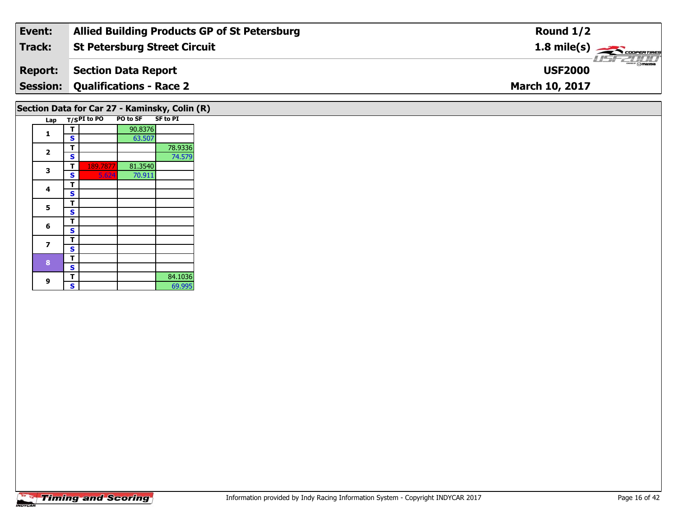| Event:         | <b>Allied Building Products GP of St Petersburg</b> | Round $1/2$                             |
|----------------|-----------------------------------------------------|-----------------------------------------|
| Track:         | <b>St Petersburg Street Circuit</b>                 | $1.8$ mile(s) $\rightarrow$ COOPERTIRES |
| <b>Report:</b> | Section Data Report                                 | <b>LISF 2000</b><br><b>USF2000</b>      |
|                | <b>Session: Qualifications - Race 2</b>             | <b>March 10, 2017</b>                   |
|                |                                                     |                                         |

## **Section Data for Car 27 - Kaminsky, Colin (R)**

|  | Lap                     |   | $T/S$ PI to PO | PO to SF SF to PI |         |
|--|-------------------------|---|----------------|-------------------|---------|
|  | 1                       | т |                | 90.8376           |         |
|  |                         | S |                | 63.507            |         |
|  | $\overline{\mathbf{2}}$ | т |                |                   | 78.9336 |
|  |                         | S |                |                   | 74.579  |
|  | 3                       | т | 189.7877       | 81.3540           |         |
|  |                         | S | 5.624          | 70.911            |         |
|  | 4                       | т |                |                   |         |
|  |                         | S |                |                   |         |
|  | 5                       | т |                |                   |         |
|  |                         | S |                |                   |         |
|  | 6                       | т |                |                   |         |
|  |                         | S |                |                   |         |
|  | 7                       | т |                |                   |         |
|  |                         | S |                |                   |         |
|  |                         | т |                |                   |         |
|  | 8<br>9                  | S |                |                   |         |
|  |                         | т |                |                   | 84.1036 |
|  |                         | S |                |                   | 69.995  |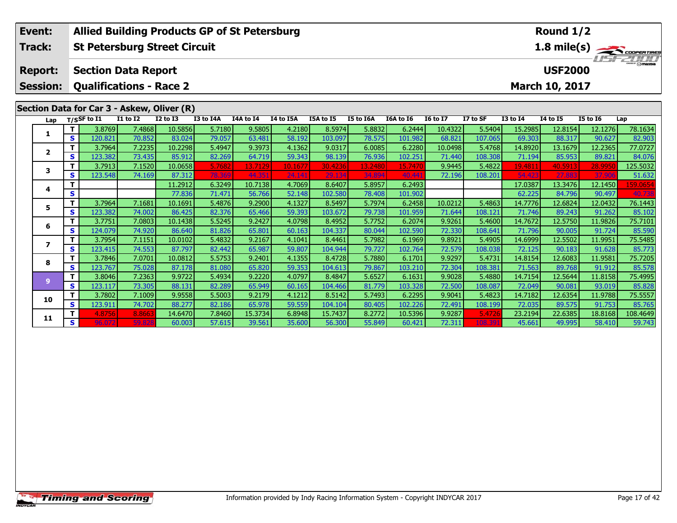|                                                                                                                                       | Event:         |                   |                                     |                 |                   | <b>Allied Building Products GP of St Petersburg</b> |                   |                  |                   |                  |           |                 |          |                   | Round 1/2         |                 |                                             |
|---------------------------------------------------------------------------------------------------------------------------------------|----------------|-------------------|-------------------------------------|-----------------|-------------------|-----------------------------------------------------|-------------------|------------------|-------------------|------------------|-----------|-----------------|----------|-------------------|-------------------|-----------------|---------------------------------------------|
|                                                                                                                                       | Track:         |                   | <b>St Petersburg Street Circuit</b> |                 |                   |                                                     |                   |                  |                   |                  |           |                 |          |                   |                   |                 | $\frac{1.8 \text{ mile(s)}}{1157 - 211111}$ |
| <b>Section Data Report</b><br><b>USF2000</b><br><b>Report:</b><br><b>Qualifications - Race 2</b><br>March 10, 2017<br><b>Session:</b> |                |                   |                                     |                 |                   |                                                     |                   |                  |                   |                  |           |                 |          |                   |                   |                 |                                             |
| Section Data for Car 3 - Askew, Oliver (R)                                                                                            |                |                   |                                     |                 |                   |                                                     |                   |                  |                   |                  |           |                 |          |                   |                   |                 |                                             |
|                                                                                                                                       | Lap            |                   | $T/S$ SF to I1                      | <b>I1 to I2</b> | <b>I2 to I3</b>   | I3 to I4A                                           | <b>I4A</b> to I4  | I4 to I5A        | I5A to I5         | I5 to I6A        | I6A to I6 | <b>I6 to I7</b> | I7 to SF | <b>I3 to I4</b>   | <b>I4 to I5</b>   | <b>I5 to 16</b> | Lap                                         |
|                                                                                                                                       |                | T                 | 3.8769                              | 7.4868          | 10.5856           | 5.7180                                              | 9.5805            | 4.2180           | 8.5974            | 5.8832           | 6.2444    | 10.4322         | 5.5404   | 15.2985           | 12.8154           | 12.1276         | 78.1634                                     |
|                                                                                                                                       | 1              | $\mathbf{s}$      | 120.821                             | 70.852          | 83.024            | 79.057                                              | 63.481            | 58.192           | 103.097           | 78.575           | 101.982   | 68.821          | 107.065  | 69.303            | 88.317            | 90.627          | 82.903                                      |
|                                                                                                                                       |                | т                 | 3.7964                              | 7.2235          | 10.2298           | 5.4947                                              | 9.3973            | 4.1362           | 9.0317            | 6.0085           | 6.2280    | 10.0498         | 5.4768   | 14.8920           | 13.1679           | 12.2365         | 77.0727                                     |
|                                                                                                                                       | $\overline{2}$ | $\mathbf{s}$      | 123.382                             | 73.435          | 85.912            | 82.269                                              | 64.719            | 59.343           | 98.139            | 76.936           | 102.251   | 71.440          | 108.308  | 71.194            | 85.953            | 89.821          | 84.076                                      |
|                                                                                                                                       | 3              | T                 | 3.7913                              | 7.1520          | 10.0658           | 5.7682                                              | 13.7129           | 10.1677          | 30.4236           | 13.2480          | 15.7470   | 9.9445          | 5.4822   | 19.4811           | 40.5913           | 28.9950         | 125.5032                                    |
|                                                                                                                                       |                | S                 | 123.548                             | 74.169          | 87.312            | 78.36                                               | 44.35             | 24.141           | 29.134            | 34.894           | 40.44     | 72.196          | 108.201  | 54.423            | 27.88             | 37.90           | 51.632                                      |
|                                                                                                                                       | 4              | т                 |                                     |                 | 11.2912           | 6.3249                                              | 10.7138           | 4.7069           | 8.6407            | 5.8957           | 6.2493    |                 |          | 17.0387           | 13.3476           | 12.1450         | 159.0654                                    |
|                                                                                                                                       |                | $\mathbf{s}$      |                                     |                 | 77.836            | 71.471                                              | 56.766            | 52.148           | 102.580           | 78.408           | 101.902   |                 |          | 62.225            | 84.796            | 90.497          | 40.73                                       |
|                                                                                                                                       | 5              | т                 | 3.7964                              | 7.1681          | 10.1691           | 5.4876                                              | 9.2900            | 4.1327           | 8.5497            | 5.7974           | 6.2458    | 10.0212         | 5.4863   | 14.7776           | 12.6824           | 12.0432         | 76.1443                                     |
|                                                                                                                                       |                | S                 | 123.382                             | 74.002          | 86.425            | 82.376                                              | 65.466            | 59.393           | 103.672           | 79.738           | 101.959   | 71.644          | 108.121  | 71.746            | 89.243            | 91.262          | 85.102                                      |
|                                                                                                                                       | 6              | T                 | 3.7751                              | 7.0803          | 10.1438           | 5.5245                                              | 9.2427            | 4.0798           | 8.4952            | 5.7752           | 6.2074    | 9.9261          | 5.4600   | 14.7672           | 12.5750           | 11.9826         | 75.7101                                     |
|                                                                                                                                       |                | $\mathbf{s}$      | 124.079                             | 74.920          | 86.640            | 81.826                                              | 65.801            | 60.163           | 104.337           | 80.044           | 102.590   | 72.330          | 108.641  | 71.796            | 90.005            | 91.724          | 85.590                                      |
|                                                                                                                                       | $\overline{ }$ | т                 | 3.7954                              | 7.1151          | 10.0102           | 5.4832                                              | 9.2167            | 4.1041           | 8.4461            | 5.7982           | 6.1969    | 9.8921          | 5.4905   | 14.6999           | 12.5502           | 11.9951         | 75.5485                                     |
|                                                                                                                                       |                | S                 | 123.415                             | 74.553          | 87.797            | 82.442                                              | 65.987            | 59.807           | 104.944           | 79.727           | 102.764   | 72.579          | 108.038  | 72.125            | 90.183            | 91.628          | 85.773                                      |
|                                                                                                                                       | 8              | T                 | 3.7846                              | 7.0701          | 10.0812           | 5.5753                                              | 9.2401            | 4.1355           | 8.4728            | 5.7880           | 6.1701    | 9.9297          | 5.4731   | 14.8154           | 12.6083           | 11.9581         | 75.7205                                     |
|                                                                                                                                       |                | S                 | 123.767                             | 75.028          | 87.178            | 81.080                                              | 65.820            | 59.353           | 104.613           | 79.867           | 103.210   | 72.304          | 108.381  | 71.563            | 89.768            | 91.912          | 85.578                                      |
|                                                                                                                                       | 9              | T                 | 3.8046                              | 7.2363          | 9.9722            | 5.4934                                              | 9.2220            | 4.0797           | 8.4847            | 5.6527           | 6.1631    | 9.9028          | 5.4880   | 14.7154           | 12.5644           | 11.8158         | 75.4995                                     |
|                                                                                                                                       |                | S                 | 123.117                             | 73.305          | 88.131            | 82.289                                              | 65.949            | 60.165           | 104.466           | 81.779           | 103.328   | 72.500          | 108.087  | 72.049            | 90.081            | 93.019          | 85.828                                      |
|                                                                                                                                       | 10             | т<br>$\mathbf{s}$ | 3.7802                              | 7.1009          | 9.9558            | 5.5003                                              | 9.2179            | 4.1212           | 8.5142            | 5.7493           | 6.2295    | 9.9041          | 5.4823   | 14.7182           | 12.6354           | 11.9788         | 75.5557                                     |
|                                                                                                                                       |                |                   | 123.911                             | 74.702          | 88.277            | 82.186                                              | 65.978            | 59.559           | 104.104           | 80.405           | 102.226   | 72.491          | 108.199  | 72.035            | 89.575            | 91.753          | 85.765                                      |
|                                                                                                                                       | 11             | T.<br>S.          | 4.8756                              | 8.866<br>59.82  | 14.6470<br>60.003 | 7.8460                                              | 15.3734<br>39.561 | 6.8948<br>35.600 | 15.7437<br>56.300 | 8.2772<br>55.849 | 10.5396   | 9.9287          | 5.4726   | 23.2194<br>45.661 | 22.6385<br>49.995 | 18.8168         | 108.4649                                    |
|                                                                                                                                       |                |                   | 96.072                              |                 |                   | 57.615                                              |                   |                  |                   |                  | 60.421    | 72.311          | 108.39   |                   |                   | 58.410          | 59.743                                      |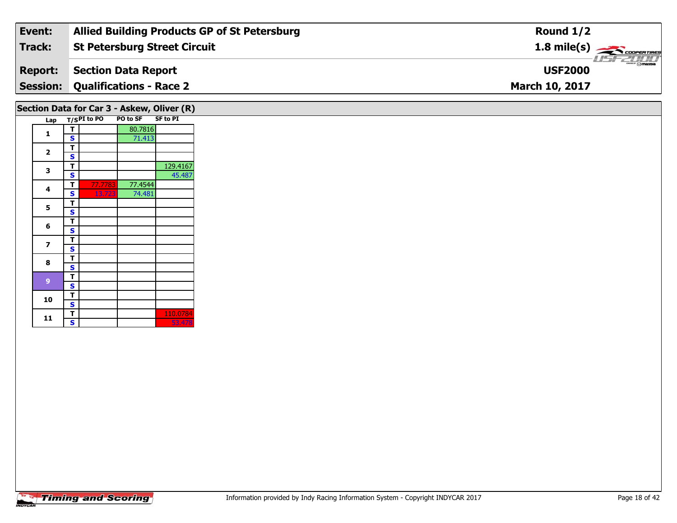| Event:         | <b>Allied Building Products GP of St Petersburg</b> | Round $1/2$                                                 |
|----------------|-----------------------------------------------------|-------------------------------------------------------------|
| Track:         | St Petersburg Street Circuit                        | $1.8$ mile(s) $\rightarrow$ COOPERTIRES                     |
| <b>Report:</b> | Section Data Report                                 | $\frac{2}{2}$ $\frac{1}{2}$ $\frac{1}{2}$<br><b>USF2000</b> |
|                | <b>Session: Qualifications - Race 2</b>             | <b>March 10, 2017</b>                                       |
|                |                                                     |                                                             |

# **Section Data for Car 3 - Askew, Oliver (R)**

| Lap |   | $T/SPI$ to PO | <b>PO to SF</b> | <b>SF to PI</b> |
|-----|---|---------------|-----------------|-----------------|
|     | т |               | 80.7816         |                 |
| 1   | S |               | 71.413          |                 |
|     | т |               |                 |                 |
| 2   | S |               |                 |                 |
|     | т |               |                 | 129.4167        |
| 3   | S |               |                 | 45.487          |
|     | т | 77.7783       | 77.4544         |                 |
| 4   | S | 13.723        | 74.481          |                 |
|     | т |               |                 |                 |
| 5   | S |               |                 |                 |
|     | т |               |                 |                 |
| 6   | S |               |                 |                 |
|     | T |               |                 |                 |
| 7   | S |               |                 |                 |
| 8   | т |               |                 |                 |
|     | S |               |                 |                 |
|     | т |               |                 |                 |
| 9   | S |               |                 |                 |
| 10  | т |               |                 |                 |
|     | S |               |                 |                 |
| 11  | T |               |                 | 110.0784        |
|     | S |               |                 | 53.478          |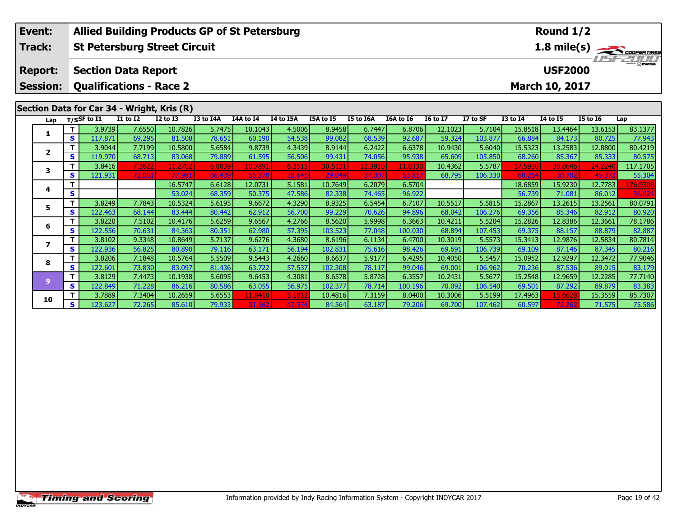| Event:                   |                                              | <b>Allied Building Products GP of St Petersburg</b> |                  |                  |                  |                 |                  | Round 1/2         |                   |                  |                   |                   |                   |                  |                  |                                                         |
|--------------------------|----------------------------------------------|-----------------------------------------------------|------------------|------------------|------------------|-----------------|------------------|-------------------|-------------------|------------------|-------------------|-------------------|-------------------|------------------|------------------|---------------------------------------------------------|
| Track:                   |                                              | <b>St Petersburg Street Circuit</b>                 |                  |                  |                  |                 |                  |                   |                   |                  |                   |                   |                   |                  |                  | $\frac{1.8 \text{ mile(s)}}{1.57 - 2.00 \text{ rad/s}}$ |
|                          |                                              |                                                     |                  |                  |                  |                 |                  |                   |                   |                  |                   |                   |                   |                  |                  |                                                         |
| <b>Report:</b>           | <b>USF2000</b><br><b>Section Data Report</b> |                                                     |                  |                  |                  |                 |                  |                   |                   |                  |                   |                   |                   |                  |                  |                                                         |
| <b>Session:</b>          |                                              | <b>Qualifications - Race 2</b>                      |                  |                  |                  |                 |                  |                   |                   |                  |                   |                   |                   | March 10, 2017   |                  |                                                         |
|                          |                                              |                                                     |                  |                  |                  |                 |                  |                   |                   |                  |                   |                   |                   |                  |                  |                                                         |
|                          |                                              | Section Data for Car 34 - Wright, Kris (R)          |                  |                  |                  |                 |                  |                   |                   |                  |                   |                   |                   |                  |                  |                                                         |
| Lap                      |                                              | $T/S$ SF to $I1$                                    | <b>I1 to I2</b>  | <b>I2 to I3</b>  | I3 to I4A        | I4A to I4       | I4 to I5A        | I5A to I5         | I5 to I6A         | I6A to I6        | <b>16 to 17</b>   | I7 to SF          | <b>I3 to I4</b>   | <b>I4 to I5</b>  | <b>I5 to 16</b>  | Lap                                                     |
| 1                        |                                              | 3.9739                                              | 7.6550           | 10.7826          | 5.7475           | 10.1043         | 4.5006           | 8.9458            | 6.7447            | 6.8706           | 12.1023           | 5.7104            | 15.8518           | 13.4464          | 13.6153          | 83.1377                                                 |
|                          | $\mathbf{s}$                                 | 117.871                                             | 69.295           | 81.508           | 78.651           | 60.190          | 54.538           | 99.082            | 68.539            | 92.687           | 59.324            | 103.877           | 66.884            | 84.173           | 80.725           | 77.943                                                  |
| $\overline{2}$           | т                                            | 3.9044                                              | 7.7199           | 10.5800          | 5.6584           | 9.8739          | 4.3439           | 8.9144            | 6.2422            | 6.6378           | 10.9430           | 5.6040            | 15.5323           | 13.2583          | 12.8800          | 80.4219                                                 |
|                          | S                                            | 119.970                                             | 68.713           | 83.068           | 79.889           | 61.595          | 56.506           | 99.431            | 74.056            | 95.938           | 65.609            | 105.850<br>5.5787 | 68.260            | 85.367           | 85.333           | 80.575                                                  |
| 3                        | S                                            | 3.8416<br>121.931                                   | 7.3622<br>72.051 | 11.2702<br>77.98 | 6.8039<br>66.439 | 10.7891<br>56.3 | 6.3515<br>38.645 | 30.513:<br>29.049 | 12.3910<br>37.307 | 11.8330<br>53.81 | 10.4362<br>68.795 | 106.330           | 17.5930<br>60.264 | 36.8646<br>30.70 | 24.2240<br>45.37 | 117.1705<br>55.304                                      |
|                          | т                                            |                                                     |                  | 16.5747          | 6.6128           | 12.0731         | 5.1581           | 10.7649           | 6.2079            | 6.5704           |                   |                   | 18.6859           | 15.9230          | 12.7783          | 176.9308                                                |
| 4                        | S                                            |                                                     |                  | 53.024           | 68.359           | 50.375          | 47.586           | 82.338            | 74.465            | 96.922           |                   |                   | 56.739            | 71.081           | 86.012           | 36.624                                                  |
|                          | т                                            | 3.8249                                              | 7.7843           | 10.5324          | 5.6195           | 9.6672          | 4.3290           | 8.9325            | 6.5454            | 6.7107           | 10.5517           | 5.5815            | 15.2867           | 13.2615          | 13.2561          | 80.0791                                                 |
| 5                        | S                                            | 122.463                                             | 68.144           | 83.444           | 80.442           | 62.912          | 56.700           | 99.229            | 70.626            | 94.896           | 68.042            | 106.276           | 69.356            | 85.346           | 82.912           | 80.920                                                  |
|                          | т                                            | 3.8220                                              | 7.5102           | 10.4176          | 5.6259           | 9.6567          | 4.2766           | 8.5620            | 5.9998            | 6.3663           | 10.4211           | 5.5204            | 15.2826           | 12.8386          | 12.3661          | 78.1786                                                 |
| 6                        | S                                            | 122.556                                             | 70.631           | 84.363           | 80.351           | 62.980          | 57.395           | 103.523           | 77.048            | 100.030          | 68.894            | 107.453           | 69.375            | 88.157           | 88.879           | 82.887                                                  |
|                          | т                                            | 3.8102                                              | 9.3348           | 10.8649          | 5.7137           | 9.6276          | 4.3680           | 8.6196            | 6.1134            | 6.4700           | 10.3019           | 5.5573            | 15.3413           | 12.9876          | 12.5834          | 80.7814                                                 |
| $\overline{\phantom{a}}$ | S                                            | 122.936                                             | 56.825           | 80.890           | 79.116           | 63.171          | 56.194           | 102.831           | 75.616            | 98.426           | 69.691            | 106.739           | 69.109            | 87.146           | 87.345           | 80.216                                                  |
| 8                        |                                              | 3.8206                                              | 7.1848           | 10.5764          | 5.5509           | 9.5443          | 4.2660           | 8.6637            | 5.9177            | 6.4295           | 10.4050           | 5.5457            | 15.0952           | 12.9297          | 12.3472          | 77.9046                                                 |
|                          | $\mathbf{s}$                                 | 122.601                                             | 73.830           | 83.097           | 81.436           | 63.722          | 57.537           | 102.308           | 78.117            | 99.046           | 69.001            | 106.962           | 70.236            | 87.536           | 89.015           | 83.179                                                  |
| 9                        | $\mathbf T$                                  | 3.8129                                              | 7.4473           | 10.1938          | 5.6095           | 9.6453          | 4.3081           | 8.6578            | 5.8728            | 6.3557           | 10.2431           | 5.5677            | 15.2548           | 12.9659          | 12.2285          | 77.7140                                                 |
|                          | S                                            | 122.849                                             | 71.228           | 86.216           | 80.586           | 63.055          | 56.975           | 102.377           | 78.714            | 100.196          | 70.092            | 106.540           | 69.501            | 87.292           | 89.879           | 83.383                                                  |
| 10                       |                                              | 3.7889                                              | 7.3404           | 10.2659          | 5.6553           | 11.8410         | 5.181            | 10.4816           | 7.3159            | 8.0400           | 10.3006           | 5.5199            | 17.4963           | 15.6628          | 15.3559          | 85.7307                                                 |
|                          | S                                            | 123.627                                             | 72.265           | 85.610           | 79.933           | 51.362          | 47.37            | 84.564            | 63.187            | 79.206           | 69.700            | 107.462           | 60.597            | 72.26            | 71.575           | 75.586                                                  |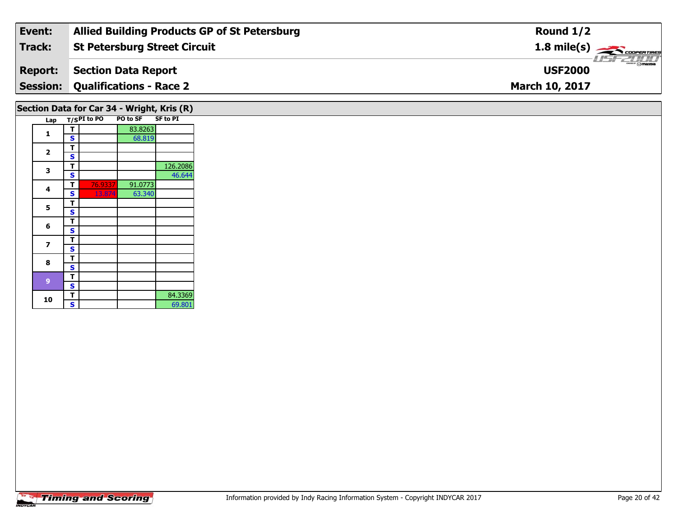| Event:         | <b>Allied Building Products GP of St Petersburg</b> | Round $1/2$                            |
|----------------|-----------------------------------------------------|----------------------------------------|
| Track:         | St Petersburg Street Circuit                        | $1.8 \text{ mile(s)}$                  |
| <b>Report:</b> | Section Data Report                                 | $\frac{1}{2}$ omazoa<br><b>USF2000</b> |
|                | <b>Session: Qualifications - Race 2</b>             | <b>March 10, 2017</b>                  |
|                |                                                     |                                        |

## **Section Data for Car 34 - Wright, Kris (R)**

| Lap                     |                         | T/SPI to PO | PO to SF | <b>SF to PI</b> |
|-------------------------|-------------------------|-------------|----------|-----------------|
|                         | т                       |             | 83.8263  |                 |
| 1                       | S                       |             | 68.819   |                 |
|                         | т                       |             |          |                 |
| 2                       | S                       |             |          |                 |
|                         | т                       |             |          | 126.2086        |
| 3                       | S                       |             |          | 46.644          |
| 4                       | т                       | 76.9337     | 91.0773  |                 |
|                         | S                       | 13.874      | 63.340   |                 |
|                         | т                       |             |          |                 |
| 5                       | S                       |             |          |                 |
| 6                       | т                       |             |          |                 |
|                         | Ś                       |             |          |                 |
| $\overline{\mathbf{z}}$ | т                       |             |          |                 |
|                         | S                       |             |          |                 |
| 8                       | т                       |             |          |                 |
|                         | S                       |             |          |                 |
| 9                       | т                       |             |          |                 |
|                         | S                       |             |          |                 |
| 10                      | т                       |             |          | 84.3369         |
|                         | $\overline{\mathbf{s}}$ |             |          | 69.801          |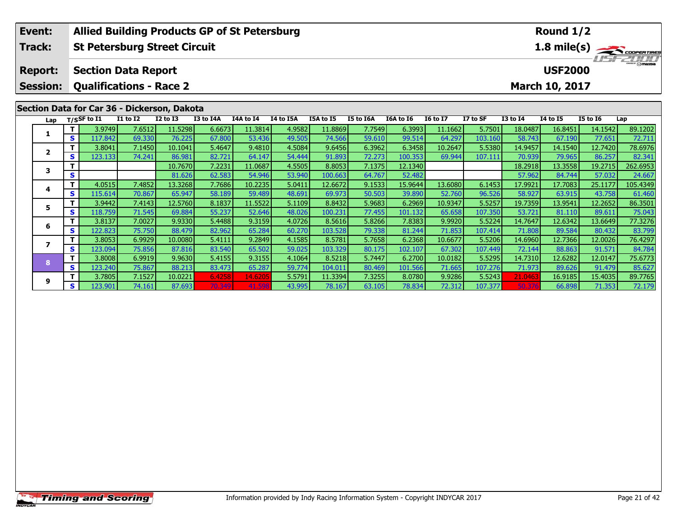|                                             | Event:                                                         | <b>Allied Building Products GP of St Petersburg</b><br>Round 1/2 |                |                                     |                 |           |           |           |           |           |           |                 |                                                         |                 |                 |                 |          |
|---------------------------------------------|----------------------------------------------------------------|------------------------------------------------------------------|----------------|-------------------------------------|-----------------|-----------|-----------|-----------|-----------|-----------|-----------|-----------------|---------------------------------------------------------|-----------------|-----------------|-----------------|----------|
|                                             | Track:                                                         |                                                                  |                | <b>St Petersburg Street Circuit</b> |                 |           |           |           |           |           |           |                 | $\frac{1.8 \text{ mile(s)}}{1.5720006 \text{ minutes}}$ |                 |                 |                 |          |
|                                             | <b>USF2000</b><br><b>Section Data Report</b><br><b>Report:</b> |                                                                  |                |                                     |                 |           |           |           |           |           |           |                 |                                                         |                 |                 |                 |          |
|                                             | <b>Session:</b>                                                | <b>Qualifications - Race 2</b><br>March 10, 2017                 |                |                                     |                 |           |           |           |           |           |           |                 |                                                         |                 |                 |                 |          |
| Section Data for Car 36 - Dickerson, Dakota |                                                                |                                                                  |                |                                     |                 |           |           |           |           |           |           |                 |                                                         |                 |                 |                 |          |
|                                             | Lap                                                            |                                                                  | $T/S$ SF to I1 | <b>I1 to I2</b>                     | <b>I2 to I3</b> | I3 to I4A | I4A to I4 | I4 to I5A | I5A to I5 | I5 to I6A | I6A to I6 | <b>16 to 17</b> | I7 to SF                                                | <b>I3 to 14</b> | <b>I4 to I5</b> | <b>I5 to 16</b> | Lap      |
|                                             | 1                                                              | т                                                                | 3.9749         | 7.6512                              | 11.5298         | 6.6673    | 11.3814   | 4.9582    | 11.8869   | 7.7549    | 6.3993    | 11.1662         | 5.7501                                                  | 18.0487         | 16.8451         | 14.1542         | 89.1202  |
|                                             |                                                                | S                                                                | 117.842        | 69.330                              | 76.225          | 67.800    | 53.436    | 49.505    | 74.566    | 59.610    | 99.514    | 64.297          | 103.160                                                 | 58.743          | 67.190          | 77.651          | 72.711   |
|                                             | $\mathbf{2}$                                                   |                                                                  | 3.8041         | 7.1450                              | 10.1041         | 5.4647    | 9.4810    | 4.5084    | 9.6456    | 6.3962    | 6.3458    | 10.2647         | 5.5380                                                  | 14.9457         | 14.1540         | 12.7420         | 78.6976  |
|                                             |                                                                | S                                                                | 123.133        | 74.241                              | 86.981          | 82.721    | 64.147    | 54.444    | 91.893    | 72.273    | 100.353   | 69.944          | 107.111                                                 | 70.939          | 79.965          | 86.257          | 82.341   |
|                                             | 3                                                              |                                                                  |                |                                     | 10.7670         | 7.2231    | 11.0687   | 4.5505    | 8.8053    | 7.1375    | 12.1340   |                 |                                                         | 18.2918         | 13.3558         | 19.2715         | 262.6953 |
|                                             |                                                                | S                                                                |                |                                     | 81.626          | 62.583    | 54.946    | 53.940    | 100.663   | 64.767    | 52.482    |                 |                                                         | 57.962          | 84.744          | 57.032          | 24.667   |
|                                             | 4                                                              | т                                                                | 4.0515         | 7.4852                              | 13.3268         | 7.7686    | 10.2235   | 5.0411    | 12.6672   | 9.1533    | 15.9644   | 13.6080         | 6.1453                                                  | 17.9921         | 17.7083         | 25.1177         | 105.4349 |
|                                             |                                                                | S                                                                | 115.614        | 70.867                              | 65.947          | 58.189    | 59.489    | 48.691    | 69.973    | 50.503    | 39.890    | 52.760          | 96.526                                                  | 58.927          | 63.915          | 43.758          | 61.460   |
|                                             | 5                                                              | т                                                                | 3.9442         | 7.4143                              | 12.5760         | 8.1837    | 11.5522   | 5.1109    | 8.8432    | 5.9683    | 6.2969    | 10.9347         | 5.5257                                                  | 19.7359         | 13.9541         | 12.2652         | 86.3501  |
|                                             |                                                                | S                                                                | 118.759        | 71.545                              | 69.884          | 55.237    | 52.646    | 48.026    | 100.231   | 77.455    | 101.132   | 65.658          | 107.350                                                 | 53.721          | 81.110          | 89.611          | 75.043   |
|                                             | 6                                                              |                                                                  | 3.8137         | 7.0027                              | 9.9330          | 5.4488    | 9.3159    | 4.0726    | 8.5616    | 5.8266    | 7.8383    | 9.9920          | 5.5224                                                  | 14.7647         | 12.6342         | 13.6649         | 77.3276  |
|                                             |                                                                | S                                                                | 122.823        | 75.750                              | 88.479          | 82.962    | 65.284    | 60.270    | 103.528   | 79.338    | 81.244    | 71.853          | 107.414                                                 | 71.808          | 89.584          | 80.432          | 83.799   |
|                                             |                                                                |                                                                  | 3.8053         | 6.9929                              | 10.0080         | 5.4111    | 9.2849    | 4.1585    | 8.5781    | 5.7658    | 6.2368    | 10.6677         | 5.5206                                                  | 14.6960         | 12.7366         | 12.0026         | 76.4297  |
|                                             | $\overline{\phantom{a}}$                                       | S                                                                | 123.094        | 75.856                              | 87.816          | 83.540    | 65.502    | 59.025    | 103.329   | 80.175    | 102.107   | 67.302          | 107.449                                                 | 72.144          | 88.863          | 91.571          | 84.784   |
|                                             | 8                                                              |                                                                  | 3.8008         | 6.9919                              | 9.9630          | 5.4155    | 9.3155    | 4.1064    | 8.5218    | 5.7447    | 6.2700    | 10.0182         | 5.5295                                                  | 14.7310         | 12.6282         | 12.0147         | 75.6773  |
|                                             |                                                                | S                                                                | 123.240        | 75.867                              | 88.213          | 83.473    | 65.287    | 59.774    | 104.011   | 80.469    | 101.566   | 71.665          | 107.276                                                 | 71.973          | 89.626          | 91.479          | 85.627   |

<mark>11</mark> 3.7805| 7.1527| 10.0221| 6.4258| 14.6205| 5.5791| 11.3394| 7.3255| 8.0780| 9.9286| 5.5243| 21.0463| 16.9185| 15.4035| 89.7765<br>S | 123.901| 74.161| 87.693| 70.349| 41.598| 43.995| 78.167| 63.105| 78.834| 72.312| 107.3

**9**

85.627

72.179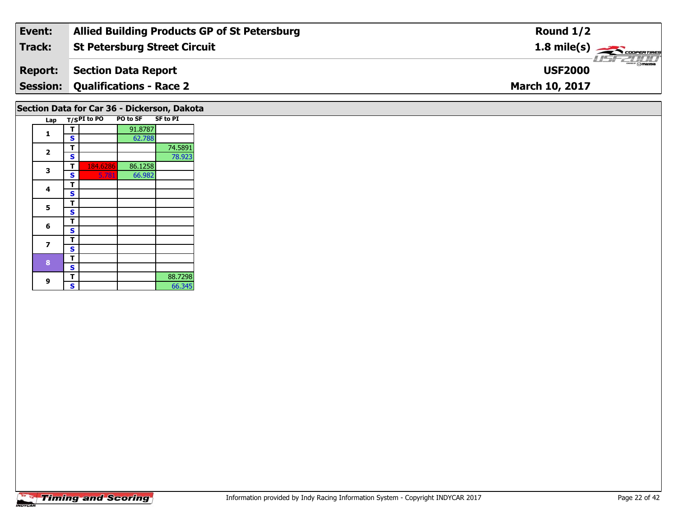| Event:         | <b>Allied Building Products GP of St Petersburg</b> | Round $1/2$                      |
|----------------|-----------------------------------------------------|----------------------------------|
| Track:         | <b>St Petersburg Street Circuit</b>                 |                                  |
| <b>Report:</b> | Section Data Report                                 | <b>USFZUUD</b><br><b>USF2000</b> |
|                | <b>Session: Qualifications - Race 2</b>             | <b>March 10, 2017</b>            |
|                |                                                     |                                  |

## **Section Data for Car 36 - Dickerson, Dakota**

| Lap                     |   | $T/SPI$ to PO | <b>PO to SF</b> | <b>SF to PI</b> |
|-------------------------|---|---------------|-----------------|-----------------|
| 1                       | т |               | 91.8787         |                 |
|                         | S |               | 62.788          |                 |
| $\overline{\mathbf{2}}$ | т |               |                 | 74.5891         |
|                         | S |               |                 | 78.923          |
| 3                       | т | 184.6286      | 86.1258         |                 |
|                         | S | 5.781         | 66.982          |                 |
| 4                       | т |               |                 |                 |
|                         | S |               |                 |                 |
| 5                       | т |               |                 |                 |
|                         | S |               |                 |                 |
| 6                       | т |               |                 |                 |
|                         | S |               |                 |                 |
| 7                       | т |               |                 |                 |
|                         | S |               |                 |                 |
| 8                       | т |               |                 |                 |
|                         | S |               |                 |                 |
| 9                       | т |               |                 | 88.7298         |
|                         | S |               |                 | 66.345          |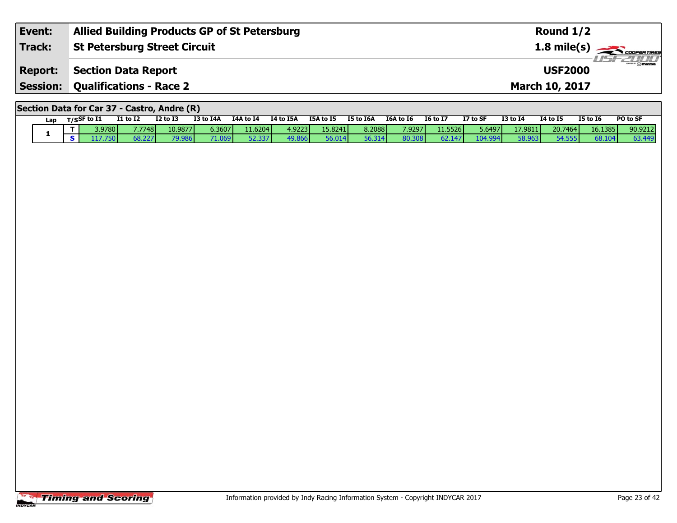| Event:          | <b>Allied Building Products GP of St Petersburg</b> | Round $1/2$                              |
|-----------------|-----------------------------------------------------|------------------------------------------|
| Track:          | <b>St Petersburg Street Circuit</b>                 | $1.8$ mile(s) $\rightarrow$ coorer TIRES |
| <b>Report:</b>  | Section Data Report                                 | $m = F$<br><b>USF2000</b>                |
| <b>Session:</b> | <b>Qualifications - Race 2</b>                      | <b>March 10, 2017</b>                    |
|                 |                                                     |                                          |

#### **Section Data for Car 37 - Castro, Andre (R)**

| Lap | T/SSF to $I1$   | I1 to I2 | <b>I2 to I3</b> | I3 to I4A     | I4A to I4        | I4 to I5A | <b>I5A to I5</b> | <b>I5 to I6A</b> | <b>I6A to 16</b> | <b>I6 to I7</b> | I7 to SF | <b>I3 to I4</b> | 14 to 15 | I5 to I6 | PO to SF |
|-----|-----------------|----------|-----------------|---------------|------------------|-----------|------------------|------------------|------------------|-----------------|----------|-----------------|----------|----------|----------|
|     | 3.9780 <b>1</b> | 7.7748   | 10.9877         | 6.3607        | 11.6204 <b> </b> | 4.9223    | 15.8241          | 8.2088           | 7.9297           | 11.5526         | 5.6497   | 17.9811         | 20.7464  | 16.1385  | 90.9212  |
|     |                 |          | 79.98           | <b>71 040</b> | 52.337           | 49.86f    | 56.014           | 56.314           | 80.30<br>ו הו    | bZ.             | .04.994  |                 | 54.555   | 68.10    | 63.449   |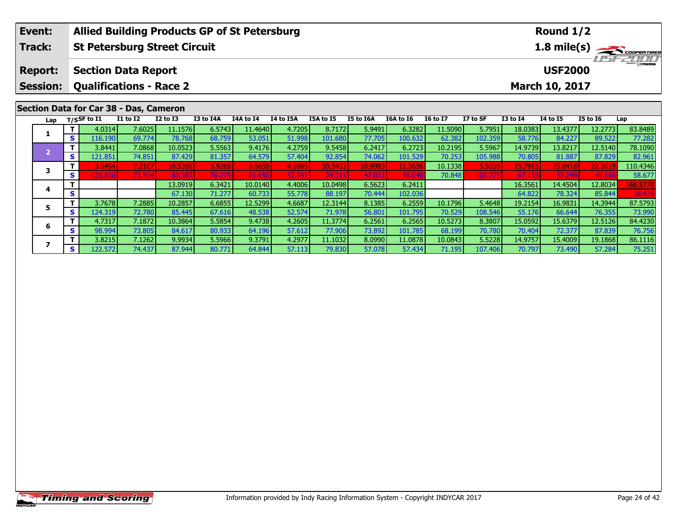| Event:          |                                     |                                   | <b>Allied Building Products GP of St Petersburg</b> |                 |           |           |           |           |           |                                    |                       | Round $1/2$ |                 |          |          |         |  |  |  |
|-----------------|-------------------------------------|-----------------------------------|-----------------------------------------------------|-----------------|-----------|-----------|-----------|-----------|-----------|------------------------------------|-----------------------|-------------|-----------------|----------|----------|---------|--|--|--|
| Track:          | <b>St Petersburg Street Circuit</b> |                                   |                                                     |                 |           |           |           |           |           |                                    |                       | 1.8 mile(s) |                 |          |          |         |  |  |  |
| <b>Report:</b>  | <b>Section Data Report</b>          |                                   |                                                     |                 |           |           |           |           |           | <b>LISF 2000</b><br><b>USF2000</b> |                       |             |                 |          |          |         |  |  |  |
| <b>Session:</b> | <b>Qualifications - Race 2</b>      |                                   |                                                     |                 |           |           |           |           |           |                                    | <b>March 10, 2017</b> |             |                 |          |          |         |  |  |  |
|                 |                                     |                                   | Section Data for Car 38 - Das, Cameron              |                 |           |           |           |           |           |                                    |                       |             |                 |          |          |         |  |  |  |
| Lap             |                                     | T/SSF to $\overline{\textbf{11}}$ | I1 to I2                                            | <b>I2 to I3</b> | I3 to I4A | I4A to I4 | I4 to I5A | I5A to I5 | I5 to I6A | I6A to I6                          | <b>I6 to I7</b>       | I7 to SF    | <b>I3 to I4</b> | 14 to 15 | I5 to 16 | Lap     |  |  |  |
|                 |                                     | 7.6025<br>4.0314                  |                                                     | 11.1576         | 6.5743    | 11.4640   | 4.7205    | 8.7172    | 5.9491    | 6.3282                             | 11.5090               | 5.7951      | 18.0383         | 13.4377  | 12.2773  | 83.8489 |  |  |  |
|                 | S I                                 | 116.190                           | 69.7741                                             | 78.768          | 68.759    | 53.051    | 51,998    | 101.680   | 77.705    | 100.632                            | 62.382                | 102.359     | 58.776          | 84.227   | 89.522   | 77.282  |  |  |  |

– 1 3.8441 7.0868 10.0523 5.5563 9.4176 4.2759 9.5458 6.2417 6.2723 10.2195 5.5967 14.9739 13.8217 12.5140 78.1090<br>- 1 121.851 74.851 87.429 81.357 64.579 57.404 92.854 74.062 101.529 70.253 105.988 70.805 81.887 87.829 82

**<sup>T</sup>** 3.8454 7.2167 10.5396 5.9265 9.8650 4.6985 30.3433 10.9983 11.3636 10.1338 5.5039 15.7915 35.0418 22.3619 110.4346 **<sup>S</sup>** 121.810 73.504 83.387 76.275 61.650 52.241 29.211 42.031 56.040 70.848 107.775 67.139 32.299 49.150 58.677

**<sup>T</sup>** 13.0919 6.3421 10.0140 4.4006 10.0498 6.5623 6.2411 16.3561 14.4504 12.8034 168.5778 **<sup>S</sup>** 67.130 71.277 60.733 55.778 88.197 70.444 102.036 64.822 78.324 85.844 38.439

5 | T | 3.7678| 7.2885| 10.2857| 6.6855| 12.5299| 4.6687| 12.3144| 8.1385| 6.2559| 10.1796| 5.4648| 19.2154| 16.9831| 14.3944| 87.5793<br>| S | 124.319| 72.780| 85.445| 67.616| 48.538| 52.574| 71.978| 56.801| 101.795| 70.529|

6 | T | 4.7317| 7.1872| 10.3864| 5.5854| 9.4738| 4.2605| 11.3774| 6.2561| 6.2565| 10.5273| 8.3807| 15.0592| 15.6379| 12.5126| 84.4230<br>| S | 98.994| 73.805| 84.617| 80.933| 64.196| 57.612| 77.906| 73.892| 101.785| 68.199| 7

7 | T | 3.8215| 7.1262| 9.9934| 5.5966| 9.3791| 4.2977| 11.1032| 8.0990| 11.0878| 10.0843| 5.5228| 14.9757| 15.4009| 19.1868| 86.1116<br>7 | S | 122.572 | 74.437 | 87.944 | 80.771 | 64.844 | 57.113 | 79.830 | 57.078 | 57.434

**3**

**4**

**5**

**6**

**7**

82.961

75.251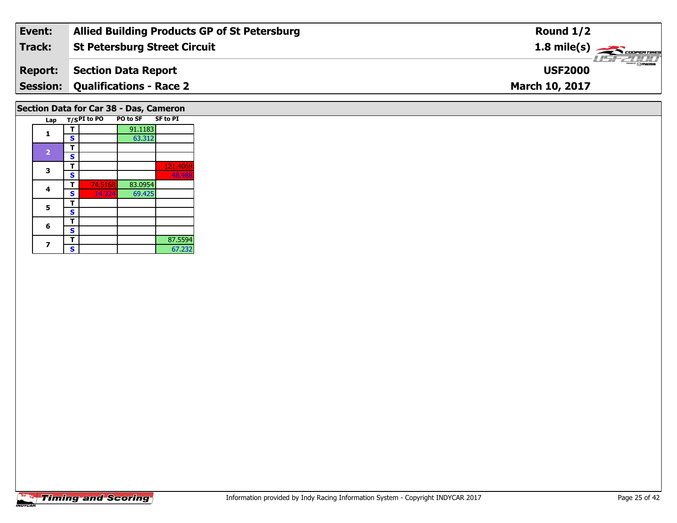| Event:         | <b>Allied Building Products GP of St Petersburg</b> | Round $1/2$                              |
|----------------|-----------------------------------------------------|------------------------------------------|
| Track:         | <b>St Petersburg Street Circuit</b>                 | $1.8$ mile(s) $\rightarrow$ COOPER TIRES |
| <b>Report:</b> | Section Data Report                                 | $\theta$ mazba<br><b>USF2000</b>         |
|                | <b>Session: Qualifications - Race 2</b>             | <b>March 10, 2017</b>                    |
|                |                                                     |                                          |

## **Section Data for Car 38 - Das, Cameron**

| Lap            |   | T/SPI to PO | <b>PO to SF</b> | <b>SF to PI</b> |
|----------------|---|-------------|-----------------|-----------------|
| 1              | т |             | 91.1183         |                 |
|                | S |             | 63.312          |                 |
|                | т |             |                 |                 |
| $\overline{2}$ | S |             |                 |                 |
| 3              | т |             |                 | 121.4069        |
|                | S |             |                 | 48.488          |
| 4              | т | 74.5168     | 83.0954         |                 |
|                | S | 14.324      | 69.425          |                 |
| 5              | т |             |                 |                 |
|                | S |             |                 |                 |
| 6              | т |             |                 |                 |
|                | S |             |                 |                 |
|                | т |             |                 | 87.5594         |
|                | Ś |             |                 | 67.232          |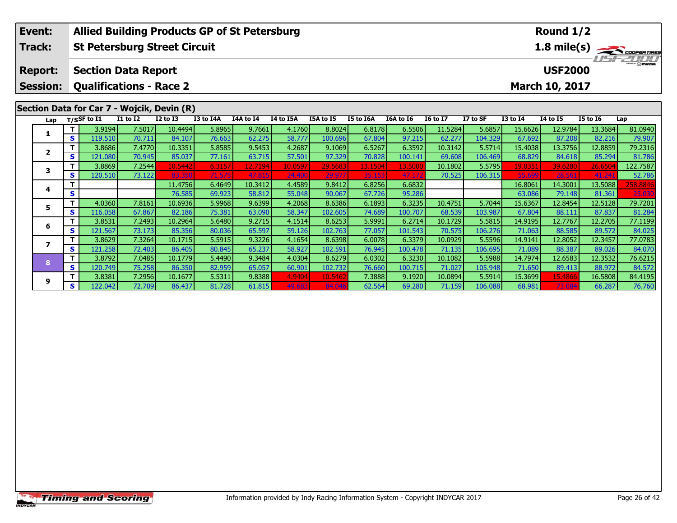| Event:          |    | <b>Allied Building Products GP of St Petersburg</b> |                 |                 |           |           |           |           |           |           |                 |                           | Round 1/2       |              |                 |             |
|-----------------|----|-----------------------------------------------------|-----------------|-----------------|-----------|-----------|-----------|-----------|-----------|-----------|-----------------|---------------------------|-----------------|--------------|-----------------|-------------|
| Track:          |    | <b>St Petersburg Street Circuit</b>                 |                 |                 |           |           |           |           |           |           |                 |                           |                 |              |                 | 1.8 mile(s) |
| <b>Report:</b>  |    | <b>Section Data Report</b>                          |                 |                 |           |           |           |           |           |           |                 | $T = T$<br><b>USF2000</b> |                 |              |                 |             |
| <b>Session:</b> |    | <b>Qualifications - Race 2</b><br>March 10, 2017    |                 |                 |           |           |           |           |           |           |                 |                           |                 |              |                 |             |
|                 |    | Section Data for Car 7 - Wojcik, Devin (R)          |                 |                 |           |           |           |           |           |           |                 |                           |                 |              |                 |             |
| Lap             |    | $T/S$ SF to $\overline{11}$                         | <b>I1 to I2</b> | <b>I2 to I3</b> | I3 to I4A | I4A to I4 | I4 to I5A | I5A to I5 | I5 to I6A | I6A to I6 | <b>16 to 17</b> | I7 to SF                  | <b>I3 to I4</b> | $I4$ to $I5$ | <b>I5 to 16</b> | Lap         |
| 1               |    | 3.9194                                              | 7.5017          | 10.4494         | 5.8965    | 9.7661    | 4.1760    | 8.8024    | 6.8178    | 6.5506    | 11.5284         | 5.6857                    | 15.6626         | 12.9784      | 13.3684         | 81.0940     |
|                 | S. | 119.510                                             | 70.711          | 84.107          | 76.663    | 62.275    | 58.777    | 100.696   | 67.804    | 97.215    | 62,277          | 104.329                   | 67.692          | 87.208       | 82.216          | 79.907      |
| $\mathbf{2}$    |    | 3.8686                                              | 7.4770          | 10.3351         | 5.8585    | 9.5453    | 4.2687    | 9.1069    | 6.5267    | 6.3592    | 10.3142         | 5.5714                    | 15.4038         | 13.3756      | 12.8859         | 79.2316     |
|                 | S  | 121.080                                             | 70.945          | 85.037          | 77.161    | 63.715    | 57.501    | 97.329    | 70.828    | 100.141   | 69.608          | 106.469                   | 68.829          | 84.618       | 85.294          | 81.786      |
|                 |    | 3.8869                                              | 7.2544          | 10.5442         | 6.3157    | 12.7194   | 10.0597   | 29.5683   | 13.1504   | 13.5000   | 10.1802         | 5.5795                    | 19.0351         | 39.6280      | 26.650          | 122.7587    |
| 3               | S. | 120.510                                             | 73.122          | 83.350          | 71.575    | 47.815    | 24.400    | 29.977    | 35.153    | 47.172    | 70.525          | 106.315                   | 55.699          | 28.561       | 41.24           | 52.786      |
| 4               |    |                                                     |                 | 11.4756         | 6.4649    | 10.3412   | 4.4589    | 9.8412    | 6.8256    | 6.6832    |                 |                           | 16.8061         | 14.3001      | 13.5088         | 258.8846    |
|                 | S  |                                                     |                 | 76.585          | 69.923    | 58.812    | 55.048    | 90.067    | 67.726    | 95.286    |                 |                           | 63.086          | 79.148       | 81.361          | 25.030      |
| 5               | т  | 4.0360                                              | 7.8161          | 10.6936         | 5.9968    | 9.6399    | 4.2068    | 8.6386    | 6.1893    | 6.3235    | 10.4751         | 5.7044                    | 15.6367         | 12.8454      | 12.5128         | 79.7201     |
|                 | S  | 116.058                                             | 67.867          | 82.186          | 75.381    | 63.090    | 58.347    | 102.605   | 74.689    | 100.707   | 68.539          | 103.987                   | 67.804          | 88.111       | 87.837          | 81.284      |
| 6               | т  | 3.8531                                              | 7.2493          | 10.2964         | 5.6480    | 9.2715    | 4.1514    | 8.6253    | 5.9991    | 6.2714    | 10.1729         | 5.5815                    | 14.9195         | 12.7767      | 12.2705         | 77.1199     |
|                 | S  | 121.567                                             | 73.173          | 85.356          | 80.036    | 65.597    | 59.126    | 102.763   | 77.057    | 101.543   | 70.575          | 106.276                   | 71.063          | 88.585       | 89.572          | 84.025      |
| $\overline{ }$  | т  | 3.8629                                              | 7.3264          | 10.1715         | 5.5915    | 9.3226    | 4.1654    | 8.6398    | 6.0078    | 6.3379    | 10.0929         | 5.5596                    | 14.9141         | 12.8052      | 12.3457         | 77.0783     |
|                 | S. | 121.258                                             | 72.403          | 86.405          | 80.845    | 65.237    | 58.927    | 102.591   | 76.945    | 100.478   | 71.135          | 106.695                   | 71.089          | 88.387       | 89.026          | 84.070      |
| 8               | т  | 3.8792                                              | 7.0485          | 10.1779         | 5.4490    | 9.3484    | 4.0304    | 8.6279    | 6.0302    | 6.3230    | 10.1082         | 5.5988                    | 14.7974         | 12.6583      | 12.3532         | 76.6215     |
|                 | S. | 120.749                                             | 75.258          | 86.350          | 82.959    | 65.057    | 60.901    | 102.732   | 76.660    | 100.715   | 71.027          | 105.948                   | 71.650          | 89.413       | 88.972          | 84.572      |
| 9               |    | 3.8381                                              | 7.2956          | 10.1677         | 5.5311    | 9.8388    | 4.9404    | 10.546    | 7.3888    | 9.1920    | 10.0894         | 5.5914                    | 15.3699         | 15.4866      | 16.5808         | 84.4195     |
|                 | s. | 122.042                                             | 72.709          | 86.437          | 81.728    | 61.815    | 49.683    | 84.046    | 62.564    | 69.280    | 71.159          | 106.088                   | 68.981          | 73.084       | 66.287          | 76.760      |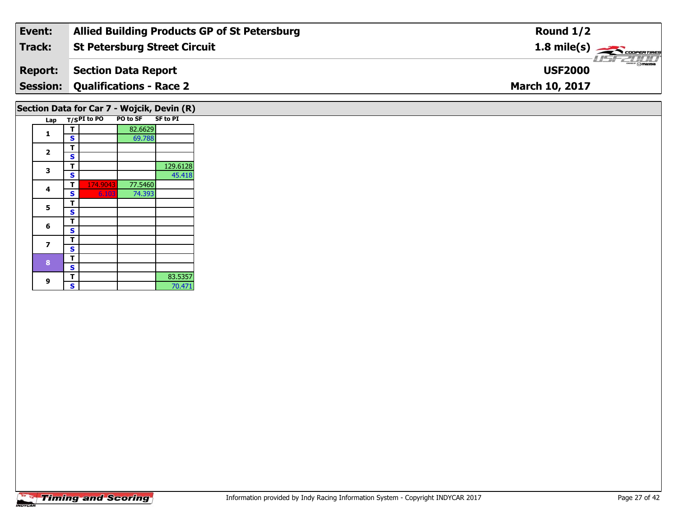| Event:         | <b>Allied Building Products GP of St Petersburg</b> | Round $1/2$                            |
|----------------|-----------------------------------------------------|----------------------------------------|
| Track:         | St Petersburg Street Circuit                        | $1.8 \text{ mile(s)}$                  |
| <b>Report:</b> | Section Data Report                                 | $\frac{1}{2}$ omazoa<br><b>USF2000</b> |
|                | <b>Session: Qualifications - Race 2</b>             | <b>March 10, 2017</b>                  |
|                |                                                     |                                        |

## **Section Data for Car 7 - Wojcik, Devin (R)**

| Lap |   | $T/S$ PI to PO | <b>PO to SF</b> | <b>SF to PI</b> |
|-----|---|----------------|-----------------|-----------------|
| 1   | т |                | 82.6629         |                 |
|     | S |                | 69.788          |                 |
| 2   | т |                |                 |                 |
|     | S |                |                 |                 |
| 3   | т |                |                 | 129.6128        |
|     | S |                |                 | 45.418          |
| 4   | т | 174.9043       | 77.5460         |                 |
|     | S | 6.103          | 74.393          |                 |
| 5   | т |                |                 |                 |
|     | S |                |                 |                 |
| 6   | т |                |                 |                 |
|     | S |                |                 |                 |
| 7   | т |                |                 |                 |
|     | S |                |                 |                 |
| 8   | т |                |                 |                 |
|     | S |                |                 |                 |
| 9   | т |                |                 | 83.5357         |
|     | S |                |                 | 70.471          |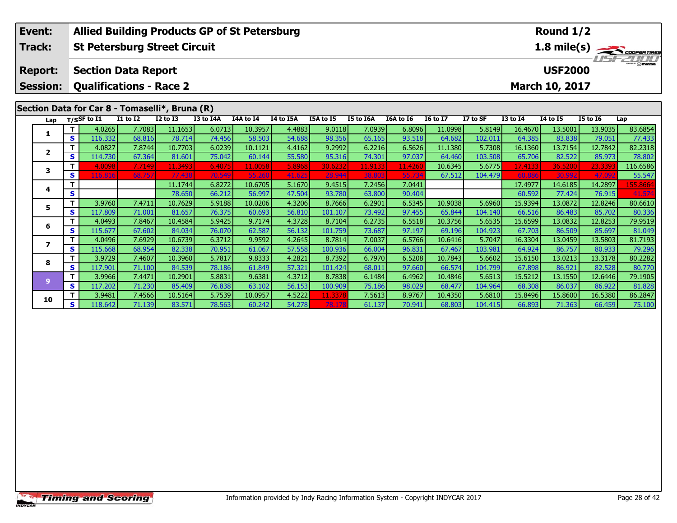|  | <b>Allied Building Products GP of St Petersburg</b><br>Event: |                   |                                     |                  |                   |                  |                   |                  |                   |                  |                  | Round 1/2         |                   |                   |                                                                                       |                   |                   |
|--|---------------------------------------------------------------|-------------------|-------------------------------------|------------------|-------------------|------------------|-------------------|------------------|-------------------|------------------|------------------|-------------------|-------------------|-------------------|---------------------------------------------------------------------------------------|-------------------|-------------------|
|  | Track:                                                        |                   | <b>St Petersburg Street Circuit</b> |                  |                   |                  |                   |                  |                   |                  |                  |                   |                   |                   | 1.8 mile(s) $\frac{1}{\sqrt{1-\frac{1}{2}}\sqrt{1-\frac{1}{2}}\sqrt{1-\frac{1}{2}}}}$ |                   |                   |
|  |                                                               |                   |                                     |                  |                   |                  |                   |                  |                   |                  |                  |                   |                   |                   |                                                                                       |                   |                   |
|  | <b>Report:</b>                                                |                   | <b>Section Data Report</b>          |                  |                   |                  |                   |                  |                   |                  |                  |                   | <b>USF2000</b>    |                   |                                                                                       |                   |                   |
|  | <b>Session:</b>                                               |                   | <b>Qualifications - Race 2</b>      |                  |                   |                  |                   |                  |                   |                  |                  |                   |                   |                   | March 10, 2017                                                                        |                   |                   |
|  |                                                               |                   |                                     |                  |                   |                  |                   |                  |                   |                  |                  |                   |                   |                   |                                                                                       |                   |                   |
|  | Section Data for Car 8 - Tomaselli*, Bruna (R)                |                   |                                     |                  |                   |                  |                   |                  |                   |                  |                  |                   |                   |                   |                                                                                       |                   |                   |
|  | Lap                                                           |                   | T/SSF to I1                         | <b>I1 to I2</b>  | <b>I2 to I3</b>   | I3 to I4A        | I4A to I4         | I4 to I5A        | I5A to I5         | I5 to I6A        | I6A to I6        | <b>16 to 17</b>   | I7 to SF          | <b>I3 to I4</b>   | <b>I4 to I5</b>                                                                       | <b>I5 to 16</b>   | Lap               |
|  | 1                                                             | т                 | 4.0265                              | 7.7083           | 11.1653           | 6.0713           | 10.3957           | 4.4883           | 9.0118            | 7.0939           | 6.8096           | 11.0998           | 5.8149            | 16.4670           | 13.5001                                                                               | 13.9035           | 83.6854           |
|  |                                                               | $\mathbf{s}$<br>т | 116.332                             | 68.816           | 78.714            | 74.456           | 58.503            | 54.688           | 98.356            | 65.165           | 93.518           | 64.682            | 102.011           | 64.385            | 83.838                                                                                | 79.051            | 77.433            |
|  | $\mathbf{2}$                                                  | S                 | 4.0827<br>114.730                   | 7.8744<br>67.364 | 10.7703<br>81.601 | 6.0239<br>75.042 | 10.1121<br>60.144 | 4.4162<br>55.580 | 9.2992<br>95.316  | 6.2216<br>74.301 | 6.5626<br>97.037 | 11.1380<br>64.460 | 5.7308<br>103.508 | 16.1360<br>65.706 | 13.7154<br>82.522                                                                     | 12.7842<br>85.973 | 82.2318<br>78.802 |
|  |                                                               | т                 | 4.0098                              | 7.7149           | 11.3493           | 6.4075           | 11.0058           | 5.8968           | 30.6232           | 11.9133          | 11.4260          | 10.6345           | 5.6775            | 17.4133           | 36.5200                                                                               | 23.339            | 116.6586          |
|  | 3                                                             | S                 | 116.816                             | 68.757           | 77.438            | 70.549           | 55.26             | 41.625           | 28.944            | 38,803           | 55.73            | 67.512            | 104.479           | 60.886            | 30.992                                                                                | 47.09             | 55.547            |
|  |                                                               | т                 |                                     |                  | 11.1744           | 6.8272           | 10.6705           | 5.1670           | 9.4515            | 7.2456           | 7.0441           |                   |                   | 17.4977           | 14.6185                                                                               | 14.2897           | 155.8664          |
|  | 4                                                             | S                 |                                     |                  | 78.650            | 66.212           | 56.997            | 47.504           | 93.780            | 63.800           | 90.404           |                   |                   | 60.592            | 77.424                                                                                | 76.915            | 41.574            |
|  | 5                                                             | т                 | 3.9760                              | 7.4711           | 10.7629           | 5.9188           | 10.0206           | 4.3206           | 8.7666            | 6.2901           | 6.5345           | 10.9038           | 5.6960            | 15.9394           | 13.0872                                                                               | 12.8246           | 80.6610           |
|  |                                                               | S                 | 117.809                             | 71.001           | 81.657            | 76.375           | 60.693            | 56.810           | 101.107           | 73.492           | 97.455           | 65.844            | 104.140           | 66.516            | 86.483                                                                                | 85.702            | 80.336            |
|  | 6                                                             | т                 | 4.0493                              | 7.8467           | 10.4584           | 5.9425           | 9.7174            | 4.3728           | 8.7104            | 6.2735           | 6.5518           | 10.3756           | 5.6535            | 15.6599           | 13.0832                                                                               | 12.8253           | 79.9519           |
|  |                                                               | S                 | 115.677                             | 67.602           | 84.034            | 76.070           | 62.587            | 56.132           | 101.759           | 73.687           | 97.197           | 69.196            | 104.923           | 67.703            | 86.509                                                                                | 85.697            | 81.049            |
|  | $\overline{\phantom{a}}$                                      | т                 | 4.0496                              | 7.6929           | 10.6739           | 6.3712           | 9.9592            | 4.2645           | 8.7814            | 7.0037           | 6.5766           | 10.6416           | 5.7047            | 16.3304           | 13.0459                                                                               | 13.5803           | 81.7193           |
|  |                                                               | S                 | 115.668                             | 68.954           | 82.338            | 70.951           | 61.067            | 57.558           | 100.936           | 66.004           | 96.831           | 67.467            | 103.981           | 64.924            | 86.757                                                                                | 80.933            | 79.296            |
|  | 8                                                             |                   | 3.9729                              | 7.4607           | 10.3960           | 5.7817           | 9.8333            | 4.2821           | 8.7392            | 6.7970           | 6.5208           | 10.7843           | 5.6602            | 15.6150           | 13.0213                                                                               | 13.3178           | 80.2282           |
|  |                                                               | S                 | 117.901<br>3.9966                   | 71.100<br>7.4471 | 84.539<br>10.2901 | 78.186<br>5.8831 | 61.849<br>9.6381  | 57.321<br>4.3712 | 101.424<br>8.7838 | 68.011<br>6.1484 | 97.660<br>6.4962 | 66.574<br>10.4846 | 104.799<br>5.6513 | 67.898<br>15.5212 | 86.921<br>13.1550                                                                     | 82.528<br>12.6446 | 80.770<br>79.1905 |
|  | 9                                                             | т<br>S            | 117.202                             | 71.230           | 85.409            | 76.838           | 63.102            | 56.153           | 100.909           | 75.186           | 98.029           | 68.477            | 104.964           | 68.308            | 86.037                                                                                | 86.922            | 81.828            |
|  |                                                               |                   | 3.9481                              | 7.4566           | 10.5164           | 5.7539           | 10.0957           | 4.5222           | 11.3378           | 7.5613           | 8.9767           | 10.4350           | 5.6810            | 15.8496           | 15.8600                                                                               | 16.5380           | 86.2847           |
|  | 10                                                            | S                 | 118.642                             | 71.139           | 83.571            | 78.563           | 60.242            | 54.278           | 78.17             | 61.137           | 70.941           | 68.803            | 104.415           | 66.893            | 71.363                                                                                | 66.459            | 75.100            |
|  |                                                               |                   |                                     |                  |                   |                  |                   |                  |                   |                  |                  |                   |                   |                   |                                                                                       |                   |                   |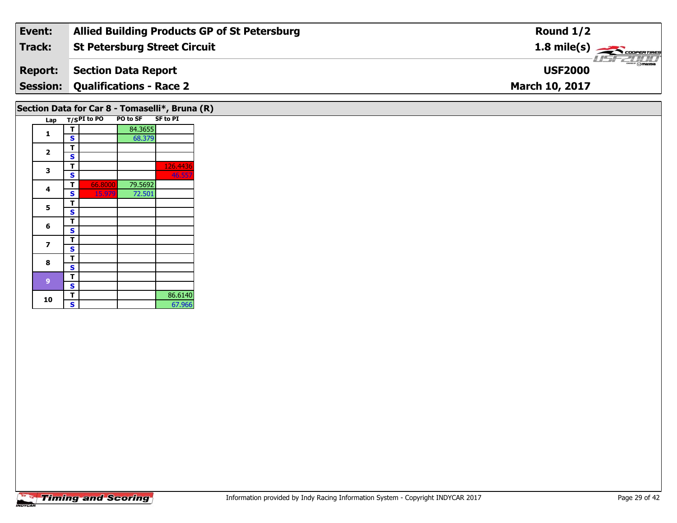| Event:         | <b>Allied Building Products GP of St Petersburg</b> | Round $1/2$                             |
|----------------|-----------------------------------------------------|-----------------------------------------|
| Track:         | <b>St Petersburg Street Circuit</b>                 | $1.8$ mile(s) $\rightarrow$ COOPERTIRES |
| <b>Report:</b> | Section Data Report                                 | ZT/T<br><b>USF2000</b>                  |
|                | <b>Session: Qualifications - Race 2</b>             | <b>March 10, 2017</b>                   |
|                |                                                     |                                         |

## **Section Data for Car 8 - Tomaselli\*, Bruna (R)**

|  | Lap |   | $T/SPI$ to PO | PO to SF | <b>SF to PI</b> |
|--|-----|---|---------------|----------|-----------------|
|  |     | т |               | 84.3655  |                 |
|  | 1   | S |               | 68.379   |                 |
|  |     | т |               |          |                 |
|  | 2   | S |               |          |                 |
|  | 3   | т |               |          | 126.4436        |
|  |     | S |               |          | 46.557          |
|  |     | т | 66.8000       | 79.5692  |                 |
|  | 4   | S | 15.979        | 72.501   |                 |
|  | 5   | т |               |          |                 |
|  |     | S |               |          |                 |
|  | 6   | т |               |          |                 |
|  |     | Ś |               |          |                 |
|  | 7   | т |               |          |                 |
|  |     | S |               |          |                 |
|  | 8   | т |               |          |                 |
|  |     | S |               |          |                 |
|  | 9   | т |               |          |                 |
|  |     | S |               |          |                 |
|  | 10  | т |               |          | 86.6140         |
|  |     | S |               |          | 67.966          |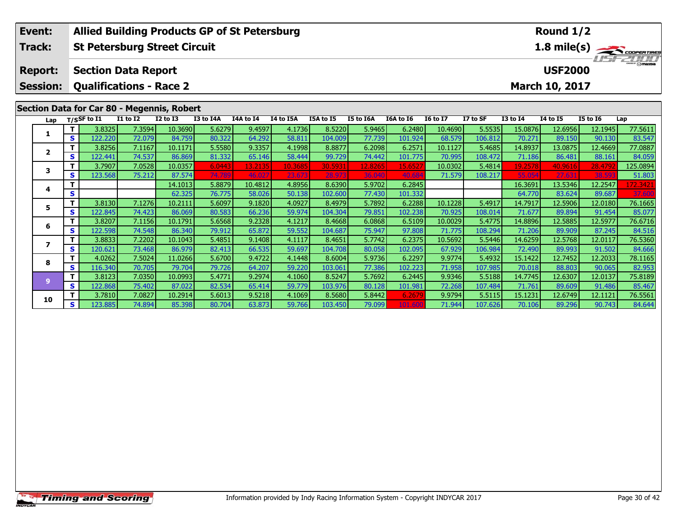|                                                   | Event:         |              | <b>Allied Building Products GP of St Petersburg</b> |                                            |                   |                  |                  |                  |                   |                   |                  |                 |                                                                           |                   | Round 1/2         |                 |                    |
|---------------------------------------------------|----------------|--------------|-----------------------------------------------------|--------------------------------------------|-------------------|------------------|------------------|------------------|-------------------|-------------------|------------------|-----------------|---------------------------------------------------------------------------|-------------------|-------------------|-----------------|--------------------|
|                                                   | Track:         |              |                                                     | <b>St Petersburg Street Circuit</b>        |                   |                  |                  |                  |                   |                   |                  |                 |                                                                           |                   |                   |                 |                    |
|                                                   | <b>Report:</b> |              |                                                     | <b>Section Data Report</b>                 |                   |                  |                  |                  |                   |                   |                  |                 | $\frac{1.8 \text{ mile(s)}}{1.57 - 2.00 \text{ rad/s}}$<br><b>USF2000</b> |                   |                   |                 |                    |
| <b>Session:</b><br><b>Qualifications - Race 2</b> |                |              |                                                     |                                            |                   |                  |                  |                  |                   |                   |                  |                 |                                                                           | March 10, 2017    |                   |                 |                    |
|                                                   |                |              |                                                     | Section Data for Car 80 - Megennis, Robert |                   |                  |                  |                  |                   |                   |                  |                 |                                                                           |                   |                   |                 |                    |
|                                                   | Lap            |              | $T/S$ SF to $I1$                                    | <b>I1 to I2</b>                            | <b>I2 to I3</b>   | I3 to I4A        | I4A to I4        | I4 to I5A        | I5A to I5         | I5 to I6A         | <b>I6A to I6</b> | <b>16 to 17</b> | I7 to SF                                                                  | <b>I3 to I4</b>   | 14 to 15          | <b>I5 to 16</b> | Lap                |
|                                                   | 1.             | $\mathbf{T}$ | 3.8325                                              | 7.3594                                     | 10.3690           | 5.6279           | 9.4597           | 4.1736           | 8.5220            | 5.9465            | 6.2480           | 10.4690         | 5.5535                                                                    | 15.0876           | 12.6956           | 12.1945         | 77.5611            |
|                                                   |                | S            | 122.220                                             | 72.079                                     | 84.759            | 80.322           | 64.292           | 58.811           | 104.009           | 77.739            | 101.924          | 68.579          | 106.812                                                                   | 70.271            | 89.150            | 90.130          | 83.547             |
|                                                   | 2              | т            | 3.8256                                              | 7.1167                                     | 10.1171           | 5.5580           | 9.3357           | 4.1998           | 8.8877            | 6.2098            | 6.2571           | 10.1127         | 5.4685                                                                    | 14.8937           | 13.0875           | 12.4669         | 77.0887            |
|                                                   | 3              | S            | 122.441                                             | 74.537                                     | 86.869            | 81.332           | 65.146           | 58.444           | 99.729            | 74.442            | 101.775          | 70.995          | 108.472                                                                   | 71.186            | 86.481            | 88.161          | 84.059             |
|                                                   |                | Т            | 3.7907                                              | 7.0528                                     | 10.0357<br>87.574 | 6.0443<br>74.789 | 13.2135<br>46.02 | 10.3685          | 30.5931<br>28.973 | 12.8265<br>36.040 | 15.652           | 10.0302         | 5.4814                                                                    | 19.2578<br>55.054 | 40.9616<br>27.631 | 28.479<br>38.59 | 125.0894           |
|                                                   |                | S<br>т       | 123.568                                             | 75.212                                     | 14.1013           | 5.8879           | 10.4812          | 23.673<br>4.8956 | 8.6390            | 5.9702            | 40.68<br>6.2845  | 71.579          | 108.217                                                                   | 16.3691           | 13.5346           | 12.2547         | 51.803<br>172.3421 |
|                                                   | 4              | S            |                                                     |                                            | 62.325            | 76.775           | 58.026           | 50.138           | 102.600           | 77.430            | 101.332          |                 |                                                                           | 64.770            | 83.624            | 89.687          | 37.600             |
|                                                   |                | T            | 3.8130                                              | 7.1276                                     | 10.2111           | 5.6097           | 9.1820           | 4.0927           | 8.4979            | 5.7892            | 6.2288           | 10.1228         | 5.4917                                                                    | 14.7917           | 12.5906           | 12.0180         | 76.1665            |
|                                                   | 5.             | S            | 122.845                                             | 74.423                                     | 86.069            | 80.583           | 66.236           | 59.974           | 104.304           | 79.851            | 102.238          | 70.925          | 108.014                                                                   | 71.677            | 89.894            | 91.454          | 85.077             |
|                                                   |                | т            | 3.8207                                              | 7.1156                                     | 10.1791           | 5.6568           | 9.2328           | 4.1217           | 8.4668            | 6.0868            | 6.5109           | 10.0029         | 5.4775                                                                    | 14.8896           | 12.5885           | 12.5977         | 76.6716            |
|                                                   | 6              | S            | 122.598                                             | 74.548                                     | 86.340            | 79.912           | 65.872           | 59.552           | 104.687           | 75.947            | 97.808           | 71.775          | 108.294                                                                   | 71.206            | 89.909            | 87.245          | 84.516             |
|                                                   |                | т            | 3.8833                                              | 7.2202                                     | 10.1043           | 5.4851           | 9.1408           | 4.1117           | 8.4651            | 5.7742            | 6.2375           | 10.5692         | 5.5446                                                                    | 14.6259           | 12.5768           | 12.0117         | 76.5360            |
|                                                   | 7              | S            | 120.621                                             | 73.468                                     | 86.979            | 82.413           | 66.535           | 59.697           | 104.708           | 80.058            | 102.095          | 67.929          | 106.984                                                                   | 72.490            | 89.993            | 91.502          | 84.666             |
|                                                   |                | т            | 4.0262                                              | 7.5024                                     | 11.0266           | 5.6700           | 9.4722           | 4.1448           | 8.6004            | 5.9736            | 6.2297           | 9.9774          | 5.4932                                                                    | 15.1422           | 12.7452           | 12.2033         | 78.1165            |
|                                                   | 8              | S            | 116.340                                             | 70.705                                     | 79.704            | 79.726           | 64.207           | 59.220           | 103.061           | 77.386            | 102.223          | 71.958          | 107.985                                                                   | 70.018            | 88.803            | 90.065          | 82.953             |
|                                                   | 9              | T            | 3.8123                                              | 7.0350                                     | 10.0993           | 5.4771           | 9.2974           | 4.1060           | 8.5247            | 5.7692            | 6.2445           | 9.9346          | 5.5188                                                                    | 14.7745           | 12.6307           | 12.0137         | 75.8189            |
|                                                   |                | S            | 122.868                                             | 75.402                                     | 87.022            | 82.534           | 65.414           | 59.779           | 103.976           | 80.128            | 101.981          | 72.268          | 107.484                                                                   | 71.761            | 89.609            | 91.486          | 85.467             |
|                                                   | 10             | Т            | 3.7810                                              | 7.0827                                     | 10.2914           | 5.6013           | 9.5218           | 4.1069           | 8.5680            | 5.8442            | 6.2679           | 9.9794          | 5.5115                                                                    | 15.1231           | 12.6749           | 12.1121         | 76.5561            |
|                                                   |                | S.           | 123.885                                             | 74.894                                     | 85.398            | 80.704           | 63.873           | 59.766           | 103.450           | 79.099            | 101.600          | 71.944          | 107.626                                                                   | 70.106            | 89.296            | 90.743          | 84.644             |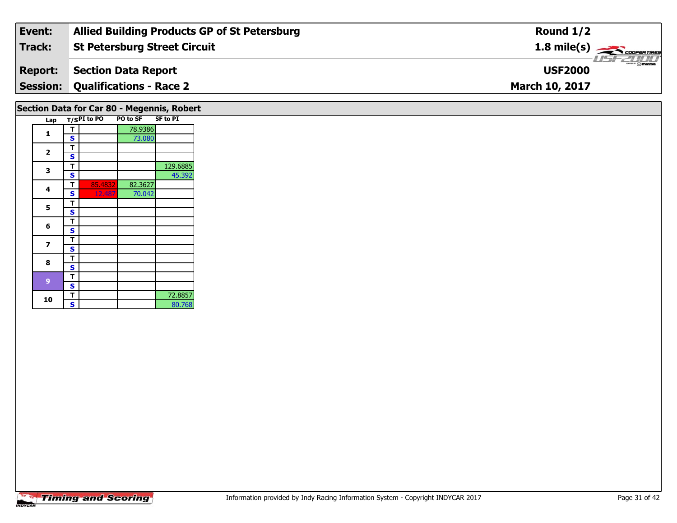| Event:         | <b>Allied Building Products GP of St Petersburg</b> | Round $1/2$                                 |
|----------------|-----------------------------------------------------|---------------------------------------------|
| Track:         | St Petersburg Street Circuit                        | $1.8$ mile(s) $\rightarrow$ COOPERTIRES     |
| <b>Report:</b> | Section Data Report                                 | $\overline{\gamma}$ mazpa<br><b>USF2000</b> |
|                | <b>Session: Qualifications - Race 2</b>             | <b>March 10, 2017</b>                       |
|                |                                                     |                                             |

## **Section Data for Car 80 - Megennis, Robert**

| Lap                     |   | T/SPI to PO | PO to SF | <b>SF to PI</b> |
|-------------------------|---|-------------|----------|-----------------|
|                         | т |             | 78.9386  |                 |
| 1                       | S |             | 73.080   |                 |
|                         | т |             |          |                 |
| $\overline{\mathbf{2}}$ | S |             |          |                 |
|                         | т |             |          | 129.6885        |
| 3                       | S |             |          | 45.392          |
|                         | т | 85.4832     | 82.3627  |                 |
| 4                       | S | 12.487      | 70.042   |                 |
|                         | т |             |          |                 |
| 5                       | S |             |          |                 |
|                         | т |             |          |                 |
| 6                       | S |             |          |                 |
|                         | т |             |          |                 |
| 7                       | S |             |          |                 |
| 8                       | т |             |          |                 |
|                         | S |             |          |                 |
|                         | т |             |          |                 |
| 9                       | S |             |          |                 |
|                         | т |             |          | 72.8857         |
| 10                      | S |             |          | 80.768          |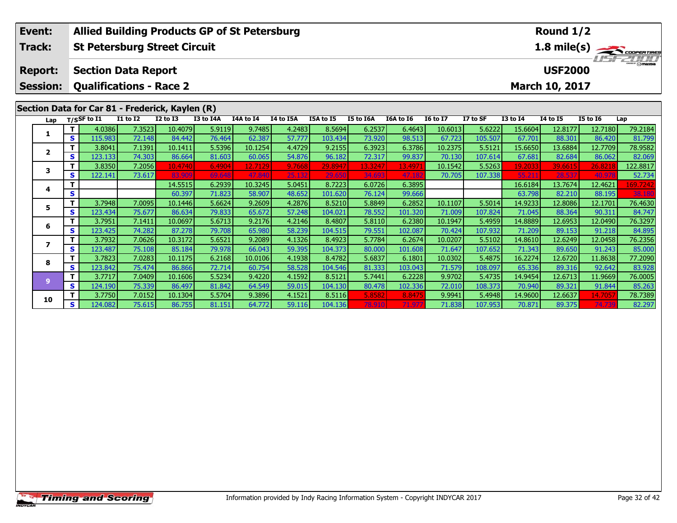| <b>Allied Building Products GP of St Petersburg</b><br>Event: |                          |              |                                     |                 |                   |                  |                   |                  |                   |                   |                 | Round 1/2       |                |                   |                  |                  |                                             |
|---------------------------------------------------------------|--------------------------|--------------|-------------------------------------|-----------------|-------------------|------------------|-------------------|------------------|-------------------|-------------------|-----------------|-----------------|----------------|-------------------|------------------|------------------|---------------------------------------------|
|                                                               | Track:                   |              | <b>St Petersburg Street Circuit</b> |                 |                   |                  |                   |                  |                   |                   |                 |                 |                |                   |                  |                  | $\frac{1.8 \text{ mile(s)}}{1157 - 211111}$ |
|                                                               |                          |              |                                     |                 |                   |                  |                   |                  |                   |                   |                 |                 |                |                   |                  |                  |                                             |
|                                                               | <b>Report:</b>           |              | <b>Section Data Report</b>          |                 |                   |                  |                   |                  |                   |                   |                 |                 | <b>USF2000</b> |                   |                  |                  |                                             |
|                                                               | <b>Session:</b>          |              | <b>Qualifications - Race 2</b>      |                 |                   |                  |                   |                  |                   |                   |                 |                 |                |                   | March 10, 2017   |                  |                                             |
|                                                               |                          |              |                                     |                 |                   |                  |                   |                  |                   |                   |                 |                 |                |                   |                  |                  |                                             |
| Section Data for Car 81 - Frederick, Kaylen (R)               |                          |              |                                     |                 |                   |                  |                   |                  |                   |                   |                 |                 |                |                   |                  |                  |                                             |
|                                                               | Lap                      |              | T/SSF to I1                         | <b>I1 to I2</b> | <b>I2 to I3</b>   | I3 to I4A        | I4A to I4         | I4 to I5A        | I5A to I5         | <b>I5 to I6A</b>  | I6A to I6       | <b>I6 to I7</b> | I7 to SF       | <b>I3 to I4</b>   | <b>I4 to I5</b>  | <b>I5 to 16</b>  | Lap                                         |
|                                                               | 1                        |              | 4.0386                              | 7.3523          | 10.4079           | 5.9119           | 9.7485            | 4.2483           | 8.5694            | 6.2537            | 6.4643          | 10.6013         | 5.6222         | 15.6604           | 12.8177          | 12.7180          | 79.2184                                     |
|                                                               |                          | $\mathbf{s}$ | 115.983                             | 72.148          | 84.442            | 76.464           | 62.387            | 57.777           | 103.434           | 73.920            | 98.513          | 67.723          | 105.507        | 67.701            | 88.301           | 86.420           | 81.799                                      |
|                                                               | $\overline{2}$           | т            | 3.8041                              | 7.1391          | 10.1411           | 5.5396           | 10.1254           | 4.4729           | 9.2155            | 6.3923            | 6.3786          | 10.2375         | 5.5121         | 15.6650           | 13.6884          | 12.7709          | 78.9582                                     |
|                                                               |                          | S            | 123.133                             | 74.303          | 86.664            | 81.603           | 60.065            | 54.876           | 96.182            | 72.317            | 99.837          | 70.130          | 107.614        | 67.681            | 82.684           | 86.062           | 82.069                                      |
|                                                               | 3                        | т            | 3.8350                              | 7.2056          | 10.4740<br>83.909 | 6.4904<br>69.648 | 12.7129<br>47.840 | 9.7668<br>25.132 | 29.8947<br>29.650 | 13.3247<br>34.693 | 13.497<br>47.18 | 10.1542         | 5.5263         | 19.2033<br>55.211 | 39.6615<br>28.53 | 26.8218<br>40.97 | 122.8817                                    |
|                                                               |                          | S            | 122.141                             | 73.617          | 14.5515           | 6.2939           | 10.3245           | 5.0451           | 8.7223            | 6.0726            | 6.3895          | 70.705          | 107.338        | 16.6184           | 13.7674          | 12.4621          | 52.734<br>169.7242                          |
|                                                               | 4                        | S            |                                     |                 | 60.397            | 71.823           | 58.907            | 48.652           | 101.620           | 76.124            | 99.666          |                 |                | 63.798            | 82.210           | 88.195           | 38.180                                      |
|                                                               |                          | $\mathbf{T}$ | 3.7948                              | 7.0095          | 10.1446           | 5.6624           | 9.2609            | 4.2876           | 8.5210            | 5.8849            | 6.2852          | 10.1107         | 5.5014         | 14.9233           | 12.8086          | 12.1701          | 76.4630                                     |
|                                                               | 5                        | S            | 123.434                             | 75.677          | 86.634            | 79.833           | 65.672            | 57.248           | 104.021           | 78.552            | 101.320         | 71.009          | 107.824        | 71.045            | 88.364           | 90.311           | 84.747                                      |
|                                                               |                          | т            | 3.7951                              | 7.1411          | 10.0697           | 5.6713           | 9.2176            | 4.2146           | 8.4807            | 5.8110            | 6.2380          | 10.1947         | 5.4959         | 14.8889           | 12.6953          | 12.0490          | 76.3297                                     |
|                                                               | 6                        | S            | 123.425                             | 74.282          | 87,278            | 79.708           | 65.980            | 58.239           | 104.515           | 79.551            | 102.087         | 70.424          | 107.932        | 71.209            | 89.153           | 91.218           | 84.895                                      |
|                                                               |                          | т            | 3.7932                              | 7.0626          | 10.3172           | 5.6521           | 9.2089            | 4.1326           | 8.4923            | 5.7784            | 6.2674          | 10.0207         | 5.5102         | 14.8610           | 12.6249          | 12.0458          | 76.2356                                     |
|                                                               | $\overline{\phantom{a}}$ | S            | 123.487                             | 75.108          | 85.184            | 79.978           | 66.043            | 59.395           | 104.373           | 80.000            | 101.608         | 71.647          | 107.652        | 71.343            | 89.650           | 91.243           | 85.000                                      |
|                                                               | 8                        |              | 3.7823                              | 7.0283          | 10.1175           | 6.2168           | 10.0106           | 4.1938           | 8.4782            | 5.6837            | 6.1801          | 10.0302         | 5.4875         | 16.2274           | 12.6720          | 11.8638          | 77.2090                                     |
|                                                               |                          | $\mathbf{s}$ | 123.842                             | 75.474          | 86.866            | 72.714           | 60.754            | 58.528           | 104.546           | 81.333            | 103.043         | 71.579          | 108.097        | 65.336            | 89.316           | 92.642           | 83.928                                      |
|                                                               | 9                        | $\mathbf T$  | 3.7717                              | 7.0409          | 10.1606           | 5.5234           | 9.4220            | 4.1592           | 8.5121            | 5.7441            | 6.2228          | 9.9702          | 5.4735         | 14.9454           | 12.6713          | 11.9669          | 76.0005                                     |
|                                                               |                          | S            | 124.190                             | 75.339          | 86.497            | 81.842           | 64.549            | 59.015           | 104.130           | 80.478            | 102.336         | 72.010          | 108.373        | 70.940            | 89.321           | 91.844           | 85.263                                      |
|                                                               | 10                       | т            | 3.7750                              | 7.0152          | 10.1304           | 5.5704           | 9.3896            | 4.1521           | 8.5116            | 5.8582            | 8.8475          | 9.9941          | 5.4948         | 14.9600           | 12.6637          | 14.705           | 78.7389                                     |
|                                                               |                          | S            | 124.082                             | 75.615          | 86.755            | 81.151           | 64.772            | 59.116           | 104.136           | 78.910            | 71.97           | 71.838          | 107.953        | 70.871            | 89.375           | 74.73            | 82.297                                      |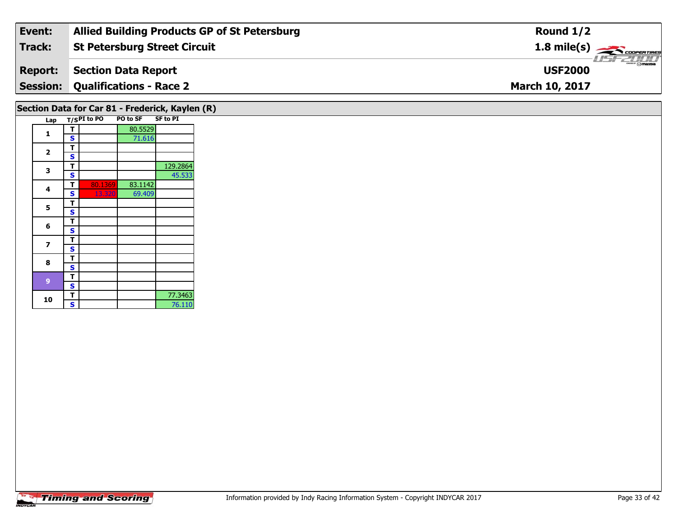| Event:         | <b>Allied Building Products GP of St Petersburg</b> | Round $1/2$                             |
|----------------|-----------------------------------------------------|-----------------------------------------|
| Track:         | <b>St Petersburg Street Circuit</b>                 | $1.8$ mile(s) $\rightarrow$ COOPERTIRES |
| <b>Report:</b> | Section Data Report                                 | <b>Omazpa</b><br><b>USF2000</b>         |
|                | <b>Session: Qualifications - Race 2</b>             | <b>March 10, 2017</b>                   |
|                |                                                     |                                         |

## **Section Data for Car 81 - Frederick, Kaylen (R)**

|  | Lap                     |                         | $T/SPI$ to PO | PO to SF SF to PI |          |
|--|-------------------------|-------------------------|---------------|-------------------|----------|
|  | 1                       | т                       |               | 80.5529           |          |
|  |                         | S                       |               | 71.616            |          |
|  |                         | т                       |               |                   |          |
|  | $\overline{\mathbf{2}}$ | S                       |               |                   |          |
|  |                         | т                       |               |                   | 129.2864 |
|  | 3                       | S                       |               |                   | 45.533   |
|  | 4                       | т                       | 80.1369       | 83.1142           |          |
|  |                         | S                       | 13.320        | 69.409            |          |
|  | 5                       | т                       |               |                   |          |
|  |                         | $\overline{\mathbf{s}}$ |               |                   |          |
|  |                         | т                       |               |                   |          |
|  | 6                       | S                       |               |                   |          |
|  | 7                       | т                       |               |                   |          |
|  |                         | S                       |               |                   |          |
|  | 8                       | т                       |               |                   |          |
|  |                         | S                       |               |                   |          |
|  | 9                       | т                       |               |                   |          |
|  |                         | S                       |               |                   |          |
|  | 10                      | Т                       |               |                   | 77.3463  |
|  |                         | $\overline{\mathbf{s}}$ |               |                   | 76.110   |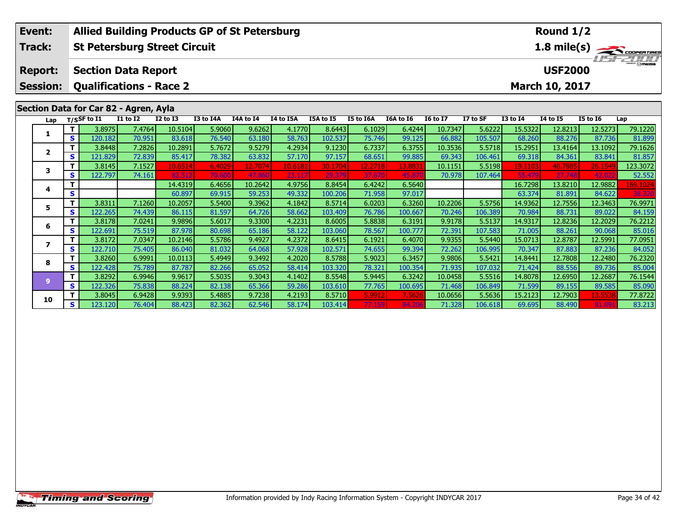| Event:                                |          | <b>Allied Building Products GP of St Petersburg</b> |                 |                 |                  |           |           |           |           |           |                 |                             | Round 1/2       |                 |                 |          |
|---------------------------------------|----------|-----------------------------------------------------|-----------------|-----------------|------------------|-----------|-----------|-----------|-----------|-----------|-----------------|-----------------------------|-----------------|-----------------|-----------------|----------|
| Track:                                |          | <b>St Petersburg Street Circuit</b>                 |                 |                 |                  |           |           |           |           |           |                 | 1.8 mile(s)                 |                 |                 |                 |          |
| <b>Report:</b>                        |          | <b>Section Data Report</b>                          |                 |                 |                  |           |           |           |           |           |                 | The Court<br><b>USF2000</b> |                 |                 |                 |          |
| <b>Session:</b>                       |          | <b>Qualifications - Race 2</b>                      |                 |                 |                  |           |           |           |           |           |                 |                             |                 | March 10, 2017  |                 |          |
| Section Data for Car 82 - Agren, Ayla |          |                                                     |                 |                 |                  |           |           |           |           |           |                 |                             |                 |                 |                 |          |
| Lap                                   |          | T/SSF to I1                                         | <b>I1 to I2</b> | <b>I2 to I3</b> | <b>I3 to I4A</b> | I4A to I4 | I4 to I5A | I5A to I5 | I5 to I6A | I6A to I6 | <b>I6 to I7</b> | I7 to SF                    | <b>I3 to 14</b> | <b>I4 to I5</b> | <b>I5 to 16</b> | Lap      |
| 1                                     | т        | 3.8975                                              | 7.4764          | 10.5104         | 5.9060           | 9.6262    | 4.1770    | 8.6443    | 6.1029    | 6.4244    | 10.7347         | 5.6222                      | 15.5322         | 12.8213         | 12.5273         | 79.1220  |
|                                       | <b>S</b> | 120.182                                             | 70.951          | 83.618          | 76.540           | 63.180    | 58.763    | 102.537   | 75.746    | 99.125    | 66.882          | 105.507                     | 68.260          | 88.276          | 87.736          | 81.899   |
| $\mathbf{2}$                          | т        | 3.8448                                              | 7.2826          | 10.2891         | 5.7672           | 9.5279    | 4.2934    | 9.1230    | 6.7337    | 6.3755    | 10.3536         | 5.5718                      | 15.2951         | 13.4164         | 13.1092         | 79.1626  |
|                                       | S        | 121.829                                             | 72.839          | 85.417          | 78.382           | 63.832    | 57.170    | 97.157    | 68.651    | 99.885    | 69.343          | 106.461                     | 69.318          | 84.361          | 83.841          | 81.857   |
| 3                                     | т        | 3.8145                                              | 7.1527          | 10.6514         | 6.4029           | 12.7074   | 10.6181   | 30.1704   | 12.2718   | 13.8831   | 10.1151         | 5.5198                      | 19.1103         | 40.7885         | 26.1549         | 123.3072 |
|                                       | S        | 122.797                                             | 74.161          | 82.512          | 70,600           | 47.860    | 23.117    | 29.379    | 37.670    | 45.87     | 70.978          | 107.464                     | 55.479          | 27.748          | 42.02           | 52.552   |
| 4                                     |          |                                                     |                 | 14.4319         | 6.4656           | 10.2642   | 4.9756    | 8.8454    | 6.4242    | 6.5640    |                 |                             | 16.7298         | 13.8210         | 12.9882         | 169.1024 |
|                                       | S        |                                                     |                 | 60.897          | 69.915           | 59.253    | 49.332    | 100.206   | 71.958    | 97.017    |                 |                             | 63.374          | 81.891          | 84.622          | 38.320   |
| 5.                                    | Т        | 3.8311                                              | 7.1260          | 10.2057         | 5.5400           | 9.3962    | 4.1842    | 8.5714    | 6.0203    | 6.3260    | 10.2206         | 5.5756                      | 14.9362         | 12.7556         | 12.3463         | 76.9971  |
|                                       | S        | 122.265                                             | 74.439          | 86.115          | 81.597           | 64.726    | 58.662    | 103.409   | 76.786    | 100.667   | 70.246          | 106.389                     | 70.984          | 88.731          | 89.022          | 84.159   |
| 6                                     | Т        | 3.8178                                              | 7.0241          | 9.9896          | 5.6017           | 9.3300    | 4.2231    | 8.6005    | 5.8838    | 6.3191    | 9.9178          | 5.5137                      | 14.9317         | 12.8236         | 12.2029         | 76.2212  |
|                                       | S        | 122.691                                             | 75.519          | 87.978          | 80.698           | 65.186    | 58.122    | 103.060   | 78.567    | 100.777   | 72.391          | 107.583                     | 71.005          | 88.261          | 90.068          | 85.016   |
| 7                                     | т        | 3.8172                                              | 7.0347          | 10.2146         | 5.5786           | 9.4927    | 4.2372    | 8.6415    | 6.1921    | 6.4070    | 9.9355          | 5.5440                      | 15.0713         | 12.8787         | 12.5991         | 77.0951  |
|                                       | S        | 122.710                                             | 75.405          | 86.040          | 81.032           | 64.068    | 57.928    | 102.571   | 74.655    | 99.394    | 72.262          | 106.995                     | 70.347          | 87.883          | 87.236          | 84.052   |
| 8                                     | т        | 3.8260                                              | 6.9991          | 10.0113         | 5.4949           | 9.3492    | 4.2020    | 8.5788    | 5.9023    | 6.3457    | 9.9806          | 5.5421                      | 14.8441         | 12.7808         | 12.2480         | 76.2320  |
|                                       | S        | 122.428                                             | 75.789          | 87.787          | 82.266           | 65.052    | 58.414    | 103.320   | 78.321    | 100.354   | 71.935          | 107.032                     | 71.424          | 88.556          | 89.736          | 85.004   |
|                                       |          | 3.8292                                              | 6.9946          | 9.9617          | 5.5035           | 9.3043    | 4.1402    | 8.5548    | 5.9445    | 6.3242    | 10.0458         | 5.5516                      | 14.8078         | 12.6950         | 12.2687         | 76.1544  |
| $\overline{9}$                        | S        | 122.326                                             | 75.838          | 88.224          | 82.138           | 65.366    | 59.286    | 103.610   | 77.765    | 100.695   | 71.468          | 106.849                     | 71.599          | 89.155          | 89.585          | 85.090   |

0 T 3.8045 6.9428 9.9393 5.4885 9.7238 4.2193 8.5710 5.9912 7.5626 10.0656 5.5636 15.2123 12.7903 13.5538 77.8722<br>S 123.120 76.404 88.423 82.362 62.546 58.174 103.414 77.159 84.206 71.328 106.618 69.695 88.490 81.091 83.21

**10**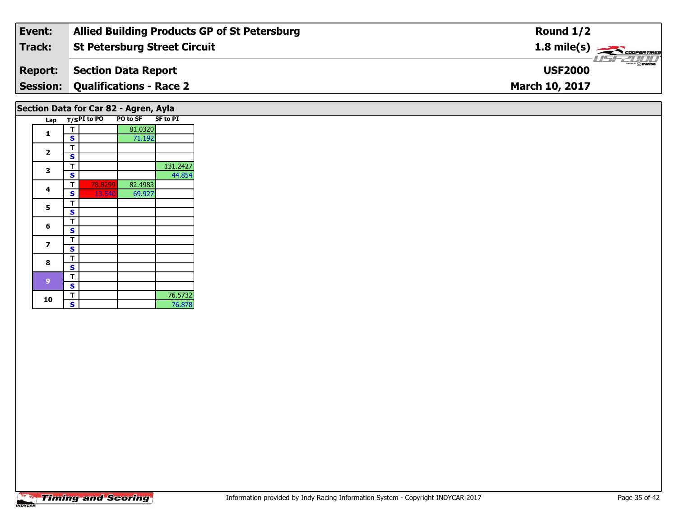| Event:         | <b>Allied Building Products GP of St Petersburg</b> | Round $1/2$                             |
|----------------|-----------------------------------------------------|-----------------------------------------|
| Track:         | <b>St Petersburg Street Circuit</b>                 | $1.8$ mile(s) $\rightarrow$ COOPERTIRES |
| <b>Report:</b> | Section Data Report                                 | $\frac{1}{2}$ omazoa<br><b>USF2000</b>  |
|                | <b>Session: Qualifications - Race 2</b>             | <b>March 10, 2017</b>                   |
|                |                                                     |                                         |

## **Section Data for Car 82 - Agren, Ayla**

|  | Lap                     |   | $T/S$ PI to PO | PO to SF SF to PI |          |
|--|-------------------------|---|----------------|-------------------|----------|
|  |                         | T |                | 81.0320           |          |
|  | 1                       | S |                | 71.192            |          |
|  |                         | т |                |                   |          |
|  | $\overline{\mathbf{2}}$ | S |                |                   |          |
|  | 3                       | т |                |                   | 131.2427 |
|  |                         | S |                |                   | 44.854   |
|  | 4                       | т | 78.8299        | 82.4983           |          |
|  |                         | S | <u>13.540</u>  | 69.927            |          |
|  | 5                       | т |                |                   |          |
|  |                         | S |                |                   |          |
|  | 6                       | т |                |                   |          |
|  |                         | S |                |                   |          |
|  | 7                       | т |                |                   |          |
|  |                         | S |                |                   |          |
|  | 8                       | т |                |                   |          |
|  |                         | S |                |                   |          |
|  | 9                       | т |                |                   |          |
|  |                         | S |                |                   |          |
|  | 10                      | T |                |                   | 76.5732  |
|  |                         | S |                |                   | 76.878   |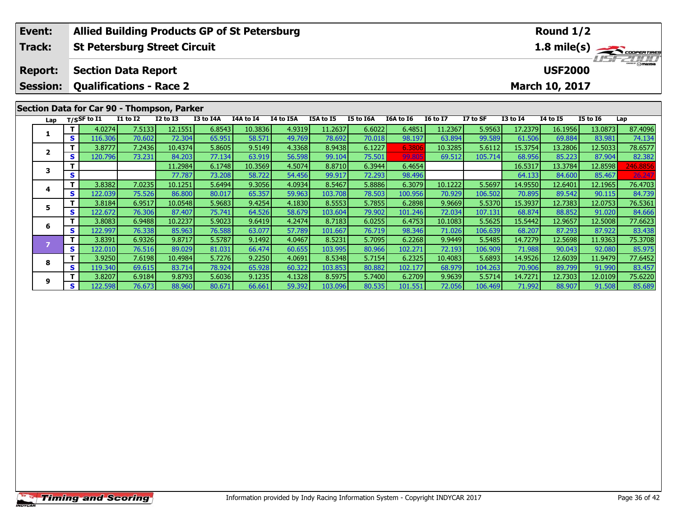|  | <b>Allied Building Products GP of St Petersburg</b><br>Event: |          |                |                                     |                 |           |           |           |           |           |                  | Round 1/2       |                                |                 |                 |                 |          |
|--|---------------------------------------------------------------|----------|----------------|-------------------------------------|-----------------|-----------|-----------|-----------|-----------|-----------|------------------|-----------------|--------------------------------|-----------------|-----------------|-----------------|----------|
|  | Track:                                                        |          |                | <b>St Petersburg Street Circuit</b> |                 |           |           |           |           |           |                  |                 | 1.8 mile(s)                    |                 |                 |                 |          |
|  | <b>Report:</b>                                                |          |                | <b>Section Data Report</b>          |                 |           |           |           |           |           |                  |                 | $T = -21111$<br><b>USF2000</b> |                 |                 |                 |          |
|  | <b>Qualifications - Race 2</b><br><b>Session:</b>             |          |                |                                     |                 |           |           |           |           |           | March 10, 2017   |                 |                                |                 |                 |                 |          |
|  | Section Data for Car 90 - Thompson, Parker                    |          |                |                                     |                 |           |           |           |           |           |                  |                 |                                |                 |                 |                 |          |
|  | Lap                                                           |          | $T/S$ SF to I1 | <b>I1 to I2</b>                     | <b>I2 to I3</b> | I3 to I4A | I4A to I4 | I4 to I5A | I5A to I5 | I5 to I6A | <b>I6A to 16</b> | <b>16 to 17</b> | I7 to SF                       | <b>I3 to 14</b> | <b>14 to 15</b> | <b>I5 to 16</b> | Lap      |
|  |                                                               | T.       | 4.0274         | 7.5133                              | 12.1551         | 6.8543    | 10.3836   | 4.9319    | 11.2637   | 6.6022    | 6.4851           | 11.2367         | 5.9563                         | 17.2379         | 16.1956         | 13.0873         | 87.4096  |
|  |                                                               | s        | 116.306        | 70.602                              | 72.304          | 65.951    | 58.571    | 49.769    | 78.692    | 70.018    | 98.197           | 63.894          | 99.589                         | 61.506          | 69.884          | 83.981          | 74.134   |
|  | $\mathbf{2}$                                                  |          | 3.8777         | 7.2436                              | 10.4374         | 5.8605    | 9.5149    | 4.3368    | 8.9438    | 6.1227    | 6.3806           | 10.3285         | 5.6112                         | 15.3754         | 13.2806         | 12.5033         | 78.6577  |
|  |                                                               | <b>S</b> | 120.796        | 73.231                              | 84.203          | 77.134    | 63.919    | 56.598    | 99.104    | 75.501    | 99.80            | 69.512          | 105.714                        | 68.956          | 85.223          | 87.904          | 82.382   |
|  | 3                                                             |          |                |                                     | 11.2984         | 6.1748    | 10.3569   | 4.5074    | 8.8710    | 6.3944    | 6.4654           |                 |                                | 16.5317         | 13.3784         | 12.8598         | 246.8856 |
|  |                                                               | S        |                |                                     | 77.787          | 73.208    | 58.722    | 54.456    | 99.917    | 72.293    | 98.496           |                 |                                | 64.133          | 84.600          | 85.467          | 26.247   |
|  | 4                                                             | т        | 3.8382         | 7.0235                              | 10.1251         | 5.6494    | 9.3056    | 4.0934    | 8.5467    | 5.8886    | 6.3079           | 10.1222         | 5.5697                         | 14.9550         | 12.6401         | 12.1965         | 76.4703  |
|  |                                                               | S.       | 122.039        | 75.526                              | 86.800          | 80.017    | 65.357    | 59.963    | 103.708   | 78.503    | 100.956          | 70.929          | 106.502                        | 70.895          | 89.542          | 90.115          | 84.739   |
|  | 5                                                             |          | 3.8184         | 6.9517                              | 10.0548         | 5.9683    | 9.4254    | 4.1830    | 8.5553    | 5.7855    | 6.2898           | 9.9669          | 5.5370                         | 15.3937         | 12.7383         | 12.0753         | 76.5361  |
|  |                                                               | S.       | 122.672        | 76.306                              | 87.407          | 75.741    | 64.526    | 58.679    | 103.604   | 79.902    | 101.246          | 72.034          | 107.131                        | 68.874          | 88.852          | 91.020          | 84.666   |
|  | 6                                                             |          | 3.8083         | 6.9488                              | 10.2237         | 5.9023    | 9.6419    | 4.2474    | 8.7183    | 6.0255    | 6.4753           | 10.1083         | 5.5625                         | 15.5442         | 12.9657         | 12.5008         | 77.6623  |
|  |                                                               | S.       | 122.997        | 76.338                              | 85.963          | 76.588    | 63.077    | 57.789    | 101.667   | 76.719    | 98.346           | 71.026          | 106.639                        | 68.207          | 87.293          | 87.922          | 83.438   |
|  | $\overline{z}$                                                |          | 3.8391         | 6.9326                              | 9.8717          | 5.5787    | 9.1492    | 4.0467    | 8.5231    | 5.7095    | 6.2268           | 9.9449          | 5.5485                         | 14.7279         | 12.5698         | 11.9363         | 75.3708  |
|  |                                                               | <b>S</b> | 122.010        | 76.516                              | 89.029          | 81.031    | 66.474    | 60.655    | 103.995   | 80.966    | 102.271          | 72.193          | 106.909                        | 71.988          | 90.043          | 92.080          | 85.975   |
|  | 8                                                             | т        | 3.9250         | 7.6198                              | 10.4984         | 5.7276    | 9.2250    | 4.0691    | 8.5348    | 5.7154    | 6.2325           | 10.4083         | 5.6893                         | 14.9526         | 12.6039         | 11.9479         | 77.6452  |
|  |                                                               | S        | 119.340        | 69.615                              | 83.714          | 78.924    | 65.928    | 60.322    | 103.853   | 80.882    | 102.177          | 68.979          | 104.263                        | 70.906          | 89.799          | 91.990          | 83.457   |

75.6220 11 3.8207| 6.9184| 9.8793| 5.6036| 9.1235| 4.1328| 8.5975| 5.7400| 6.2709| 9.9639| 5.5714| 14.7271| 12.7303| 12.0109| 75.6220<br>S | 122.598| 76.673| 88.960| 80.671| 66.661| 59.392| 103.096| 80.535| 101.551| 72.056|

**9**

85.689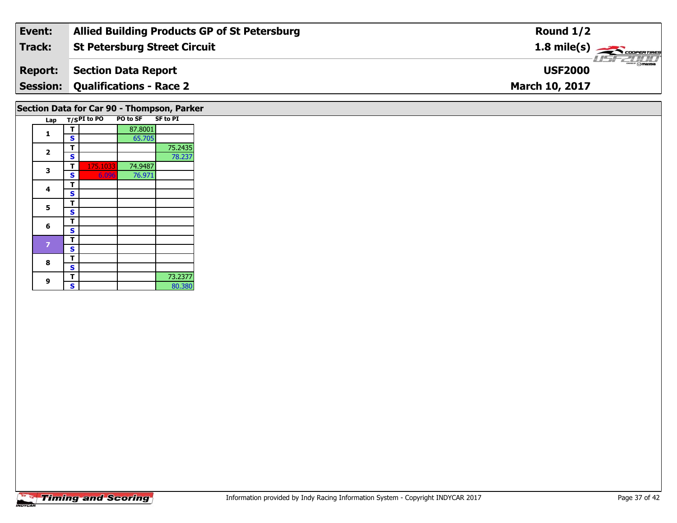| Event:         | <b>Allied Building Products GP of St Petersburg</b> | Round $1/2$                             |
|----------------|-----------------------------------------------------|-----------------------------------------|
| Track:         | <b>St Petersburg Street Circuit</b>                 | $1.8$ mile(s) $\rightarrow$ coorentines |
| <b>Report:</b> | Section Data Report                                 | <b>LISF 2000</b><br><b>USF2000</b>      |
|                | <b>Session: Qualifications - Race 2</b>             | <b>March 10, 2017</b>                   |
|                |                                                     |                                         |

## **Section Data for Car 90 - Thompson, Parker**

| Lap |   | T/SPI to PO | <b>PO to SF</b> | <b>SF to PI</b> |
|-----|---|-------------|-----------------|-----------------|
|     | т |             | 87.8001         |                 |
| 1   | S |             | 65.705          |                 |
| 2   | т |             |                 | 75.2435         |
|     | S |             |                 | 78.237          |
| 3   | т | 175.1033    | 74.9487         |                 |
|     | S | 6.096       | 76.971          |                 |
| 4   | т |             |                 |                 |
|     | S |             |                 |                 |
| 5   | т |             |                 |                 |
|     | S |             |                 |                 |
| 6   | т |             |                 |                 |
|     | S |             |                 |                 |
| 7   | т |             |                 |                 |
|     | S |             |                 |                 |
| 8   | т |             |                 |                 |
|     | S |             |                 |                 |
|     | т |             |                 | 73.2377         |
| 9   | S |             |                 | 80.380          |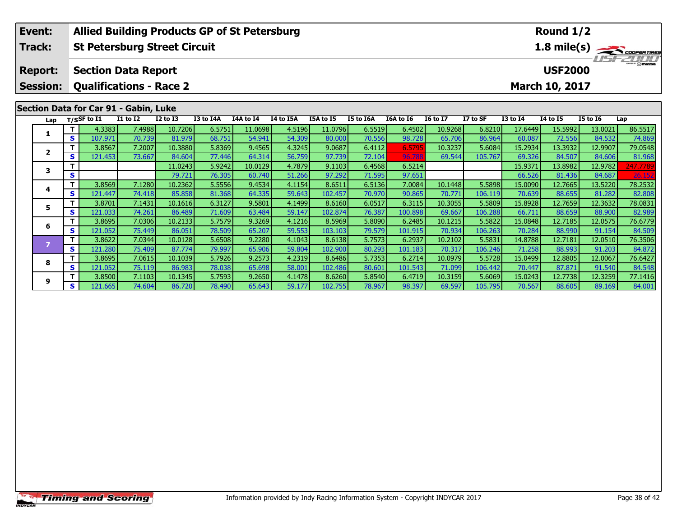|  | Event:          |   |                                                  |                                       | <b>Allied Building Products GP of St Petersburg</b> |           |           |           |           |           |                  |                 |             |                 | Round 1/2                 |                 |          |  |
|--|-----------------|---|--------------------------------------------------|---------------------------------------|-----------------------------------------------------|-----------|-----------|-----------|-----------|-----------|------------------|-----------------|-------------|-----------------|---------------------------|-----------------|----------|--|
|  | <b>Track:</b>   |   |                                                  |                                       | <b>St Petersburg Street Circuit</b>                 |           |           |           |           |           |                  |                 | 1.8 mile(s) |                 |                           |                 |          |  |
|  | <b>Report:</b>  |   | <b>Section Data Report</b>                       |                                       |                                                     |           |           |           |           |           |                  |                 |             |                 | USFZUUT<br><b>USF2000</b> |                 |          |  |
|  | <b>Session:</b> |   | <b>Qualifications - Race 2</b><br>March 10, 2017 |                                       |                                                     |           |           |           |           |           |                  |                 |             |                 |                           |                 |          |  |
|  |                 |   |                                                  | Section Data for Car 91 - Gabin, Luke |                                                     |           |           |           |           |           |                  |                 |             |                 |                           |                 |          |  |
|  | Lap             |   | $T/S$ SF to $I1$                                 | I1 to I2                              | <b>I2 to I3</b>                                     | I3 to I4A | I4A to I4 | I4 to I5A | I5A to I5 | I5 to I6A | <b>I6A to 16</b> | <b>16 to 17</b> | I7 to SF    | <b>I3 to I4</b> | <b>14 to 15</b>           | <b>I5 to 16</b> | Lap      |  |
|  | 1               |   | 4.3383                                           | 7.4988                                | 10.7206                                             | 6.5751    | 11.0698   | 4.5196    | 11.0796   | 6.5519    | 6.4502           | 10.9268         | 6.8210      | 17.6449         | 15.5992                   | 13.0021         | 86.5517  |  |
|  |                 | S | 107.971                                          | 70.739                                | 81.979                                              | 68.751    | 54.941    | 54.309    | 80.000    | 70.556    | 98.728           | 65.706          | 86.964      | 60.087          | 72.556                    | 84.532          | 74.869   |  |
|  | $\mathbf{2}$    |   | 3.8567                                           | 7.2007                                | 10.3880                                             | 5.8369    | 9.4565    | 4.3245    | 9.0687    | 6.4112    | 6.5795           | 10.3237         | 5.6084      | 15.2934         | 13.3932                   | 12.9907         | 79.0548  |  |
|  |                 | S | 121.453                                          | 73.667                                | 84.604                                              | 77.446    | 64.314    | 56.759    | 97.739    | 72.104    | 96.788           | 69.544          | 105.767     | 69.326          | 84.507                    | 84.606          | 81.968   |  |
|  | 3               |   |                                                  |                                       | 11.0243                                             | 5.9242    | 10.0129   | 4.7879    | 9.1103    | 6.4568    | 6.5214           |                 |             | 15.9371         | 13.8982                   | 12.9782         | 247.7789 |  |
|  |                 | S |                                                  |                                       | 79.721                                              | 76.305    | 60.740    | 51.266    | 97.292    | 71.595    | 97.651           |                 |             | 66.526          | 81.436                    | 84.687          | 26.152   |  |
|  | 4               |   | 3.8569                                           | 7.1280                                | 10.2362                                             | 5.5556    | 9.4534    | 4.1154    | 8.6511    | 6.5136    | 7.0084           | 10.1448         | 5.5898      | 15.0090         | 12.7665                   | 13.5220         | 78.2532  |  |
|  |                 | S | 121.447                                          | 74.418                                | 85.858                                              | 81.368    | 64.335    | 59.643    | 102.457   | 70.970    | 90.865           | 70.771          | 106.119     | 70.639          | 88.655                    | 81.282          | 82.808   |  |
|  | 5.<br>6         |   | 3.8701                                           | 7.1431                                | 10.1616                                             | 6.3127    | 9.5801    | 4.1499    | 8.6160    | 6.0517    | 6.3115           | 10.3055         | 5.5809      | 15.8928         | 12.7659                   | 12.3632         | 78.0831  |  |
|  |                 | S | 121.033                                          | 74.261                                | 86.489                                              | 71.609    | 63.484    | 59.147    | 102.874   | 76.387    | 100.898          | 69.667          | 106.288     | 66.711          | 88.659                    | 88.900          | 82.989   |  |
|  |                 |   | 3.8695                                           | 7.0306                                | 10.2133                                             | 5.7579    | 9.3269    | 4.1216    | 8.5969    | 5.8090    | 6.2485           | 10.1215         | 5.5822      | 15.0848         | 12.7185                   | 12.0575         | 76.6779  |  |
|  |                 | S | 121.052                                          | 75.449                                | 86.051                                              | 78.509    | 65.207    | 59.553    | 103.103   | 79.579    | 101.915          | 70.934          | 106.263     | 70.284          | 88.990                    | 91.154          | 84.509   |  |
|  | $\overline{z}$  |   | 3.8622                                           | 7.0344                                | 10.0128                                             | 5.6508    | 9.2280    | 4.1043    | 8.6138    | 5.7573    | 6.2937           | 10.2102         | 5.5831      | 14.8788         | 12.7181                   | 12.0510         | 76.3506  |  |
|  |                 | S | 121.280                                          | 75.409                                | 87.774                                              | 79.997    | 65.906    | 59.804    | 102.900   | 80.293    | 101.183          | 70.317          | 106.246     | 71.258          | 88.993                    | 91.203          | 84.872   |  |

8 T | 3.8695 7.0615 10.1039 5.7926 9.2573 4.2319 8.6486 5.7353 6.2714 10.0979 5.5728 15.0499 12.8805 12.0067 76.6427<br>S S 121.052 75.119 86.983 78.038 65.698 58.001 102.486 80.601 101.543 71.099 106.442 70.447 87.871 91.540

77.1416 | 12.7738 | 12.7738 | 10.1345 | 5.7593 | 9.2650 | 4.1478 | 8.6260 | 5.8540 | 6.4719 | 10.3159 | 5.6069<br>S | 121.665 | 74.604 | 86.720 | 78.490 | 65.643 | 59.177 | 102.755 | 78.967 | 98.397 | 69.597 | 105.795 | 70.5

**8**

**9**

84.872<br>76.6427

84.548

84.001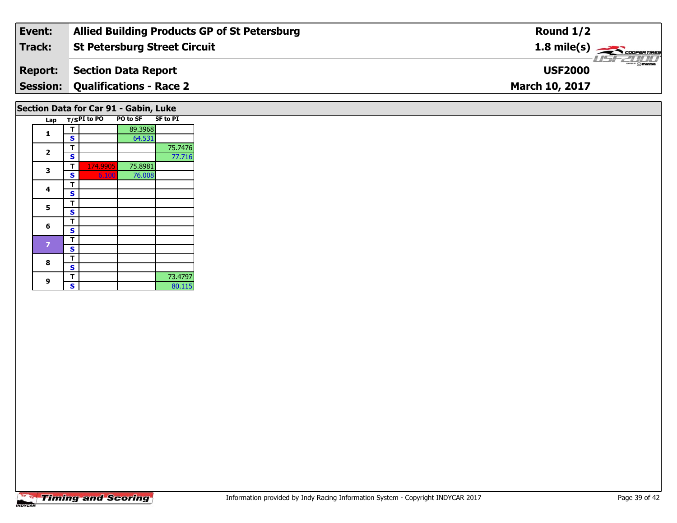| Event:         | <b>Allied Building Products GP of St Petersburg</b> | Round $1/2$                             |
|----------------|-----------------------------------------------------|-----------------------------------------|
| Track:         | <b>St Petersburg Street Circuit</b>                 | $1.8$ mile(s) $\rightarrow$ COOPERTIRES |
| <b>Report:</b> | Section Data Report                                 | <b>LIST 2000</b><br><b>USF2000</b>      |
|                | <b>Session: Qualifications - Race 2</b>             | <b>March 10, 2017</b>                   |
|                |                                                     |                                         |

#### **Section Data for Car 91 - Gabin, Luke**

|  | Lap |   | $T/SPI$ to PO | PO to SF | <b>SF to PI</b> |
|--|-----|---|---------------|----------|-----------------|
|  | 1   | т |               | 89.3968  |                 |
|  |     | S |               | 64.531   |                 |
|  | 2   | т |               |          | 75.7476         |
|  |     | S |               |          | 77.716          |
|  | 3   | т | 174.9905      | 75.8981  |                 |
|  |     | S | 6.100         | 76.008   |                 |
|  | 4   | т |               |          |                 |
|  |     | S |               |          |                 |
|  | 5   | т |               |          |                 |
|  |     | S |               |          |                 |
|  | 6   | т |               |          |                 |
|  |     | S |               |          |                 |
|  | 7   | т |               |          |                 |
|  |     | S |               |          |                 |
|  | 8   | т |               |          |                 |
|  |     | S |               |          |                 |
|  | 9   | т |               |          | 73.4797         |
|  |     | S |               |          | 80.115          |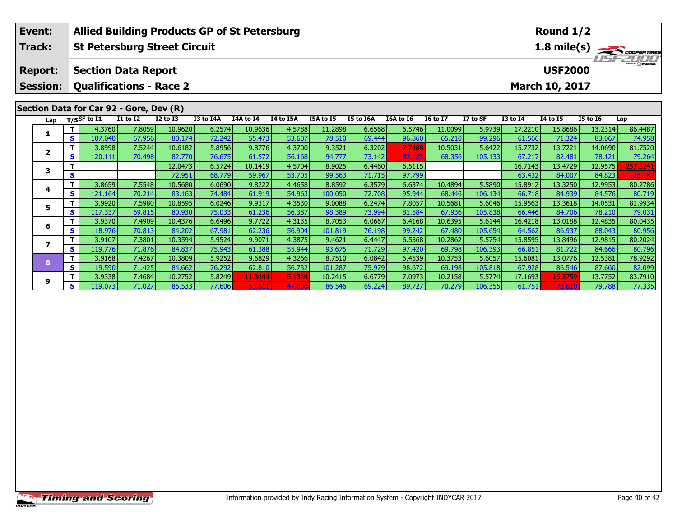| Event:          |    |                                                        |                 |              | <b>Allied Building Products GP of St Petersburg</b> |           | Round 1/2 |           |           |                  |                 |                                       |                 |                 |                 |             |
|-----------------|----|--------------------------------------------------------|-----------------|--------------|-----------------------------------------------------|-----------|-----------|-----------|-----------|------------------|-----------------|---------------------------------------|-----------------|-----------------|-----------------|-------------|
| Track:          |    | <b>St Petersburg Street Circuit</b>                    |                 |              |                                                     |           |           |           |           |                  |                 |                                       |                 |                 |                 | 1.8 mile(s) |
| <b>Report:</b>  |    | <b>Section Data Report</b>                             |                 |              |                                                     |           |           |           |           |                  |                 | <b>THE PERSONAL</b><br><b>USF2000</b> |                 |                 |                 |             |
| <b>Session:</b> |    | <b>Qualifications - Race 2</b><br>March 10, 2017       |                 |              |                                                     |           |           |           |           |                  |                 |                                       |                 |                 |                 |             |
|                 |    |                                                        |                 |              |                                                     |           |           |           |           |                  |                 |                                       |                 |                 |                 |             |
| Lap             |    | Section Data for Car 92 - Gore, Dev (R)<br>T/SSF to I1 | <b>I1 to I2</b> | $I2$ to $I3$ | I3 to I4A                                           | I4A to I4 | I4 to I5A | I5A to I5 | I5 to I6A | <b>I6A to 16</b> | <b>16 to 17</b> | I7 to SF                              | <b>I3 to 14</b> | <b>14 to 15</b> | <b>I5 to 16</b> | Lap         |
|                 | T. | 4.3760                                                 | 7.8059          | 10.9620      | 6.2574                                              | 10.9636   | 4.5788    | 11.2898   | 6.6568    | 6.5746           | 11.0099         | 5.9739                                | 17.2210         | 15.8686         | 13.2314         | 86.4487     |
| 1               | S. | 107.040                                                | 67.956          | 80.174       | 72.242                                              | 55.473    | 53.607    | 78.510    | 69.444    | 96.860           | 65.210          | 99.296                                | 61.566          | 71.324          | 83.067          | 74.958      |
|                 | т  | 3.8998                                                 | 7.5244          | 10.6182      | 5.8956                                              | 9.8776    | 4.3700    | 9.3521    | 6.3202    | 7.7488           | 10.5031         | 5.6422                                | 15.7732         | 13.7221         | 14.0690         | 81.7520     |
| $\overline{2}$  | S  | 120.111                                                | 70.498          | 82.770       | 76.675                                              | 61.572    | 56.168    | 94.777    | 73.142    | 82.18            | 68.356          | 105.133                               | 67.217          | 82.481          | 78.121          | 79.264      |
| 3               |    |                                                        |                 | 12.0473      | 6.5724                                              | 10.1419   | 4.5704    | 8.9025    | 6.4460    | 6.5115           |                 |                                       | 16.7143         | 13.4729         | 12.9575         | 257.3241    |
|                 | S  |                                                        |                 | 72.951       | 68.779                                              | 59.967    | 53.705    | 99.563    | 71.715    | 97.799           |                 |                                       | 63.432          | 84.007          | 84.823          | 25.182      |
| 4               | T. | 3.8659                                                 | 7.5548          | 10.5680      | 6.0690                                              | 9.8222    | 4.4658    | 8.8592    | 6.3579    | 6.6374           | 10.4894         | 5.5890                                | 15.8912         | 13.3250         | 12.9953         | 80.2786     |
|                 | S  | 121.164                                                | 70.214          | 83.163       | 74.484                                              | 61.919    | 54.963    | 100.050   | 72.708    | 95.944           | 68.446          | 106.134                               | 66.718          | 84.939          | 84.576          | 80.719      |
| 5               | T. | 3.9920                                                 | 7.5980          | 10.8595      | 6.0246                                              | 9.9317    | 4.3530    | 9.0088    | 6.2474    | 7.8057           | 10.5681         | 5.6046                                | 15.9563         | 13.3618         | 14.0531         | 81.9934     |
|                 | S. | 117.337                                                | 69.815          | 80.930       | 75.033                                              | 61.236    | 56.387    | 98.389    | 73.994    | 81.584           | 67.936          | 105.838                               | 66.446          | 84.706          | 78.210          | 79.031      |
| 6               | T. | 3.9370                                                 | 7.4909          | 10.4376      | 6.6496                                              | 9.7722    | 4.3135    | 8.7053    | 6.0667    | 6.4168           | 10.6395         | 5.6144                                | 16.4218         | 13.0188         | 12.4835         | 80.0435     |
|                 | S. | 118.976                                                | 70.813          | 84.202       | 67.981                                              | 62.236    | 56.904    | 101.819   | 76.198    | 99.242           | 67.480          | 105.654                               | 64.562          | 86.937          | 88.043          | 80.956      |
| $\overline{ }$  | T. | 3.9107                                                 | 7.3801          | 10.3594      | 5.9524                                              | 9.9071    | 4.3875    | 9.4621    | 6.4447    | 6.5368           | 10.2862         | 5.5754                                | 15.8595         | 13.8496         | 12.9815         | 80.2024     |
|                 | S. | 119.776                                                | 71.876          | 84.837       | 75.943                                              | 61.388    | 55.944    | 93.675    | 71.729    | 97.420           | 69.798          | 106.393                               | 66.851          | 81.722          | 84.666          | 80.796      |
| 8               | T. | 3.9168                                                 | 7.4267          | 10.3809      | 5.9252                                              | 9.6829    | 4.3266    | 8.7510    | 6.0842    | 6.4539           | 10.3753         | 5.6057                                | 15.6081         | 13.0776         | 12.5381         | 78.9292     |
|                 | S  | 119.590                                                | 71.425          | 84.662       | 76.292                                              | 62.810    | 56.732    | 101.287   | 75.979    | 98.672           | 69.198          | 105.818                               | 67.928          | 86.546          | 87.660          | 82.099      |
| 9               | T. | 3.9338                                                 | 7.4684          | 10.2752      | 5.8249                                              | 11.3444   | 5.1344    | 10.2415   | 6.6779    | 7.0973           | 10.2158         | 5.5774                                | 17.1693         | 15.3759         | 13.7752         | 83.7910     |
|                 | S. | 119.073                                                | 71.027          | 85.533       | 77.606                                              |           | 47.80     | 86.546    | 69.224    | 89.727           | 70.279          | 106.355                               | 61.751          | 73.61           | 79.788          | 77.335      |

77.335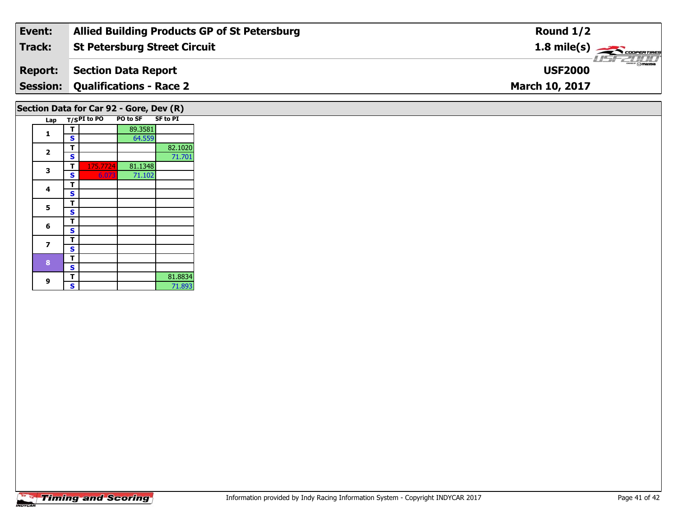| Event:         | <b>Allied Building Products GP of St Petersburg</b> | Round $1/2$                             |
|----------------|-----------------------------------------------------|-----------------------------------------|
| Track:         | <b>St Petersburg Street Circuit</b>                 | $1.8$ mile(s) $\rightarrow$ COOPERTIRES |
| <b>Report:</b> | Section Data Report                                 | <b>Omazpa</b><br><b>USF2000</b>         |
|                | <b>Session: Qualifications - Race 2</b>             | <b>March 10, 2017</b>                   |
|                |                                                     |                                         |

## **Section Data for Car 92 - Gore, Dev (R)**

|  | Lap |   | $T/S$ PI to PO | PO to SF SF to PI |         |
|--|-----|---|----------------|-------------------|---------|
|  | 1   | т |                | 89.3581           |         |
|  |     | S |                | 64.559            |         |
|  | 2   | т |                |                   | 82.1020 |
|  |     | S |                |                   | 71.701  |
|  | 3   | т | 175.7724       | 81.1348           |         |
|  |     | S | 6.073          | 71.102            |         |
|  | 4   | т |                |                   |         |
|  |     | S |                |                   |         |
|  | 5   | т |                |                   |         |
|  |     | S |                |                   |         |
|  | 6   | т |                |                   |         |
|  |     | S |                |                   |         |
|  | 7   | т |                |                   |         |
|  |     | S |                |                   |         |
|  | 8   | т |                |                   |         |
|  |     | S |                |                   |         |
|  | 9   | т |                |                   | 81.8834 |
|  |     | S |                |                   | 71.893  |